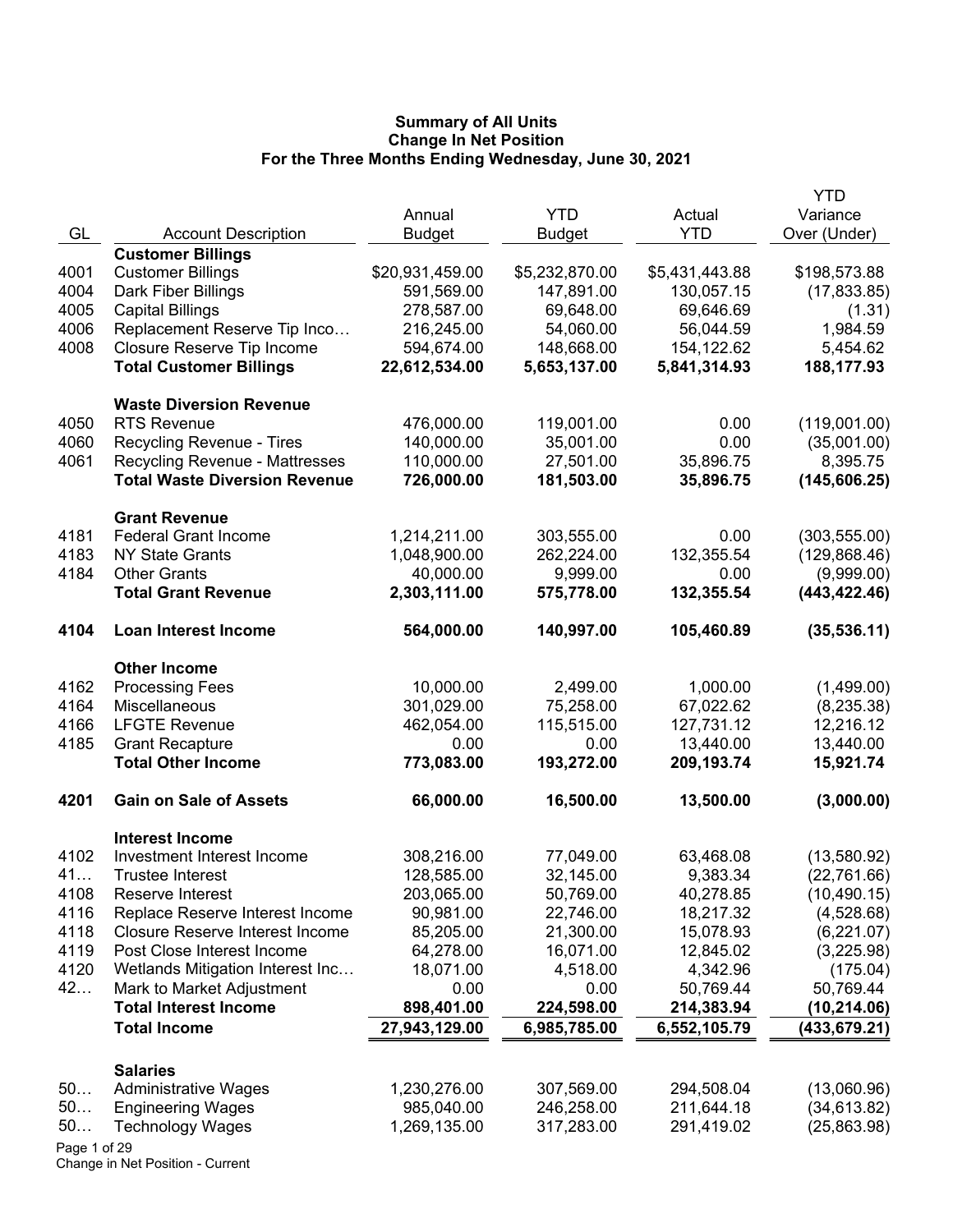|              |                                        | Annual          | <b>YTD</b>     | Actual         | <b>YTD</b><br>Variance |
|--------------|----------------------------------------|-----------------|----------------|----------------|------------------------|
| GL           | <b>Account Description</b>             | <b>Budget</b>   | <b>Budget</b>  | <b>YTD</b>     | Over (Under)           |
|              | <b>Customer Billings</b>               |                 |                |                |                        |
| 4001         | <b>Customer Billings</b>               | \$20,931,459.00 | \$5,232,870.00 | \$5,431,443.88 | \$198,573.88           |
| 4004         | Dark Fiber Billings                    | 591,569.00      | 147,891.00     | 130,057.15     | (17, 833.85)           |
| 4005         | <b>Capital Billings</b>                | 278,587.00      | 69,648.00      | 69,646.69      | (1.31)                 |
| 4006         | Replacement Reserve Tip Inco           | 216,245.00      | 54,060.00      | 56,044.59      | 1,984.59               |
| 4008         | Closure Reserve Tip Income             | 594,674.00      | 148,668.00     | 154,122.62     | 5,454.62               |
|              | <b>Total Customer Billings</b>         | 22,612,534.00   | 5,653,137.00   | 5,841,314.93   | 188,177.93             |
|              | <b>Waste Diversion Revenue</b>         |                 |                |                |                        |
| 4050         | <b>RTS Revenue</b>                     | 476,000.00      | 119,001.00     | 0.00           | (119,001.00)           |
| 4060         | Recycling Revenue - Tires              | 140,000.00      | 35,001.00      | 0.00           | (35,001.00)            |
| 4061         | <b>Recycling Revenue - Mattresses</b>  | 110,000.00      | 27,501.00      | 35,896.75      | 8,395.75               |
|              | <b>Total Waste Diversion Revenue</b>   | 726,000.00      | 181,503.00     | 35,896.75      | (145, 606.25)          |
|              | <b>Grant Revenue</b>                   |                 |                |                |                        |
| 4181         | <b>Federal Grant Income</b>            | 1,214,211.00    | 303,555.00     | 0.00           | (303, 555.00)          |
| 4183         | <b>NY State Grants</b>                 | 1,048,900.00    | 262,224.00     | 132,355.54     | (129, 868.46)          |
| 4184         | <b>Other Grants</b>                    | 40,000.00       | 9,999.00       | 0.00           | (9,999.00)             |
|              | <b>Total Grant Revenue</b>             | 2,303,111.00    | 575,778.00     | 132,355.54     | (443, 422.46)          |
| 4104         | Loan Interest Income                   | 564,000.00      | 140,997.00     | 105,460.89     | (35, 536.11)           |
|              | <b>Other Income</b>                    |                 |                |                |                        |
| 4162         | <b>Processing Fees</b>                 | 10,000.00       | 2,499.00       | 1,000.00       | (1,499.00)             |
| 4164         | Miscellaneous                          | 301,029.00      | 75,258.00      | 67,022.62      | (8, 235.38)            |
| 4166         | <b>LFGTE Revenue</b>                   | 462,054.00      | 115,515.00     | 127,731.12     | 12,216.12              |
| 4185         | <b>Grant Recapture</b>                 | 0.00            | 0.00           | 13,440.00      | 13,440.00              |
|              | <b>Total Other Income</b>              | 773,083.00      | 193,272.00     | 209,193.74     | 15,921.74              |
| 4201         | <b>Gain on Sale of Assets</b>          | 66,000.00       | 16,500.00      | 13,500.00      | (3,000.00)             |
|              | <b>Interest Income</b>                 |                 |                |                |                        |
| 4102         | Investment Interest Income             | 308,216.00      | 77,049.00      | 63,468.08      | (13,580.92)            |
| 41           | <b>Trustee Interest</b>                | 128,585.00      | 32,145.00      | 9,383.34       | (22, 761.66)           |
| 4108         | Reserve Interest                       | 203,065.00      | 50,769.00      | 40,278.85      | (10, 490.15)           |
| 4116         | Replace Reserve Interest Income        | 90,981.00       | 22,746.00      | 18,217.32      | (4,528.68)             |
| 4118         | <b>Closure Reserve Interest Income</b> | 85,205.00       | 21,300.00      | 15,078.93      | (6,221.07)             |
| 4119         | Post Close Interest Income             | 64,278.00       | 16,071.00      | 12,845.02      | (3,225.98)             |
| 4120         | Wetlands Mitigation Interest Inc       | 18,071.00       | 4,518.00       | 4,342.96       | (175.04)               |
| 42           | Mark to Market Adjustment              | 0.00            | 0.00           | 50,769.44      | 50,769.44              |
|              | <b>Total Interest Income</b>           | 898,401.00      | 224,598.00     | 214,383.94     | (10, 214.06)           |
|              | <b>Total Income</b>                    | 27,943,129.00   | 6,985,785.00   | 6,552,105.79   | (433, 679.21)          |
|              | <b>Salaries</b>                        |                 |                |                |                        |
| 50           | <b>Administrative Wages</b>            | 1,230,276.00    | 307,569.00     | 294,508.04     | (13,060.96)            |
| 50           | <b>Engineering Wages</b>               | 985,040.00      | 246,258.00     | 211,644.18     | (34, 613.82)           |
| 50           | <b>Technology Wages</b>                | 1,269,135.00    | 317,283.00     | 291,419.02     | (25, 863.98)           |
| Page 1 of 29 |                                        |                 |                |                |                        |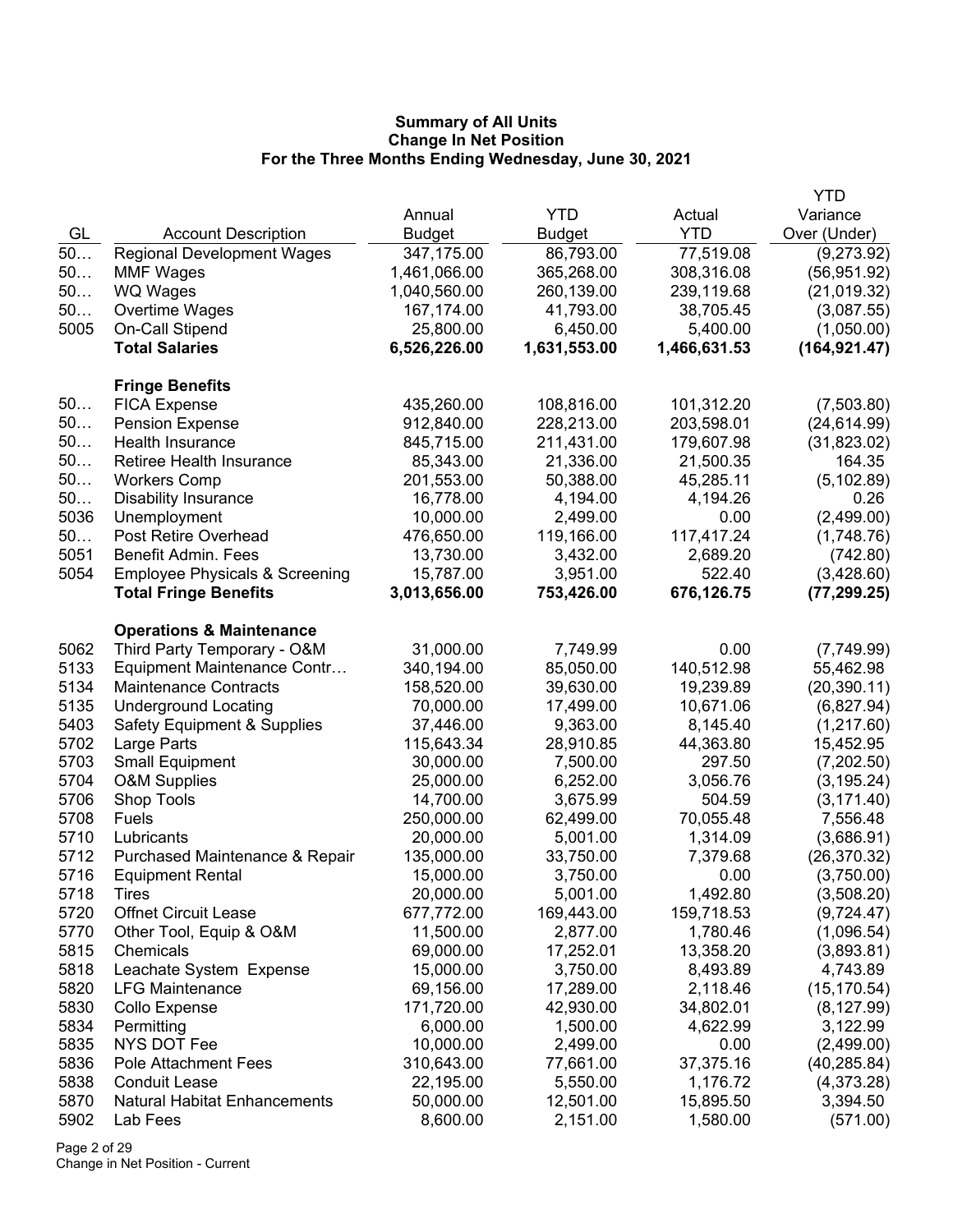|              |                                           |                         |                       |                       | <b>YTD</b>                 |
|--------------|-------------------------------------------|-------------------------|-----------------------|-----------------------|----------------------------|
|              |                                           | Annual                  | <b>YTD</b>            | Actual                | Variance                   |
| GL           | <b>Account Description</b>                | <b>Budget</b>           | <b>Budget</b>         | <b>YTD</b>            | Over (Under)               |
| 50           | <b>Regional Development Wages</b>         | 347,175.00              | 86,793.00             | 77,519.08             | (9,273.92)                 |
| 50           | <b>MMF Wages</b>                          | 1,461,066.00            | 365,268.00            | 308,316.08            | (56, 951.92)               |
| 50           | WQ Wages                                  | 1,040,560.00            | 260,139.00            | 239,119.68            | (21,019.32)                |
| 50           | Overtime Wages                            | 167,174.00              | 41,793.00             | 38,705.45             | (3,087.55)                 |
| 5005         | On-Call Stipend                           | 25,800.00               | 6,450.00              | 5,400.00              | (1,050.00)                 |
|              | <b>Total Salaries</b>                     | 6,526,226.00            | 1,631,553.00          | 1,466,631.53          | (164, 921.47)              |
|              | <b>Fringe Benefits</b>                    |                         |                       |                       |                            |
| 50           | <b>FICA Expense</b>                       | 435,260.00              | 108,816.00            | 101,312.20            | (7,503.80)                 |
| 50           | <b>Pension Expense</b>                    | 912,840.00              | 228,213.00            | 203,598.01            | (24, 614.99)               |
| 50           | Health Insurance                          | 845,715.00              | 211,431.00            | 179,607.98            | (31,823.02)                |
| 50           | Retiree Health Insurance                  | 85,343.00               | 21,336.00             | 21,500.35             | 164.35                     |
| 50           | <b>Workers Comp</b>                       | 201,553.00              | 50,388.00             | 45,285.11             | (5, 102.89)                |
| 50           | <b>Disability Insurance</b>               | 16,778.00               | 4,194.00              | 4,194.26              | 0.26                       |
| 5036         | Unemployment                              | 10,000.00               | 2,499.00              | 0.00                  | (2,499.00)                 |
| 50           | Post Retire Overhead                      | 476,650.00              | 119,166.00            | 117,417.24            | (1,748.76)                 |
| 5051         | <b>Benefit Admin. Fees</b>                | 13,730.00               | 3,432.00              | 2,689.20              | (742.80)                   |
| 5054         | <b>Employee Physicals &amp; Screening</b> | 15,787.00               | 3,951.00              | 522.40                | (3,428.60)                 |
|              | <b>Total Fringe Benefits</b>              | 3,013,656.00            | 753,426.00            | 676,126.75            | (77, 299.25)               |
|              | <b>Operations &amp; Maintenance</b>       |                         |                       |                       |                            |
| 5062         | Third Party Temporary - O&M               | 31,000.00               | 7,749.99              | 0.00                  | (7,749.99)                 |
| 5133         | Equipment Maintenance Contr               | 340,194.00              | 85,050.00             | 140,512.98            | 55,462.98                  |
| 5134         | <b>Maintenance Contracts</b>              | 158,520.00              | 39,630.00             | 19,239.89             | (20, 390.11)               |
| 5135         | <b>Underground Locating</b>               | 70,000.00               | 17,499.00             | 10,671.06             | (6,827.94)                 |
| 5403         | <b>Safety Equipment &amp; Supplies</b>    | 37,446.00               | 9,363.00              | 8,145.40              | (1,217.60)                 |
| 5702         | Large Parts                               | 115,643.34              | 28,910.85             | 44,363.80             | 15,452.95                  |
| 5703         | <b>Small Equipment</b>                    | 30,000.00               | 7,500.00              | 297.50                | (7,202.50)                 |
| 5704         | <b>O&amp;M Supplies</b>                   | 25,000.00               | 6,252.00              | 3,056.76              | (3, 195.24)                |
| 5706         | Shop Tools                                | 14,700.00               | 3,675.99              | 504.59                | (3, 171.40)                |
| 5708         | Fuels                                     | 250,000.00              | 62,499.00             | 70,055.48             | 7,556.48                   |
| 5710         | Lubricants                                | 20,000.00               | 5,001.00              | 1,314.09              | (3,686.91)                 |
| 5712         | Purchased Maintenance & Repair            | 135,000.00              | 33,750.00             | 7,379.68              | (26, 370.32)               |
| 5716         | <b>Equipment Rental</b>                   | 15,000.00               | 3,750.00              | 0.00                  | (3,750.00)                 |
| 5718         | <b>l</b> <i>I</i> res                     | 20,000.00               | 5,001.00              | 1,492.80              | (3,508.20)                 |
| 5720         | <b>Offnet Circuit Lease</b>               | 677,772.00              | 169,443.00            | 159,718.53            | (9,724.47)                 |
| 5770         | Other Tool, Equip & O&M                   | 11,500.00               | 2,877.00              | 1,780.46              | (1,096.54)                 |
| 5815         | Chemicals                                 | 69,000.00               | 17,252.01             | 13,358.20             | (3,893.81)                 |
| 5818         | Leachate System Expense                   | 15,000.00               | 3,750.00              | 8,493.89              | 4,743.89                   |
| 5820<br>5830 | <b>LFG Maintenance</b>                    | 69,156.00               | 17,289.00             | 2,118.46              | (15, 170.54)               |
| 5834         | Collo Expense                             | 171,720.00<br>6,000.00  | 42,930.00             | 34,802.01<br>4,622.99 | (8, 127.99)                |
|              | Permitting<br><b>NYS DOT Fee</b>          |                         | 1,500.00              |                       | 3,122.99                   |
| 5835<br>5836 | <b>Pole Attachment Fees</b>               | 10,000.00<br>310,643.00 | 2,499.00              | 0.00<br>37,375.16     | (2,499.00)<br>(40, 285.84) |
| 5838         | <b>Conduit Lease</b>                      | 22,195.00               | 77,661.00<br>5,550.00 | 1,176.72              | (4,373.28)                 |
| 5870         | <b>Natural Habitat Enhancements</b>       | 50,000.00               | 12,501.00             | 15,895.50             | 3,394.50                   |
| 5902         | Lab Fees                                  | 8,600.00                | 2,151.00              | 1,580.00              | (571.00)                   |
|              |                                           |                         |                       |                       |                            |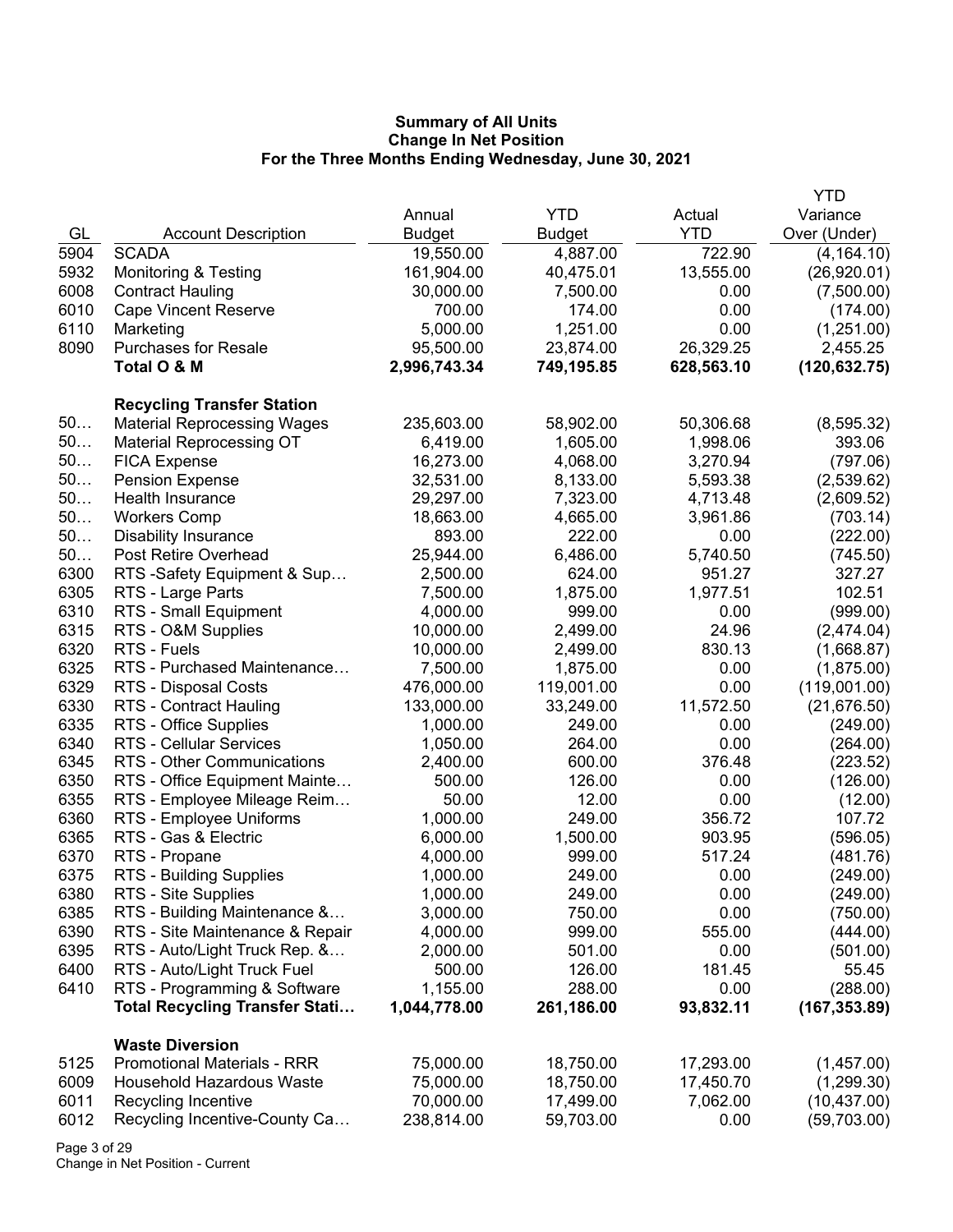|      |                                       |               |            |            | <b>YTD</b>    |
|------|---------------------------------------|---------------|------------|------------|---------------|
|      |                                       | Annual        | <b>YTD</b> | Actual     | Variance      |
| GL   | <b>Account Description</b>            | <b>Budget</b> | Budget     | <b>YTD</b> | Over (Under)  |
| 5904 | <b>SCADA</b>                          | 19,550.00     | 4,887.00   | 722.90     | (4, 164.10)   |
| 5932 | <b>Monitoring &amp; Testing</b>       | 161,904.00    | 40,475.01  | 13,555.00  | (26,920.01)   |
| 6008 | <b>Contract Hauling</b>               | 30,000.00     | 7,500.00   | 0.00       | (7,500.00)    |
| 6010 | <b>Cape Vincent Reserve</b>           | 700.00        | 174.00     | 0.00       | (174.00)      |
| 6110 | Marketing                             | 5,000.00      | 1,251.00   | 0.00       | (1,251.00)    |
| 8090 | <b>Purchases for Resale</b>           | 95,500.00     | 23,874.00  | 26,329.25  | 2,455.25      |
|      | Total O & M                           | 2,996,743.34  | 749,195.85 | 628,563.10 | (120, 632.75) |
|      |                                       |               |            |            |               |
|      | <b>Recycling Transfer Station</b>     |               |            |            |               |
| 50   | <b>Material Reprocessing Wages</b>    | 235,603.00    | 58,902.00  | 50,306.68  | (8,595.32)    |
| 50   | <b>Material Reprocessing OT</b>       | 6,419.00      | 1,605.00   | 1,998.06   | 393.06        |
| 50   | <b>FICA Expense</b>                   | 16,273.00     | 4,068.00   | 3,270.94   | (797.06)      |
| 50   | <b>Pension Expense</b>                | 32,531.00     | 8,133.00   | 5,593.38   | (2,539.62)    |
| 50   | Health Insurance                      | 29,297.00     | 7,323.00   | 4,713.48   | (2,609.52)    |
| 50   | <b>Workers Comp</b>                   | 18,663.00     | 4,665.00   | 3,961.86   | (703.14)      |
| 50   | <b>Disability Insurance</b>           | 893.00        | 222.00     | 0.00       | (222.00)      |
| 50   | Post Retire Overhead                  | 25,944.00     | 6,486.00   | 5,740.50   | (745.50)      |
| 6300 | RTS-Safety Equipment & Sup            | 2,500.00      | 624.00     | 951.27     | 327.27        |
| 6305 | RTS - Large Parts                     | 7,500.00      | 1,875.00   | 1,977.51   | 102.51        |
| 6310 | RTS - Small Equipment                 | 4,000.00      | 999.00     | 0.00       | (999.00)      |
| 6315 | RTS - O&M Supplies                    | 10,000.00     | 2,499.00   | 24.96      | (2,474.04)    |
| 6320 | RTS - Fuels                           | 10,000.00     | 2,499.00   | 830.13     | (1,668.87)    |
| 6325 | RTS - Purchased Maintenance           | 7,500.00      | 1,875.00   | 0.00       | (1,875.00)    |
| 6329 | RTS - Disposal Costs                  | 476,000.00    | 119,001.00 | 0.00       | (119,001.00)  |
| 6330 | RTS - Contract Hauling                | 133,000.00    | 33,249.00  | 11,572.50  | (21,676.50)   |
| 6335 | RTS - Office Supplies                 | 1,000.00      | 249.00     | 0.00       | (249.00)      |
| 6340 | <b>RTS - Cellular Services</b>        | 1,050.00      | 264.00     | 0.00       | (264.00)      |
| 6345 | RTS - Other Communications            | 2,400.00      | 600.00     | 376.48     | (223.52)      |
| 6350 | RTS - Office Equipment Mainte         | 500.00        | 126.00     | 0.00       | (126.00)      |
| 6355 | RTS - Employee Mileage Reim           | 50.00         | 12.00      | 0.00       | (12.00)       |
| 6360 | RTS - Employee Uniforms               | 1,000.00      | 249.00     | 356.72     | 107.72        |
| 6365 | RTS - Gas & Electric                  | 6,000.00      | 1,500.00   | 903.95     | (596.05)      |
| 6370 | RTS - Propane                         | 4,000.00      | 999.00     | 517.24     | (481.76)      |
| 6375 | RTS - Building Supplies               | 1,000.00      | 249.00     | 0.00       | (249.00)      |
| 6380 | RTS - Site Supplies                   | 1,000.00      | 249.00     | 0.00       | (249.00)      |
| 6385 | RTS - Building Maintenance &          | 3,000.00      | 750.00     | 0.00       | (750.00)      |
| 6390 | RTS - Site Maintenance & Repair       | 4,000.00      | 999.00     | 555.00     | (444.00)      |
| 6395 | RTS - Auto/Light Truck Rep. &         | 2,000.00      | 501.00     | 0.00       | (501.00)      |
| 6400 | RTS - Auto/Light Truck Fuel           | 500.00        | 126.00     | 181.45     | 55.45         |
| 6410 | RTS - Programming & Software          | 1,155.00      | 288.00     | 0.00       | (288.00)      |
|      | <b>Total Recycling Transfer Stati</b> | 1,044,778.00  | 261,186.00 | 93,832.11  | (167, 353.89) |
|      | <b>Waste Diversion</b>                |               |            |            |               |
| 5125 | <b>Promotional Materials - RRR</b>    | 75,000.00     | 18,750.00  | 17,293.00  | (1,457.00)    |
| 6009 | Household Hazardous Waste             | 75,000.00     | 18,750.00  | 17,450.70  | (1,299.30)    |
| 6011 | Recycling Incentive                   | 70,000.00     | 17,499.00  | 7,062.00   | (10, 437.00)  |
| 6012 | Recycling Incentive-County Ca         | 238,814.00    | 59,703.00  | 0.00       | (59,703.00)   |

Page 3 of 29 Change in Net Position - Current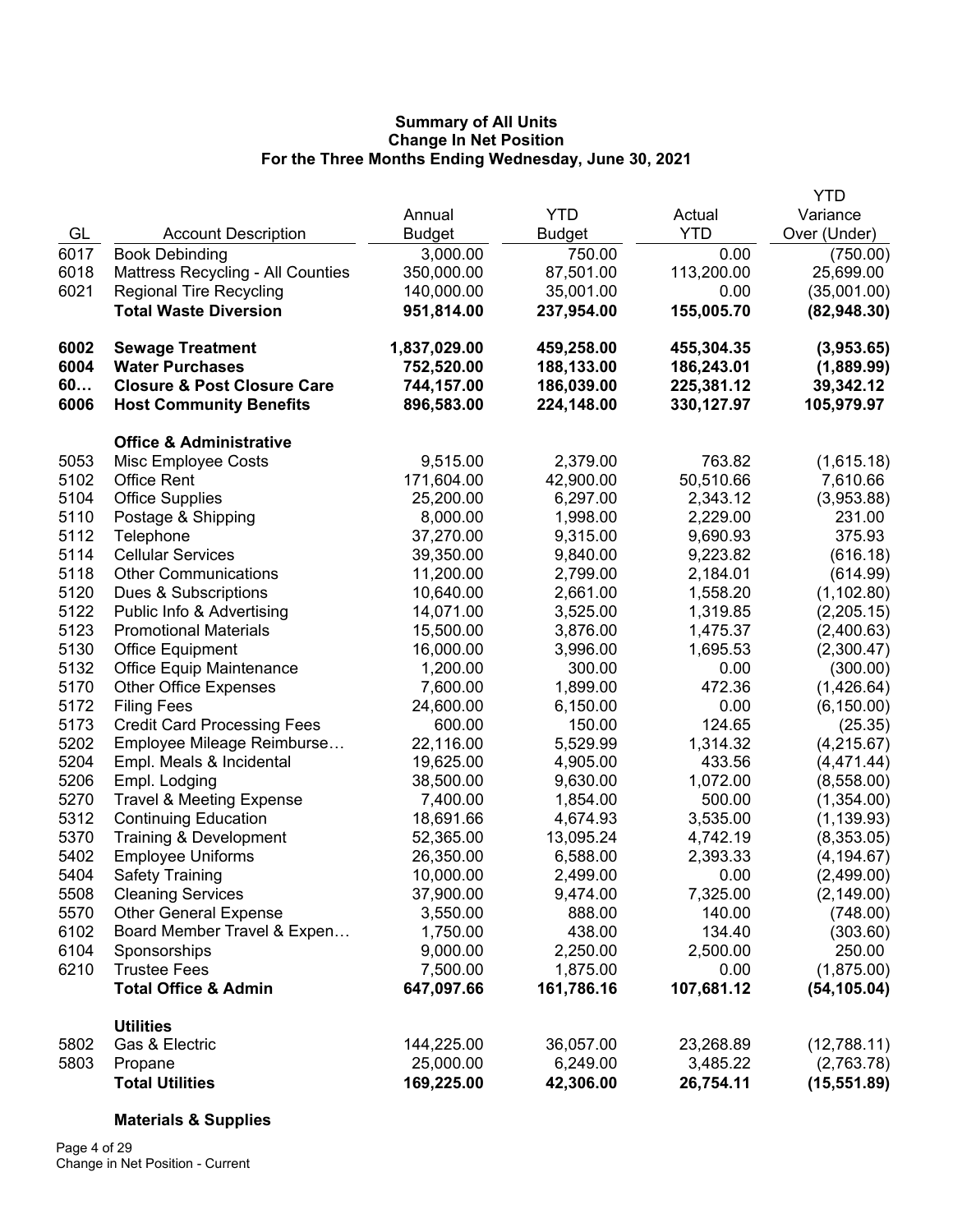|      |                                        |               |               |            | <b>YTD</b>   |
|------|----------------------------------------|---------------|---------------|------------|--------------|
|      |                                        | Annual        | <b>YTD</b>    | Actual     | Variance     |
| GL   | <b>Account Description</b>             | <b>Budget</b> | <b>Budget</b> | <b>YTD</b> | Over (Under) |
| 6017 | <b>Book Debinding</b>                  | 3,000.00      | 750.00        | 0.00       | (750.00)     |
| 6018 | Mattress Recycling - All Counties      | 350,000.00    | 87,501.00     | 113,200.00 | 25,699.00    |
| 6021 | <b>Regional Tire Recycling</b>         | 140,000.00    | 35,001.00     | 0.00       | (35,001.00)  |
|      | <b>Total Waste Diversion</b>           | 951,814.00    | 237,954.00    | 155,005.70 | (82, 948.30) |
|      |                                        |               |               |            |              |
| 6002 | <b>Sewage Treatment</b>                | 1,837,029.00  | 459,258.00    | 455,304.35 | (3,953.65)   |
| 6004 | <b>Water Purchases</b>                 | 752,520.00    | 188,133.00    | 186,243.01 | (1,889.99)   |
| 60   | <b>Closure &amp; Post Closure Care</b> | 744,157.00    | 186,039.00    | 225,381.12 | 39,342.12    |
| 6006 | <b>Host Community Benefits</b>         | 896,583.00    | 224,148.00    | 330,127.97 | 105,979.97   |
|      | <b>Office &amp; Administrative</b>     |               |               |            |              |
| 5053 | Misc Employee Costs                    | 9,515.00      | 2,379.00      | 763.82     | (1,615.18)   |
| 5102 | <b>Office Rent</b>                     | 171,604.00    | 42,900.00     | 50,510.66  | 7,610.66     |
| 5104 | <b>Office Supplies</b>                 | 25,200.00     | 6,297.00      | 2,343.12   | (3,953.88)   |
| 5110 | Postage & Shipping                     | 8,000.00      | 1,998.00      | 2,229.00   | 231.00       |
| 5112 | Telephone                              | 37,270.00     | 9,315.00      | 9,690.93   | 375.93       |
| 5114 | <b>Cellular Services</b>               | 39,350.00     | 9,840.00      | 9,223.82   | (616.18)     |
| 5118 | <b>Other Communications</b>            | 11,200.00     | 2,799.00      | 2,184.01   | (614.99)     |
| 5120 | Dues & Subscriptions                   | 10,640.00     | 2,661.00      | 1,558.20   | (1, 102.80)  |
| 5122 | Public Info & Advertising              | 14,071.00     | 3,525.00      | 1,319.85   | (2,205.15)   |
| 5123 | <b>Promotional Materials</b>           | 15,500.00     | 3,876.00      | 1,475.37   | (2,400.63)   |
| 5130 | <b>Office Equipment</b>                | 16,000.00     | 3,996.00      | 1,695.53   | (2,300.47)   |
| 5132 | <b>Office Equip Maintenance</b>        | 1,200.00      | 300.00        | 0.00       | (300.00)     |
| 5170 | <b>Other Office Expenses</b>           | 7,600.00      | 1,899.00      | 472.36     | (1,426.64)   |
| 5172 | <b>Filing Fees</b>                     | 24,600.00     | 6,150.00      | 0.00       | (6, 150.00)  |
| 5173 | <b>Credit Card Processing Fees</b>     | 600.00        | 150.00        | 124.65     | (25.35)      |
| 5202 | Employee Mileage Reimburse             | 22,116.00     | 5,529.99      | 1,314.32   | (4,215.67)   |
| 5204 | Empl. Meals & Incidental               | 19,625.00     | 4,905.00      | 433.56     | (4, 471.44)  |
| 5206 | Empl. Lodging                          | 38,500.00     | 9,630.00      | 1,072.00   | (8,558.00)   |
| 5270 | <b>Travel &amp; Meeting Expense</b>    | 7,400.00      | 1,854.00      | 500.00     | (1,354.00)   |
| 5312 | <b>Continuing Education</b>            | 18,691.66     | 4,674.93      | 3,535.00   | (1, 139.93)  |
| 5370 | Training & Development                 | 52,365.00     | 13,095.24     | 4,742.19   | (8,353.05)   |
| 5402 | <b>Employee Uniforms</b>               | 26,350.00     | 6,588.00      | 2,393.33   | (4, 194.67)  |
| 5404 | <b>Safety Training</b>                 | 10,000.00     | 2,499.00      | 0.00       | (2,499.00)   |
| 5508 | <b>Cleaning Services</b>               | 37,900.00     | 9,474.00      | 7,325.00   | (2, 149.00)  |
| 5570 | <b>Other General Expense</b>           | 3,550.00      | 888.00        | 140.00     | (748.00)     |
| 6102 | Board Member Travel & Expen            | 1,750.00      | 438.00        | 134.40     | (303.60)     |
| 6104 | Sponsorships                           | 9,000.00      | 2,250.00      | 2,500.00   | 250.00       |
| 6210 | <b>Trustee Fees</b>                    | 7,500.00      | 1,875.00      | 0.00       | (1,875.00)   |
|      | <b>Total Office &amp; Admin</b>        | 647,097.66    | 161,786.16    | 107,681.12 | (54, 105.04) |
|      | <b>Utilities</b>                       |               |               |            |              |
| 5802 | Gas & Electric                         | 144,225.00    | 36,057.00     | 23,268.89  | (12,788.11)  |
| 5803 | Propane                                | 25,000.00     | 6,249.00      | 3,485.22   | (2,763.78)   |
|      | <b>Total Utilities</b>                 | 169,225.00    | 42,306.00     | 26,754.11  | (15, 551.89) |

# **Materials & Supplies**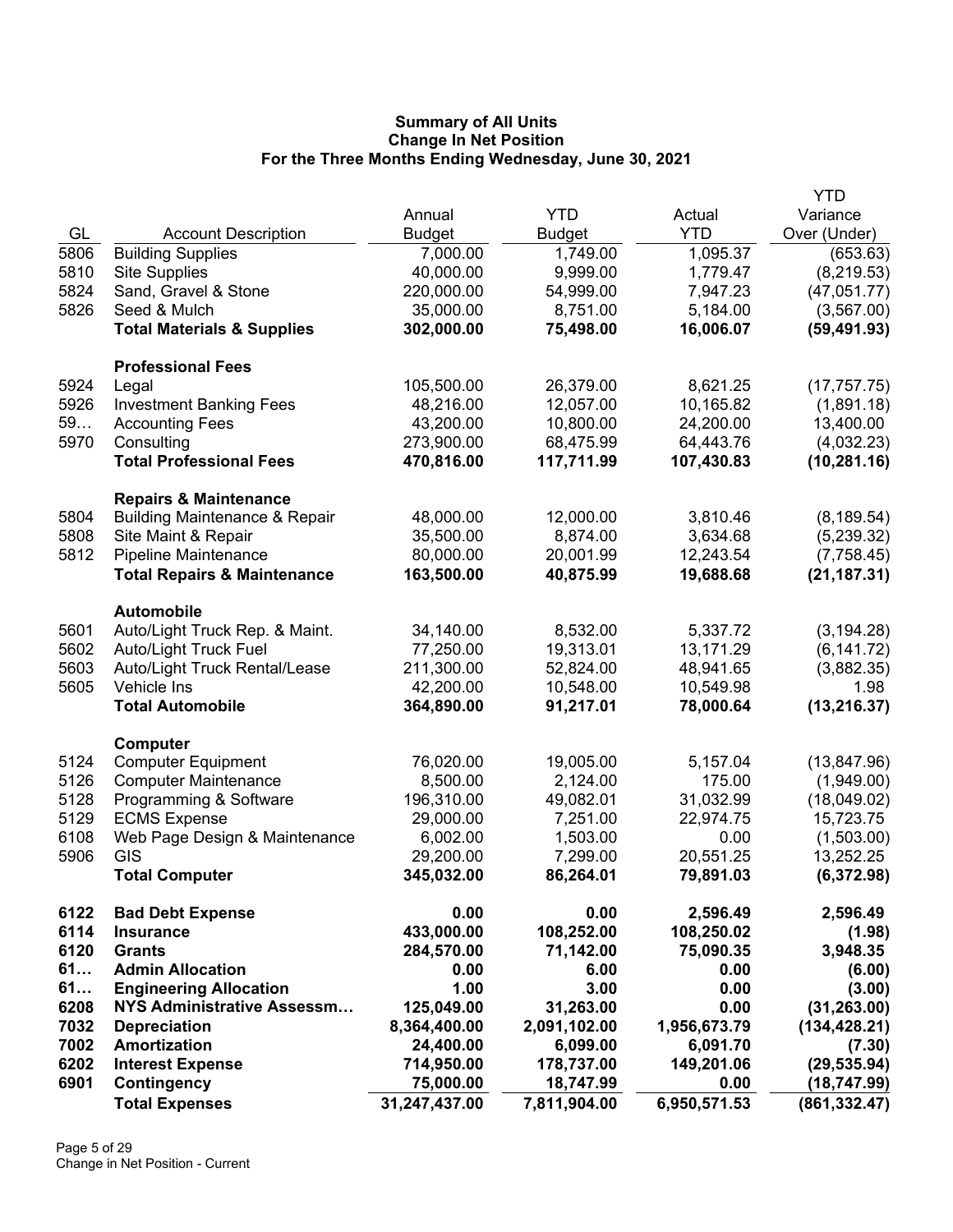|              |                                              |                         |                        |                        | <b>YTD</b>         |
|--------------|----------------------------------------------|-------------------------|------------------------|------------------------|--------------------|
|              |                                              | Annual                  | <b>YTD</b>             | Actual                 | Variance           |
| GL           | <b>Account Description</b>                   | <b>Budget</b>           | <b>Budget</b>          | <b>YTD</b>             | Over (Under)       |
| 5806         | <b>Building Supplies</b>                     | 7,000.00                | 1,749.00               | 1,095.37               | (653.63)           |
| 5810         | <b>Site Supplies</b>                         | 40,000.00               | 9,999.00               | 1,779.47               | (8, 219.53)        |
| 5824         | Sand, Gravel & Stone                         | 220,000.00              | 54,999.00              | 7,947.23               | (47,051.77)        |
| 5826         | Seed & Mulch                                 | 35,000.00               | 8,751.00               | 5,184.00               | (3, 567.00)        |
|              | <b>Total Materials &amp; Supplies</b>        | 302,000.00              | 75,498.00              | 16,006.07              | (59, 491.93)       |
|              | <b>Professional Fees</b>                     |                         |                        |                        |                    |
| 5924         | Legal                                        | 105,500.00              | 26,379.00              | 8,621.25               | (17, 757.75)       |
| 5926         | <b>Investment Banking Fees</b>               | 48,216.00               | 12,057.00              | 10,165.82              | (1,891.18)         |
| 59           | <b>Accounting Fees</b>                       | 43,200.00               | 10,800.00              | 24,200.00              | 13,400.00          |
| 5970         | Consulting                                   | 273,900.00              | 68,475.99              | 64,443.76              | (4,032.23)         |
|              | <b>Total Professional Fees</b>               | 470,816.00              | 117,711.99             | 107,430.83             | (10, 281.16)       |
|              | <b>Repairs &amp; Maintenance</b>             |                         |                        |                        |                    |
| 5804         | <b>Building Maintenance &amp; Repair</b>     | 48,000.00               | 12,000.00              | 3,810.46               | (8, 189.54)        |
| 5808         | Site Maint & Repair                          | 35,500.00               | 8,874.00               | 3,634.68               | (5,239.32)         |
| 5812         | Pipeline Maintenance                         | 80,000.00               | 20,001.99              | 12,243.54              | (7,758.45)         |
|              | <b>Total Repairs &amp; Maintenance</b>       | 163,500.00              | 40,875.99              | 19,688.68              | (21, 187.31)       |
|              | <b>Automobile</b>                            |                         |                        |                        |                    |
| 5601         | Auto/Light Truck Rep. & Maint.               | 34,140.00               | 8,532.00               | 5,337.72               | (3, 194.28)        |
| 5602<br>5603 | Auto/Light Truck Fuel                        | 77,250.00               | 19,313.01              | 13,171.29              | (6, 141.72)        |
| 5605         | Auto/Light Truck Rental/Lease<br>Vehicle Ins | 211,300.00<br>42,200.00 | 52,824.00<br>10,548.00 | 48,941.65<br>10,549.98 | (3,882.35)<br>1.98 |
|              | <b>Total Automobile</b>                      | 364,890.00              | 91,217.01              | 78,000.64              | (13, 216.37)       |
|              | Computer                                     |                         |                        |                        |                    |
| 5124         | <b>Computer Equipment</b>                    | 76,020.00               | 19,005.00              | 5,157.04               | (13, 847.96)       |
| 5126         | <b>Computer Maintenance</b>                  | 8,500.00                | 2,124.00               | 175.00                 | (1,949.00)         |
| 5128         | Programming & Software                       | 196,310.00              | 49,082.01              | 31,032.99              | (18,049.02)        |
| 5129         | <b>ECMS Expense</b>                          | 29,000.00               | 7,251.00               | 22,974.75              | 15,723.75          |
| 6108         | Web Page Design & Maintenance                | 6,002.00                | 1,503.00               | 0.00                   | (1,503.00)         |
| 5906         | GIS                                          | 29,200.00               | 7,299.00               | 20,551.25              | 13,252.25          |
|              | <b>Total Computer</b>                        | 345,032.00              | 86,264.01              | 79,891.03              | (6,372.98)         |
| 6122         | <b>Bad Debt Expense</b>                      | 0.00                    | 0.00                   | 2,596.49               | 2,596.49           |
| 6114         | <b>Insurance</b>                             | 433,000.00              | 108,252.00             | 108,250.02             | (1.98)             |
| 6120         | <b>Grants</b>                                | 284,570.00              | 71,142.00              | 75,090.35              | 3,948.35           |
| 61           | <b>Admin Allocation</b>                      | 0.00                    | 6.00                   | 0.00                   | (6.00)             |
| 61           | <b>Engineering Allocation</b>                | 1.00                    | 3.00                   | 0.00                   | (3.00)             |
| 6208         | <b>NYS Administrative Assessm</b>            | 125,049.00              | 31,263.00              | 0.00                   | (31, 263.00)       |
| 7032         | <b>Depreciation</b>                          | 8,364,400.00            | 2,091,102.00           | 1,956,673.79           | (134, 428.21)      |
| 7002         | Amortization                                 | 24,400.00               | 6,099.00               | 6,091.70               | (7.30)             |
| 6202         | <b>Interest Expense</b>                      | 714,950.00              | 178,737.00             | 149,201.06             | (29, 535.94)       |
| 6901         | Contingency                                  | 75,000.00               | 18,747.99              | 0.00                   | (18, 747.99)       |
|              | <b>Total Expenses</b>                        | 31,247,437.00           | 7,811,904.00           | 6,950,571.53           | (861, 332.47)      |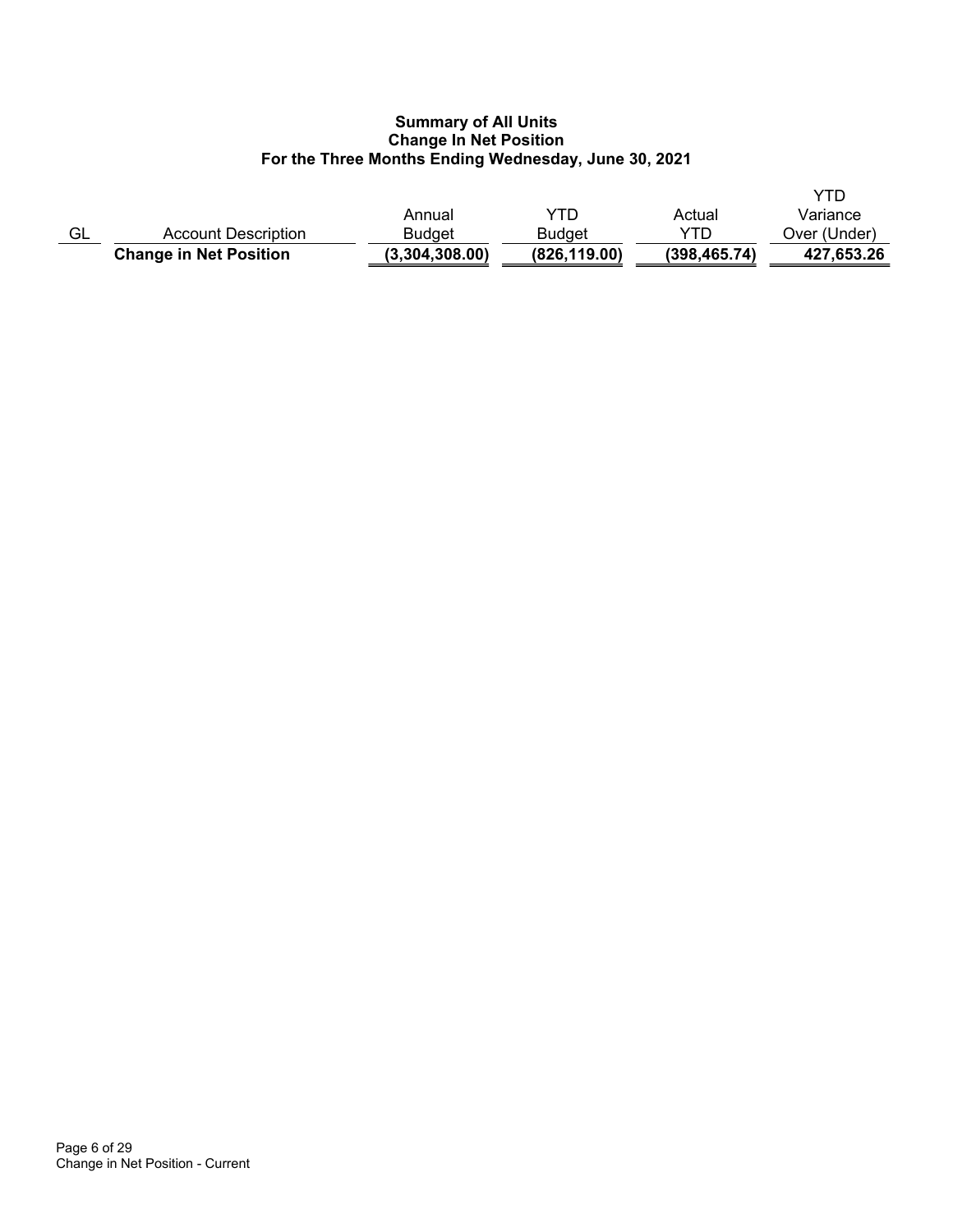|    | <b>Change in Net Position</b> | (3,304,308.00) | (826, 119.00) | (398, 465.74) | 427,653.26   |
|----|-------------------------------|----------------|---------------|---------------|--------------|
| GL | Account Description           | <b>Budget</b>  | Budget        | YTD           | Over (Under) |
|    |                               | Annual         | YTD           | Actual        | Variance     |
|    |                               |                |               |               | YTD          |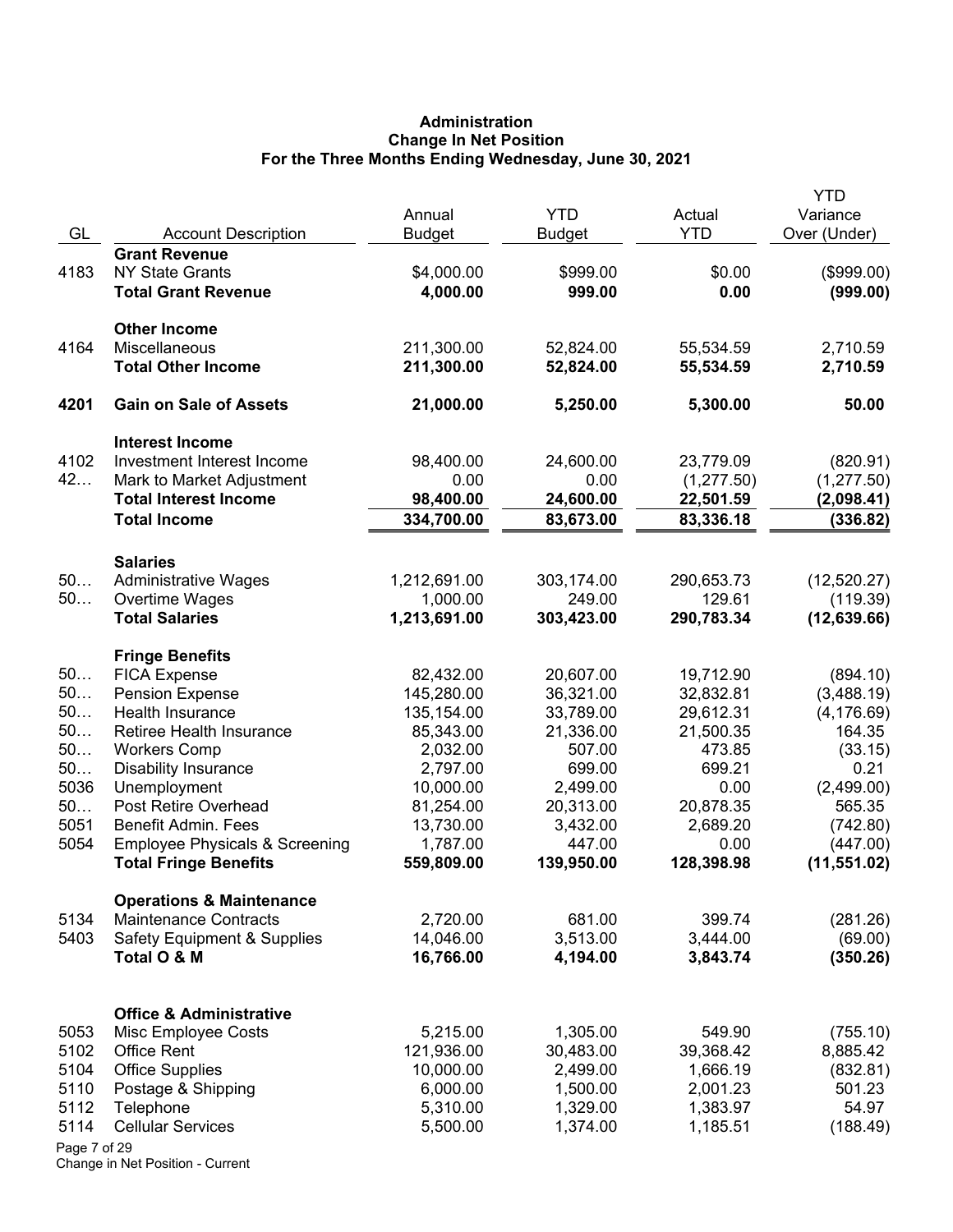# **Administration Change In Net Position For the Three Months Ending Wednesday, June 30, 2021**

|              |                                             | Annual                 | <b>YTD</b>            | Actual              | <b>YTD</b><br>Variance |
|--------------|---------------------------------------------|------------------------|-----------------------|---------------------|------------------------|
| GL           | <b>Account Description</b>                  | <b>Budget</b>          | <b>Budget</b>         | <b>YTD</b>          | Over (Under)           |
|              | <b>Grant Revenue</b>                        |                        |                       |                     |                        |
| 4183         | <b>NY State Grants</b>                      | \$4,000.00             | \$999.00              | \$0.00              | (\$999.00)             |
|              | <b>Total Grant Revenue</b>                  | 4,000.00               | 999.00                | 0.00                | (999.00)               |
|              | <b>Other Income</b>                         |                        |                       |                     |                        |
| 4164         | Miscellaneous                               | 211,300.00             | 52,824.00             | 55,534.59           | 2,710.59               |
|              | <b>Total Other Income</b>                   | 211,300.00             | 52,824.00             | 55,534.59           | 2,710.59               |
| 4201         | <b>Gain on Sale of Assets</b>               | 21,000.00              | 5,250.00              | 5,300.00            | 50.00                  |
|              | <b>Interest Income</b>                      |                        |                       |                     |                        |
| 4102         | Investment Interest Income                  | 98,400.00              | 24,600.00             | 23,779.09           | (820.91)               |
| 42           | Mark to Market Adjustment                   | 0.00                   | 0.00                  | (1, 277.50)         | (1, 277.50)            |
|              | <b>Total Interest Income</b>                | 98,400.00              | 24,600.00             | 22,501.59           | (2,098.41)             |
|              | <b>Total Income</b>                         | 334,700.00             | 83,673.00             | 83,336.18           | (336.82)               |
|              | <b>Salaries</b>                             |                        |                       |                     |                        |
| 50           | <b>Administrative Wages</b>                 | 1,212,691.00           | 303,174.00            | 290,653.73          | (12,520.27)            |
| 50           | Overtime Wages                              | 1,000.00               | 249.00                | 129.61              | (119.39)               |
|              | <b>Total Salaries</b>                       | 1,213,691.00           | 303,423.00            | 290,783.34          | (12, 639.66)           |
|              | <b>Fringe Benefits</b>                      |                        |                       |                     |                        |
| 50           | <b>FICA Expense</b>                         | 82,432.00              | 20,607.00             | 19,712.90           | (894.10)               |
| 50           | <b>Pension Expense</b>                      | 145,280.00             | 36,321.00             | 32,832.81           | (3,488.19)             |
| 50           | Health Insurance                            | 135,154.00             | 33,789.00             | 29,612.31           | (4, 176.69)            |
| 50<br>50     | Retiree Health Insurance                    | 85,343.00              | 21,336.00             | 21,500.35           | 164.35                 |
| 50           | <b>Workers Comp</b>                         | 2,032.00               | 507.00<br>699.00      | 473.85<br>699.21    | (33.15)<br>0.21        |
| 5036         | <b>Disability Insurance</b><br>Unemployment | 2,797.00<br>10,000.00  | 2,499.00              | 0.00                | (2,499.00)             |
| 50           | Post Retire Overhead                        | 81,254.00              | 20,313.00             | 20,878.35           | 565.35                 |
| 5051         | <b>Benefit Admin. Fees</b>                  | 13,730.00              | 3,432.00              | 2,689.20            | (742.80)               |
| 5054         | <b>Employee Physicals &amp; Screening</b>   | 1,787.00               | 447.00                | 0.00                | (447.00)               |
|              | <b>Total Fringe Benefits</b>                | 559,809.00             | 139,950.00            | 128,398.98          | (11, 551.02)           |
|              | <b>Operations &amp; Maintenance</b>         |                        |                       |                     |                        |
| 5134         | <b>Maintenance Contracts</b>                | 2,720.00               | 681.00                | 399.74              | (281.26)               |
| 5403         | <b>Safety Equipment &amp; Supplies</b>      | 14,046.00              | 3,513.00              | 3,444.00            | (69.00)                |
|              | Total O & M                                 | 16,766.00              | 4,194.00              | 3,843.74            | (350.26)               |
|              |                                             |                        |                       |                     |                        |
|              | <b>Office &amp; Administrative</b>          |                        |                       |                     |                        |
| 5053<br>5102 | Misc Employee Costs<br><b>Office Rent</b>   | 5,215.00<br>121,936.00 | 1,305.00<br>30,483.00 | 549.90<br>39,368.42 | (755.10)<br>8,885.42   |
| 5104         | <b>Office Supplies</b>                      | 10,000.00              | 2,499.00              | 1,666.19            | (832.81)               |
| 5110         | Postage & Shipping                          | 6,000.00               | 1,500.00              | 2,001.23            | 501.23                 |
| 5112         | Telephone                                   | 5,310.00               | 1,329.00              | 1,383.97            | 54.97                  |
| 5114         | <b>Cellular Services</b>                    | 5,500.00               | 1,374.00              | 1,185.51            | (188.49)               |
| Page 7 of 29 |                                             |                        |                       |                     |                        |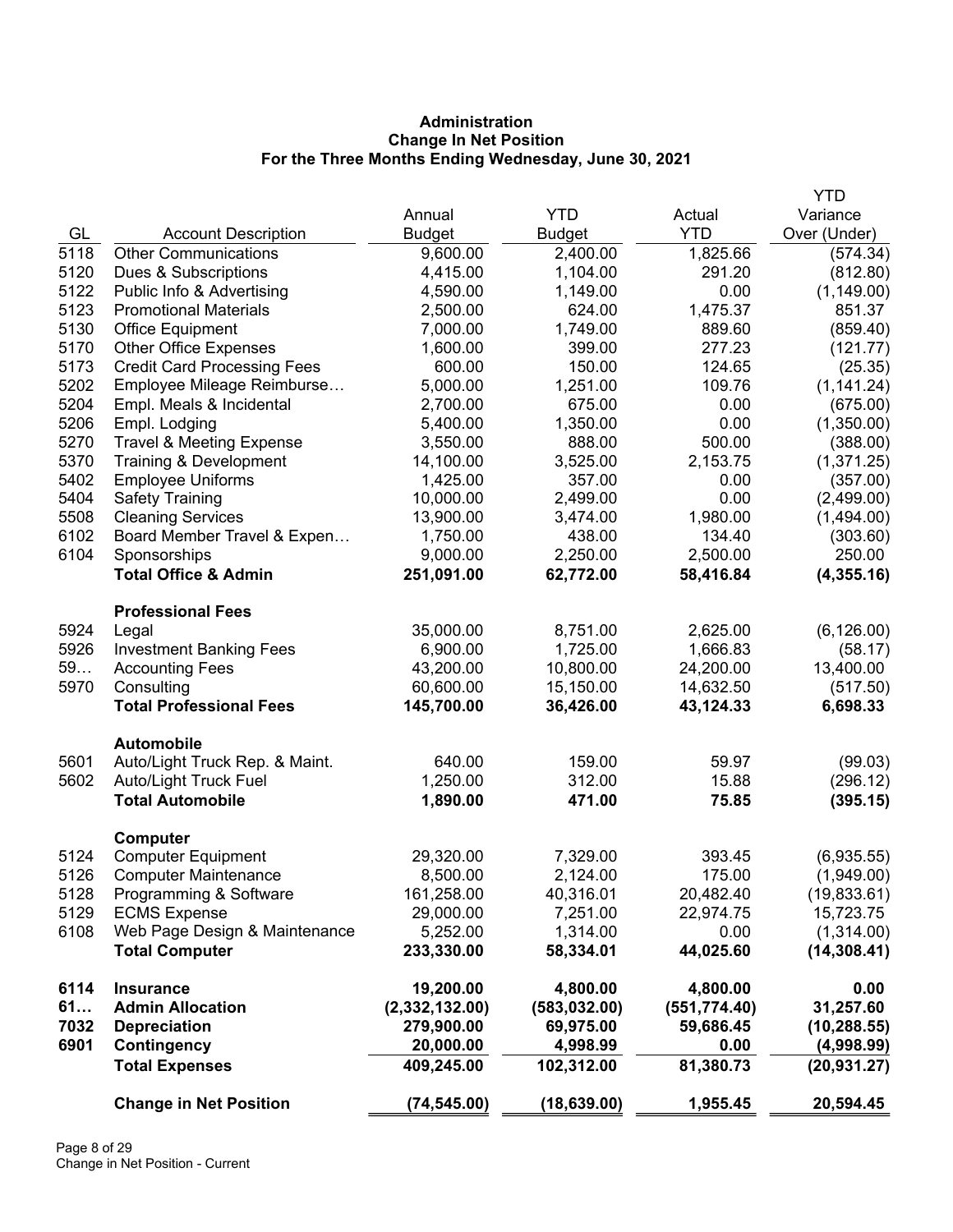# **Administration Change In Net Position For the Three Months Ending Wednesday, June 30, 2021**

|      |                                     |                |               |               | <b>YTD</b>   |
|------|-------------------------------------|----------------|---------------|---------------|--------------|
|      |                                     | Annual         | <b>YTD</b>    | Actual        | Variance     |
| GL   | <b>Account Description</b>          | <b>Budget</b>  | <b>Budget</b> | <b>YTD</b>    | Over (Under) |
| 5118 | <b>Other Communications</b>         | 9,600.00       | 2,400.00      | 1,825.66      | (574.34)     |
| 5120 | Dues & Subscriptions                | 4,415.00       | 1,104.00      | 291.20        | (812.80)     |
| 5122 | Public Info & Advertising           | 4,590.00       | 1,149.00      | 0.00          | (1, 149.00)  |
| 5123 | <b>Promotional Materials</b>        | 2,500.00       | 624.00        | 1,475.37      | 851.37       |
| 5130 | <b>Office Equipment</b>             | 7,000.00       | 1,749.00      | 889.60        | (859.40)     |
| 5170 | <b>Other Office Expenses</b>        | 1,600.00       | 399.00        | 277.23        | (121.77)     |
| 5173 | <b>Credit Card Processing Fees</b>  | 600.00         | 150.00        | 124.65        | (25.35)      |
| 5202 | Employee Mileage Reimburse          | 5,000.00       | 1,251.00      | 109.76        | (1, 141.24)  |
| 5204 | Empl. Meals & Incidental            | 2,700.00       | 675.00        | 0.00          | (675.00)     |
| 5206 | Empl. Lodging                       | 5,400.00       | 1,350.00      | 0.00          | (1,350.00)   |
| 5270 | <b>Travel &amp; Meeting Expense</b> | 3,550.00       | 888.00        | 500.00        | (388.00)     |
| 5370 | Training & Development              | 14,100.00      | 3,525.00      | 2,153.75      | (1,371.25)   |
| 5402 | <b>Employee Uniforms</b>            | 1,425.00       | 357.00        | 0.00          | (357.00)     |
| 5404 | <b>Safety Training</b>              | 10,000.00      | 2,499.00      | 0.00          | (2,499.00)   |
| 5508 | <b>Cleaning Services</b>            | 13,900.00      | 3,474.00      | 1,980.00      | (1,494.00)   |
| 6102 | Board Member Travel & Expen         | 1,750.00       | 438.00        | 134.40        | (303.60)     |
| 6104 | Sponsorships                        | 9,000.00       | 2,250.00      | 2,500.00      | 250.00       |
|      | <b>Total Office &amp; Admin</b>     | 251,091.00     | 62,772.00     | 58,416.84     | (4,355.16)   |
|      | <b>Professional Fees</b>            |                |               |               |              |
| 5924 | Legal                               | 35,000.00      | 8,751.00      | 2,625.00      | (6, 126.00)  |
| 5926 | <b>Investment Banking Fees</b>      | 6,900.00       | 1,725.00      | 1,666.83      | (58.17)      |
| 59   | <b>Accounting Fees</b>              | 43,200.00      | 10,800.00     | 24,200.00     | 13,400.00    |
| 5970 | Consulting                          | 60,600.00      | 15,150.00     | 14,632.50     | (517.50)     |
|      | <b>Total Professional Fees</b>      | 145,700.00     | 36,426.00     | 43,124.33     | 6,698.33     |
|      | <b>Automobile</b>                   |                |               |               |              |
| 5601 | Auto/Light Truck Rep. & Maint.      | 640.00         | 159.00        | 59.97         | (99.03)      |
| 5602 | Auto/Light Truck Fuel               | 1,250.00       | 312.00        | 15.88         | (296.12)     |
|      | <b>Total Automobile</b>             | 1,890.00       | 471.00        | 75.85         | (395.15)     |
|      | <b>Computer</b>                     |                |               |               |              |
| 5124 | <b>Computer Equipment</b>           | 29,320.00      | 7,329.00      | 393.45        | (6,935.55)   |
| 5126 | <b>Computer Maintenance</b>         | 8,500.00       | 2,124.00      | 175.00        | (1,949.00)   |
| 5128 | Programming & Software              | 161,258.00     | 40,316.01     | 20,482.40     | (19, 833.61) |
| 5129 | <b>ECMS Expense</b>                 | 29,000.00      | 7,251.00      | 22,974.75     | 15,723.75    |
| 6108 | Web Page Design & Maintenance       | 5,252.00       | 1,314.00      | 0.00          | (1,314.00)   |
|      | <b>Total Computer</b>               | 233,330.00     | 58,334.01     | 44,025.60     | (14, 308.41) |
| 6114 | <b>Insurance</b>                    | 19,200.00      | 4,800.00      | 4,800.00      | 0.00         |
| 61   | <b>Admin Allocation</b>             | (2,332,132.00) | (583, 032.00) | (551, 774.40) | 31,257.60    |
| 7032 | <b>Depreciation</b>                 | 279,900.00     | 69,975.00     | 59,686.45     | (10, 288.55) |
| 6901 | Contingency                         | 20,000.00      | 4,998.99      | 0.00          | (4,998.99)   |
|      | <b>Total Expenses</b>               | 409,245.00     | 102,312.00    | 81,380.73     | (20, 931.27) |
|      | <b>Change in Net Position</b>       | (74, 545.00)   | (18, 639.00)  | 1,955.45      | 20,594.45    |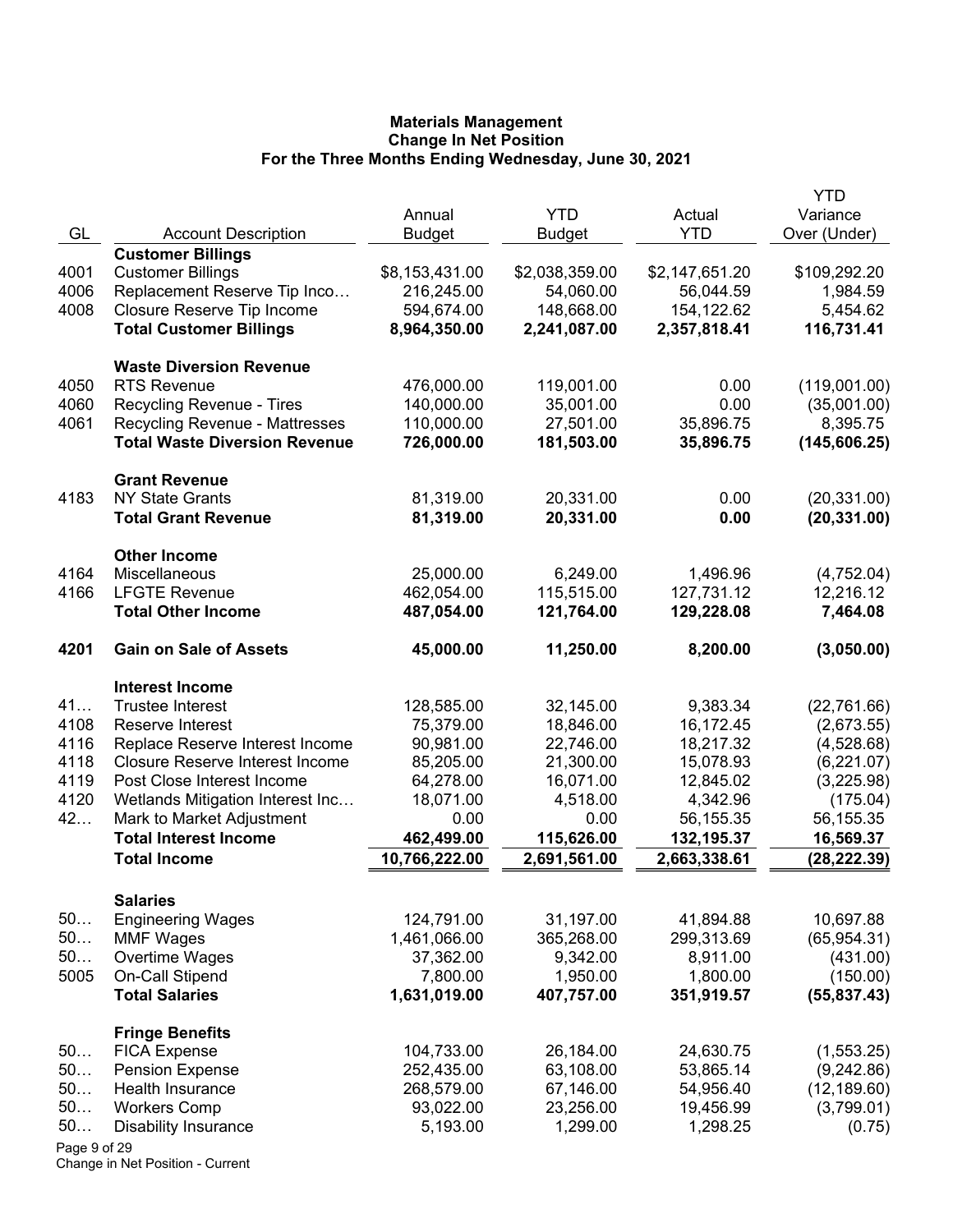|              |                                                               | Annual            | <b>YTD</b>       | Actual                 | <b>YTD</b><br>Variance  |
|--------------|---------------------------------------------------------------|-------------------|------------------|------------------------|-------------------------|
| GL           | <b>Account Description</b>                                    | <b>Budget</b>     | <b>Budget</b>    | <b>YTD</b>             | Over (Under)            |
|              | <b>Customer Billings</b>                                      |                   |                  |                        |                         |
| 4001         | <b>Customer Billings</b>                                      | \$8,153,431.00    | \$2,038,359.00   | \$2,147,651.20         | \$109,292.20            |
| 4006         | Replacement Reserve Tip Inco                                  | 216,245.00        | 54,060.00        | 56,044.59              | 1,984.59                |
| 4008         | Closure Reserve Tip Income                                    | 594,674.00        | 148,668.00       | 154,122.62             | 5,454.62                |
|              | <b>Total Customer Billings</b>                                | 8,964,350.00      | 2,241,087.00     | 2,357,818.41           | 116,731.41              |
|              | <b>Waste Diversion Revenue</b>                                |                   |                  |                        |                         |
| 4050         | <b>RTS Revenue</b>                                            | 476,000.00        | 119,001.00       | 0.00                   | (119,001.00)            |
| 4060         | Recycling Revenue - Tires                                     | 140,000.00        | 35,001.00        | 0.00                   | (35,001.00)             |
| 4061         | <b>Recycling Revenue - Mattresses</b>                         | 110,000.00        | 27,501.00        | 35,896.75              | 8,395.75                |
|              | <b>Total Waste Diversion Revenue</b>                          | 726,000.00        | 181,503.00       | 35,896.75              | (145, 606.25)           |
|              | <b>Grant Revenue</b>                                          |                   |                  |                        |                         |
| 4183         | <b>NY State Grants</b>                                        | 81,319.00         | 20,331.00        | 0.00                   | (20, 331.00)            |
|              | <b>Total Grant Revenue</b>                                    | 81,319.00         | 20,331.00        | 0.00                   | (20, 331.00)            |
| 4164         | <b>Other Income</b><br><b>Miscellaneous</b>                   | 25,000.00         | 6,249.00         |                        |                         |
| 4166         | <b>LFGTE Revenue</b>                                          | 462,054.00        | 115,515.00       | 1,496.96<br>127,731.12 | (4,752.04)<br>12,216.12 |
|              | <b>Total Other Income</b>                                     | 487,054.00        | 121,764.00       | 129,228.08             | 7,464.08                |
|              |                                                               |                   |                  |                        |                         |
| 4201         | <b>Gain on Sale of Assets</b>                                 | 45,000.00         | 11,250.00        | 8,200.00               | (3,050.00)              |
|              | <b>Interest Income</b>                                        |                   |                  |                        |                         |
| 41           | <b>Trustee Interest</b>                                       | 128,585.00        | 32,145.00        | 9,383.34               | (22, 761.66)            |
| 4108         | Reserve Interest                                              | 75,379.00         | 18,846.00        | 16,172.45              | (2,673.55)              |
| 4116         | Replace Reserve Interest Income                               | 90,981.00         | 22,746.00        | 18,217.32              | (4,528.68)              |
| 4118         | <b>Closure Reserve Interest Income</b>                        | 85,205.00         | 21,300.00        | 15,078.93              | (6,221.07)              |
| 4119<br>4120 | Post Close Interest Income                                    | 64,278.00         | 16,071.00        | 12,845.02              | (3,225.98)<br>(175.04)  |
| 42           | Wetlands Mitigation Interest Inc<br>Mark to Market Adjustment | 18,071.00<br>0.00 | 4,518.00<br>0.00 | 4,342.96<br>56,155.35  | 56,155.35               |
|              | <b>Total Interest Income</b>                                  | 462,499.00        | 115,626.00       | 132,195.37             | 16,569.37               |
|              | <b>Total Income</b>                                           | 10,766,222.00     | 2,691,561.00     | 2,663,338.61           | (28, 222.39)            |
|              |                                                               |                   |                  |                        |                         |
| 50           | <b>Salaries</b><br><b>Engineering Wages</b>                   | 124,791.00        | 31,197.00        | 41,894.88              | 10,697.88               |
| 50           | <b>MMF Wages</b>                                              | 1,461,066.00      | 365,268.00       | 299,313.69             | (65, 954.31)            |
| 50           | Overtime Wages                                                | 37,362.00         | 9,342.00         | 8,911.00               | (431.00)                |
| 5005         | On-Call Stipend                                               | 7,800.00          | 1,950.00         | 1,800.00               | (150.00)                |
|              | <b>Total Salaries</b>                                         | 1,631,019.00      | 407,757.00       | 351,919.57             | (55, 837.43)            |
|              | <b>Fringe Benefits</b>                                        |                   |                  |                        |                         |
| 50           | <b>FICA Expense</b>                                           | 104,733.00        | 26,184.00        | 24,630.75              | (1,553.25)              |
| 50           | <b>Pension Expense</b>                                        | 252,435.00        | 63,108.00        | 53,865.14              | (9,242.86)              |
| 50           | Health Insurance                                              | 268,579.00        | 67,146.00        | 54,956.40              | (12, 189.60)            |
| 50           | <b>Workers Comp</b>                                           | 93,022.00         | 23,256.00        | 19,456.99              | (3,799.01)              |
| 50           | <b>Disability Insurance</b>                                   | 5,193.00          | 1,299.00         | 1,298.25               | (0.75)                  |
| Page 9 of 29 |                                                               |                   |                  |                        |                         |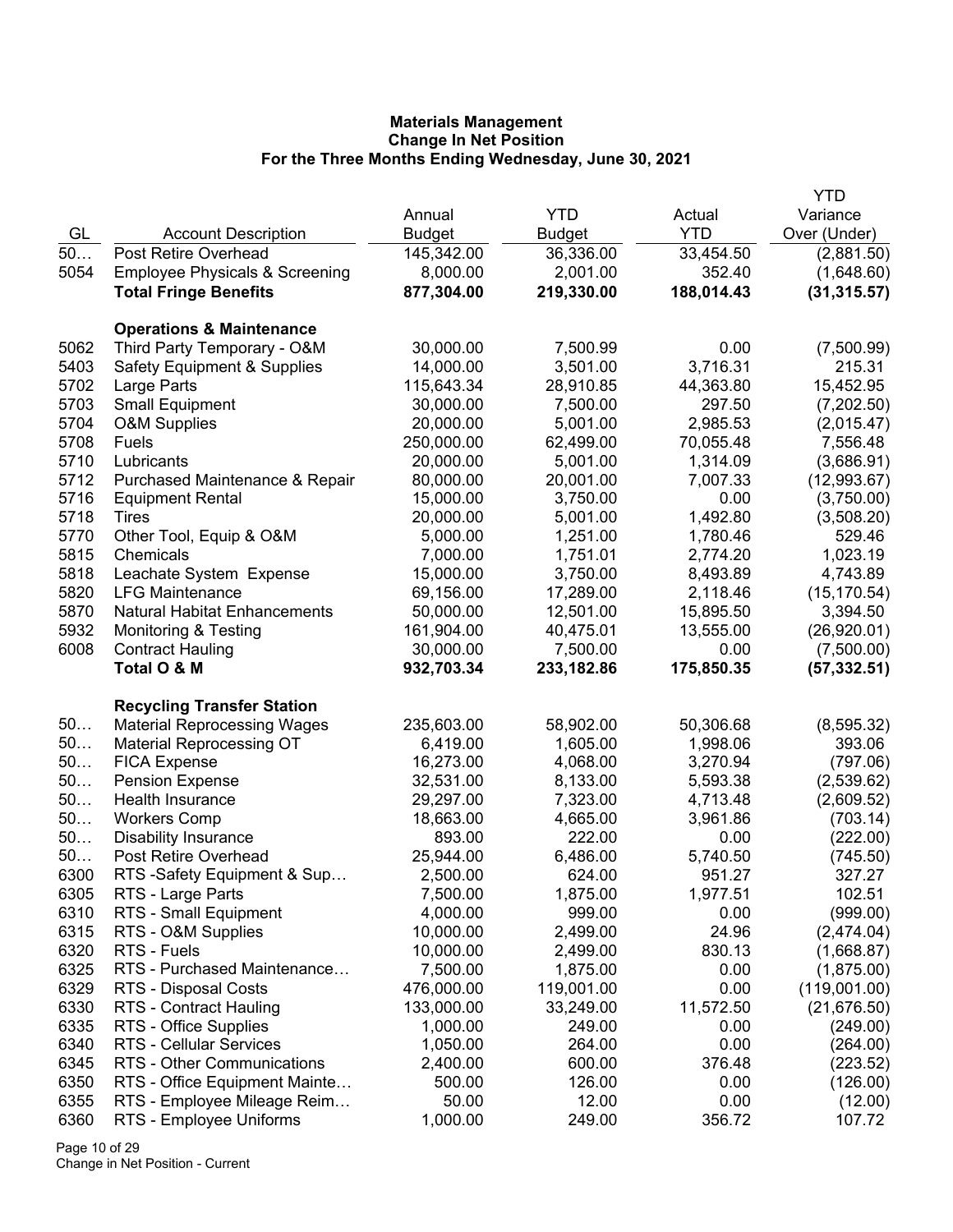|      |                                                                    |               |               |            | YTD          |
|------|--------------------------------------------------------------------|---------------|---------------|------------|--------------|
|      |                                                                    | Annual        | <b>YTD</b>    | Actual     | Variance     |
| GL   | <b>Account Description</b>                                         | <b>Budget</b> | <b>Budget</b> | <b>YTD</b> | Over (Under) |
| 50   | Post Retire Overhead                                               | 145,342.00    | 36,336.00     | 33,454.50  | (2,881.50)   |
| 5054 | <b>Employee Physicals &amp; Screening</b>                          | 8,000.00      | 2,001.00      | 352.40     | (1,648.60)   |
|      | <b>Total Fringe Benefits</b>                                       | 877,304.00    | 219,330.00    | 188,014.43 | (31, 315.57) |
|      |                                                                    |               |               |            |              |
| 5062 | <b>Operations &amp; Maintenance</b><br>Third Party Temporary - O&M | 30,000.00     | 7,500.99      | 0.00       | (7,500.99)   |
| 5403 |                                                                    | 14,000.00     | 3,501.00      | 3,716.31   | 215.31       |
| 5702 | <b>Safety Equipment &amp; Supplies</b>                             | 115,643.34    | 28,910.85     | 44,363.80  | 15,452.95    |
| 5703 | Large Parts<br><b>Small Equipment</b>                              | 30,000.00     | 7,500.00      | 297.50     | (7,202.50)   |
| 5704 | <b>O&amp;M Supplies</b>                                            | 20,000.00     | 5,001.00      | 2,985.53   | (2,015.47)   |
| 5708 | Fuels                                                              | 250,000.00    | 62,499.00     | 70,055.48  | 7,556.48     |
| 5710 | Lubricants                                                         | 20,000.00     | 5,001.00      | 1,314.09   | (3,686.91)   |
| 5712 | Purchased Maintenance & Repair                                     | 80,000.00     | 20,001.00     | 7,007.33   | (12,993.67)  |
| 5716 | <b>Equipment Rental</b>                                            | 15,000.00     | 3,750.00      | 0.00       | (3,750.00)   |
| 5718 | Tires                                                              | 20,000.00     | 5,001.00      | 1,492.80   | (3,508.20)   |
| 5770 | Other Tool, Equip & O&M                                            | 5,000.00      | 1,251.00      | 1,780.46   | 529.46       |
| 5815 | Chemicals                                                          | 7,000.00      | 1,751.01      | 2,774.20   | 1,023.19     |
| 5818 | Leachate System Expense                                            | 15,000.00     | 3,750.00      | 8,493.89   | 4,743.89     |
| 5820 | <b>LFG Maintenance</b>                                             | 69,156.00     | 17,289.00     | 2,118.46   | (15, 170.54) |
| 5870 | <b>Natural Habitat Enhancements</b>                                | 50,000.00     | 12,501.00     | 15,895.50  | 3,394.50     |
| 5932 | Monitoring & Testing                                               | 161,904.00    | 40,475.01     | 13,555.00  | (26,920.01)  |
| 6008 |                                                                    | 30,000.00     | 7,500.00      | 0.00       |              |
|      | <b>Contract Hauling</b><br>Total O & M                             |               |               |            | (7,500.00)   |
|      |                                                                    | 932,703.34    | 233,182.86    | 175,850.35 | (57, 332.51) |
|      | <b>Recycling Transfer Station</b>                                  |               |               |            |              |
| 50   | <b>Material Reprocessing Wages</b>                                 | 235,603.00    | 58,902.00     | 50,306.68  | (8, 595.32)  |
| 50   | <b>Material Reprocessing OT</b>                                    | 6,419.00      | 1,605.00      | 1,998.06   | 393.06       |
| 50   | <b>FICA Expense</b>                                                | 16,273.00     | 4,068.00      | 3,270.94   | (797.06)     |
| 50   | <b>Pension Expense</b>                                             | 32,531.00     | 8,133.00      | 5,593.38   | (2,539.62)   |
| 50   | Health Insurance                                                   | 29,297.00     | 7,323.00      | 4,713.48   | (2,609.52)   |
| 50   | <b>Workers Comp</b>                                                | 18,663.00     | 4,665.00      | 3,961.86   | (703.14)     |
| 50   | <b>Disability Insurance</b>                                        | 893.00        | 222.00        | 0.00       | (222.00)     |
| 50   | <b>Post Retire Overhead</b>                                        | 25,944.00     | 6,486.00      | 5,740.50   | (745.50)     |
| 6300 | RTS-Safety Equipment & Sup                                         | 2,500.00      | 624.00        | 951.27     | 327.27       |
| 6305 | RTS - Large Parts                                                  | 7,500.00      | 1,875.00      | 1,977.51   | 102.51       |
| 6310 | RTS - Small Equipment                                              | 4,000.00      | 999.00        | 0.00       | (999.00)     |
| 6315 | RTS - O&M Supplies                                                 | 10,000.00     | 2,499.00      | 24.96      | (2,474.04)   |
| 6320 | RTS - Fuels                                                        | 10,000.00     | 2,499.00      | 830.13     | (1,668.87)   |
| 6325 | RTS - Purchased Maintenance                                        | 7,500.00      | 1,875.00      | 0.00       | (1,875.00)   |
| 6329 | RTS - Disposal Costs                                               | 476,000.00    | 119,001.00    | 0.00       | (119,001.00) |
| 6330 | RTS - Contract Hauling                                             | 133,000.00    | 33,249.00     | 11,572.50  | (21, 676.50) |
| 6335 | RTS - Office Supplies                                              | 1,000.00      | 249.00        | 0.00       | (249.00)     |
| 6340 | <b>RTS - Cellular Services</b>                                     | 1,050.00      | 264.00        | 0.00       | (264.00)     |
| 6345 | RTS - Other Communications                                         | 2,400.00      | 600.00        | 376.48     | (223.52)     |
| 6350 | RTS - Office Equipment Mainte                                      | 500.00        | 126.00        | 0.00       | (126.00)     |
| 6355 | RTS - Employee Mileage Reim                                        | 50.00         | 12.00         | 0.00       | (12.00)      |
| 6360 | RTS - Employee Uniforms                                            | 1,000.00      | 249.00        | 356.72     | 107.72       |

Page 10 of 29 Change in Net Position - Current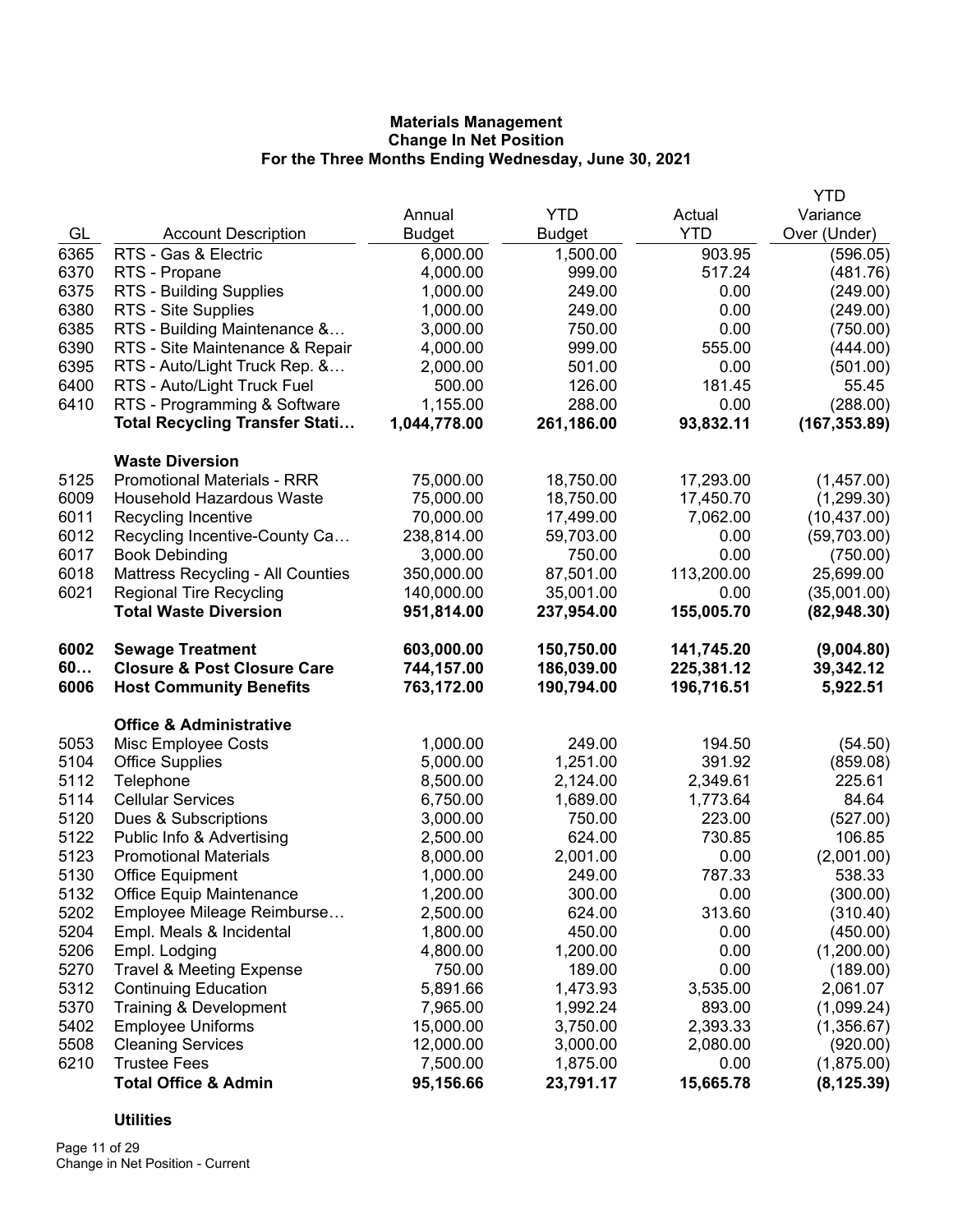|      |                                        |               |               |            | <b>YTD</b>    |
|------|----------------------------------------|---------------|---------------|------------|---------------|
|      |                                        | Annual        | <b>YTD</b>    | Actual     | Variance      |
| GL   | <b>Account Description</b>             | <b>Budget</b> | <b>Budget</b> | <b>YTD</b> | Over (Under)  |
| 6365 | RTS - Gas & Electric                   | 6,000.00      | 1,500.00      | 903.95     | (596.05)      |
| 6370 | RTS - Propane                          | 4,000.00      | 999.00        | 517.24     | (481.76)      |
| 6375 | <b>RTS - Building Supplies</b>         | 1,000.00      | 249.00        | 0.00       | (249.00)      |
| 6380 | RTS - Site Supplies                    | 1,000.00      | 249.00        | 0.00       | (249.00)      |
| 6385 | RTS - Building Maintenance &           | 3,000.00      | 750.00        | 0.00       | (750.00)      |
| 6390 | RTS - Site Maintenance & Repair        | 4,000.00      | 999.00        | 555.00     | (444.00)      |
| 6395 | RTS - Auto/Light Truck Rep. &          | 2,000.00      | 501.00        | 0.00       | (501.00)      |
| 6400 | RTS - Auto/Light Truck Fuel            | 500.00        | 126.00        | 181.45     | 55.45         |
| 6410 | RTS - Programming & Software           | 1,155.00      | 288.00        | 0.00       | (288.00)      |
|      | <b>Total Recycling Transfer Stati</b>  | 1,044,778.00  | 261,186.00    | 93,832.11  | (167, 353.89) |
|      | <b>Waste Diversion</b>                 |               |               |            |               |
| 5125 | <b>Promotional Materials - RRR</b>     | 75,000.00     | 18,750.00     | 17,293.00  | (1,457.00)    |
| 6009 | <b>Household Hazardous Waste</b>       | 75,000.00     | 18,750.00     | 17,450.70  | (1,299.30)    |
| 6011 | Recycling Incentive                    | 70,000.00     | 17,499.00     | 7,062.00   | (10, 437.00)  |
| 6012 | Recycling Incentive-County Ca          | 238,814.00    | 59,703.00     | 0.00       | (59,703.00)   |
| 6017 | <b>Book Debinding</b>                  | 3,000.00      | 750.00        | 0.00       | (750.00)      |
| 6018 | Mattress Recycling - All Counties      | 350,000.00    | 87,501.00     | 113,200.00 | 25,699.00     |
| 6021 | <b>Regional Tire Recycling</b>         | 140,000.00    | 35,001.00     | 0.00       | (35,001.00)   |
|      | <b>Total Waste Diversion</b>           | 951,814.00    | 237,954.00    | 155,005.70 | (82,948.30)   |
| 6002 | <b>Sewage Treatment</b>                | 603,000.00    | 150,750.00    | 141,745.20 | (9,004.80)    |
| 60   | <b>Closure &amp; Post Closure Care</b> | 744,157.00    | 186,039.00    | 225,381.12 | 39,342.12     |
| 6006 | <b>Host Community Benefits</b>         | 763,172.00    | 190,794.00    | 196,716.51 | 5,922.51      |
|      | <b>Office &amp; Administrative</b>     |               |               |            |               |
| 5053 | Misc Employee Costs                    | 1,000.00      | 249.00        | 194.50     | (54.50)       |
| 5104 | <b>Office Supplies</b>                 | 5,000.00      | 1,251.00      | 391.92     | (859.08)      |
| 5112 | Telephone                              | 8,500.00      | 2,124.00      | 2,349.61   | 225.61        |
| 5114 | <b>Cellular Services</b>               | 6,750.00      | 1,689.00      | 1,773.64   | 84.64         |
| 5120 | Dues & Subscriptions                   | 3,000.00      | 750.00        | 223.00     | (527.00)      |
| 5122 | Public Info & Advertising              | 2,500.00      | 624.00        | 730.85     | 106.85        |
| 5123 | <b>Promotional Materials</b>           | 8,000.00      | 2,001.00      | 0.00       | (2,001.00)    |
| 5130 | <b>Office Equipment</b>                | 1,000.00      | 249.00        | 787.33     | 538.33        |
| 5132 | <b>Office Equip Maintenance</b>        | 1,200.00      | 300.00        | 0.00       | (300.00)      |
| 5202 | Employee Mileage Reimburse             | 2,500.00      | 624.00        | 313.60     | (310.40)      |
| 5204 | Empl. Meals & Incidental               | 1,800.00      | 450.00        | 0.00       | (450.00)      |
| 5206 | Empl. Lodging                          | 4,800.00      | 1,200.00      | 0.00       | (1,200.00)    |
| 5270 | <b>Travel &amp; Meeting Expense</b>    | 750.00        | 189.00        | 0.00       | (189.00)      |
| 5312 | <b>Continuing Education</b>            | 5,891.66      | 1,473.93      | 3,535.00   | 2,061.07      |
| 5370 | Training & Development                 | 7,965.00      | 1,992.24      | 893.00     | (1,099.24)    |
| 5402 | <b>Employee Uniforms</b>               | 15,000.00     | 3,750.00      | 2,393.33   | (1,356.67)    |
| 5508 | <b>Cleaning Services</b>               | 12,000.00     | 3,000.00      | 2,080.00   | (920.00)      |
| 6210 | <b>Trustee Fees</b>                    | 7,500.00      | 1,875.00      | 0.00       | (1,875.00)    |
|      | <b>Total Office &amp; Admin</b>        | 95,156.66     | 23,791.17     | 15,665.78  | (8, 125.39)   |

# **Utilities**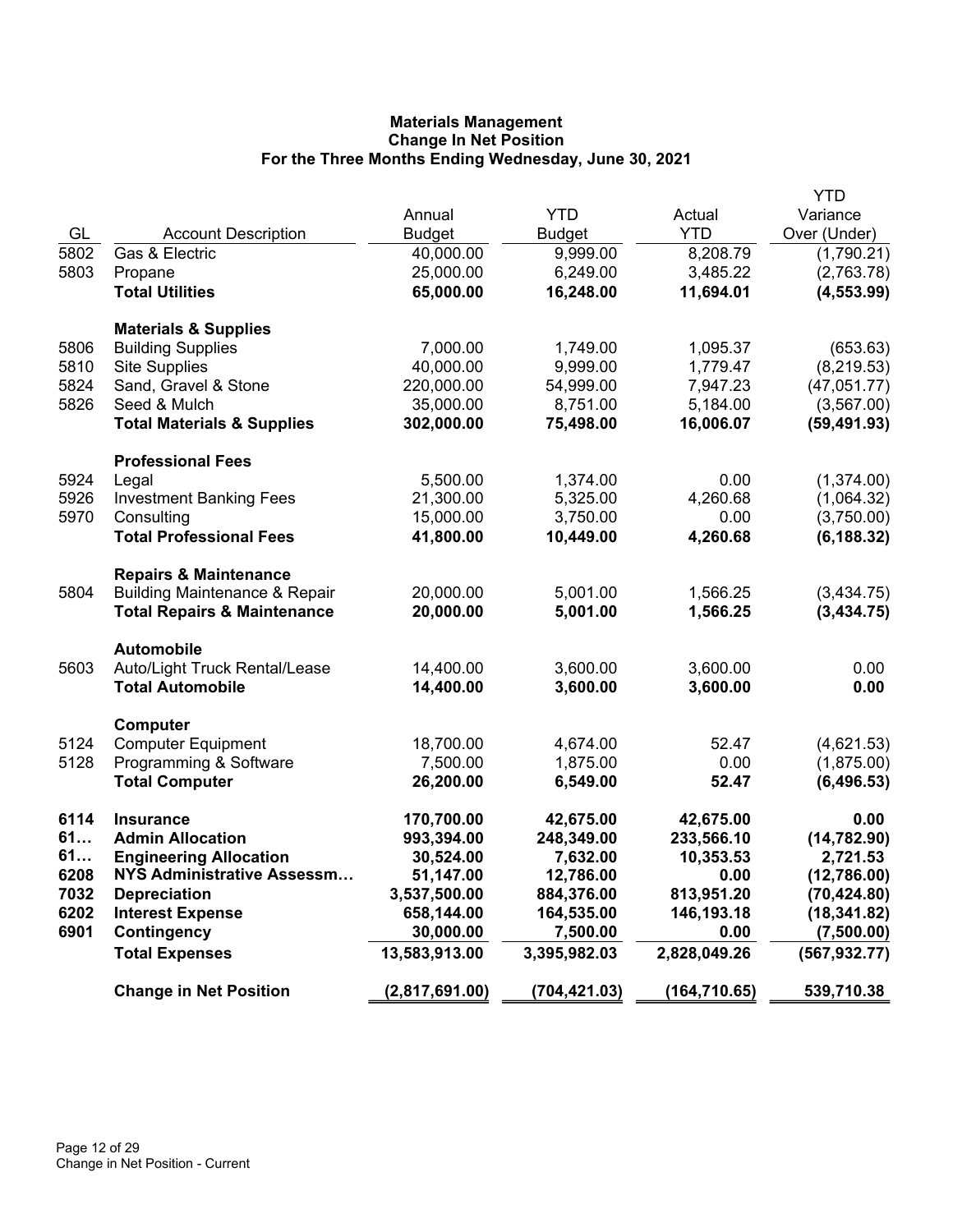|      |                                          |                |               |               | YTD           |
|------|------------------------------------------|----------------|---------------|---------------|---------------|
|      |                                          | Annual         | <b>YTD</b>    | Actual        | Variance      |
| GL   | <b>Account Description</b>               | <b>Budget</b>  | <b>Budget</b> | <b>YTD</b>    | Over (Under)  |
| 5802 | Gas & Electric                           | 40,000.00      | 9,999.00      | 8,208.79      | (1,790.21)    |
| 5803 | Propane                                  | 25,000.00      | 6,249.00      | 3,485.22      | (2,763.78)    |
|      | <b>Total Utilities</b>                   | 65,000.00      | 16,248.00     | 11,694.01     | (4, 553.99)   |
|      |                                          |                |               |               |               |
|      | <b>Materials &amp; Supplies</b>          |                |               |               |               |
| 5806 | <b>Building Supplies</b>                 | 7,000.00       | 1,749.00      | 1,095.37      | (653.63)      |
| 5810 | <b>Site Supplies</b>                     | 40,000.00      | 9,999.00      | 1,779.47      | (8, 219.53)   |
| 5824 | Sand, Gravel & Stone                     | 220,000.00     | 54,999.00     | 7,947.23      | (47,051.77)   |
| 5826 | Seed & Mulch                             | 35,000.00      | 8,751.00      | 5,184.00      | (3, 567.00)   |
|      | <b>Total Materials &amp; Supplies</b>    | 302,000.00     | 75,498.00     | 16,006.07     | (59, 491.93)  |
|      |                                          |                |               |               |               |
|      | <b>Professional Fees</b>                 |                |               |               |               |
| 5924 | Legal                                    | 5,500.00       | 1,374.00      | 0.00          | (1,374.00)    |
| 5926 | <b>Investment Banking Fees</b>           | 21,300.00      | 5,325.00      | 4,260.68      | (1,064.32)    |
| 5970 | Consulting                               | 15,000.00      | 3,750.00      | 0.00          | (3,750.00)    |
|      | <b>Total Professional Fees</b>           | 41,800.00      | 10,449.00     | 4,260.68      | (6, 188.32)   |
|      |                                          |                |               |               |               |
|      | <b>Repairs &amp; Maintenance</b>         |                |               |               |               |
| 5804 | <b>Building Maintenance &amp; Repair</b> | 20,000.00      | 5,001.00      | 1,566.25      | (3,434.75)    |
|      | <b>Total Repairs &amp; Maintenance</b>   | 20,000.00      | 5,001.00      | 1,566.25      | (3,434.75)    |
|      |                                          |                |               |               |               |
|      | <b>Automobile</b>                        |                |               |               |               |
| 5603 | Auto/Light Truck Rental/Lease            | 14,400.00      | 3,600.00      | 3,600.00      | 0.00          |
|      | <b>Total Automobile</b>                  | 14,400.00      | 3,600.00      | 3,600.00      | 0.00          |
|      |                                          |                |               |               |               |
|      | Computer                                 |                |               |               |               |
| 5124 | <b>Computer Equipment</b>                | 18,700.00      | 4,674.00      | 52.47         | (4,621.53)    |
| 5128 | Programming & Software                   | 7,500.00       | 1,875.00      | 0.00          | (1,875.00)    |
|      | <b>Total Computer</b>                    | 26,200.00      | 6,549.00      | 52.47         | (6, 496.53)   |
|      |                                          |                |               |               |               |
| 6114 | <b>Insurance</b>                         | 170,700.00     | 42,675.00     | 42,675.00     | 0.00          |
| 61   | <b>Admin Allocation</b>                  | 993,394.00     | 248,349.00    | 233,566.10    | (14, 782.90)  |
| 61   | <b>Engineering Allocation</b>            | 30,524.00      | 7,632.00      | 10,353.53     | 2,721.53      |
| 6208 | <b>NYS Administrative Assessm</b>        | 51,147.00      | 12,786.00     | 0.00          | (12,786.00)   |
| 7032 | <b>Depreciation</b>                      | 3,537,500.00   | 884,376.00    | 813,951.20    | (70, 424.80)  |
| 6202 | <b>Interest Expense</b>                  | 658,144.00     | 164,535.00    | 146,193.18    | (18, 341.82)  |
| 6901 | Contingency                              | 30,000.00      | 7,500.00      | 0.00          | (7,500.00)    |
|      | <b>Total Expenses</b>                    | 13,583,913.00  | 3,395,982.03  | 2,828,049.26  | (567, 932.77) |
|      | <b>Change in Net Position</b>            | (2,817,691.00) | (704,421.03)  | (164, 710.65) | 539,710.38    |
|      |                                          |                |               |               |               |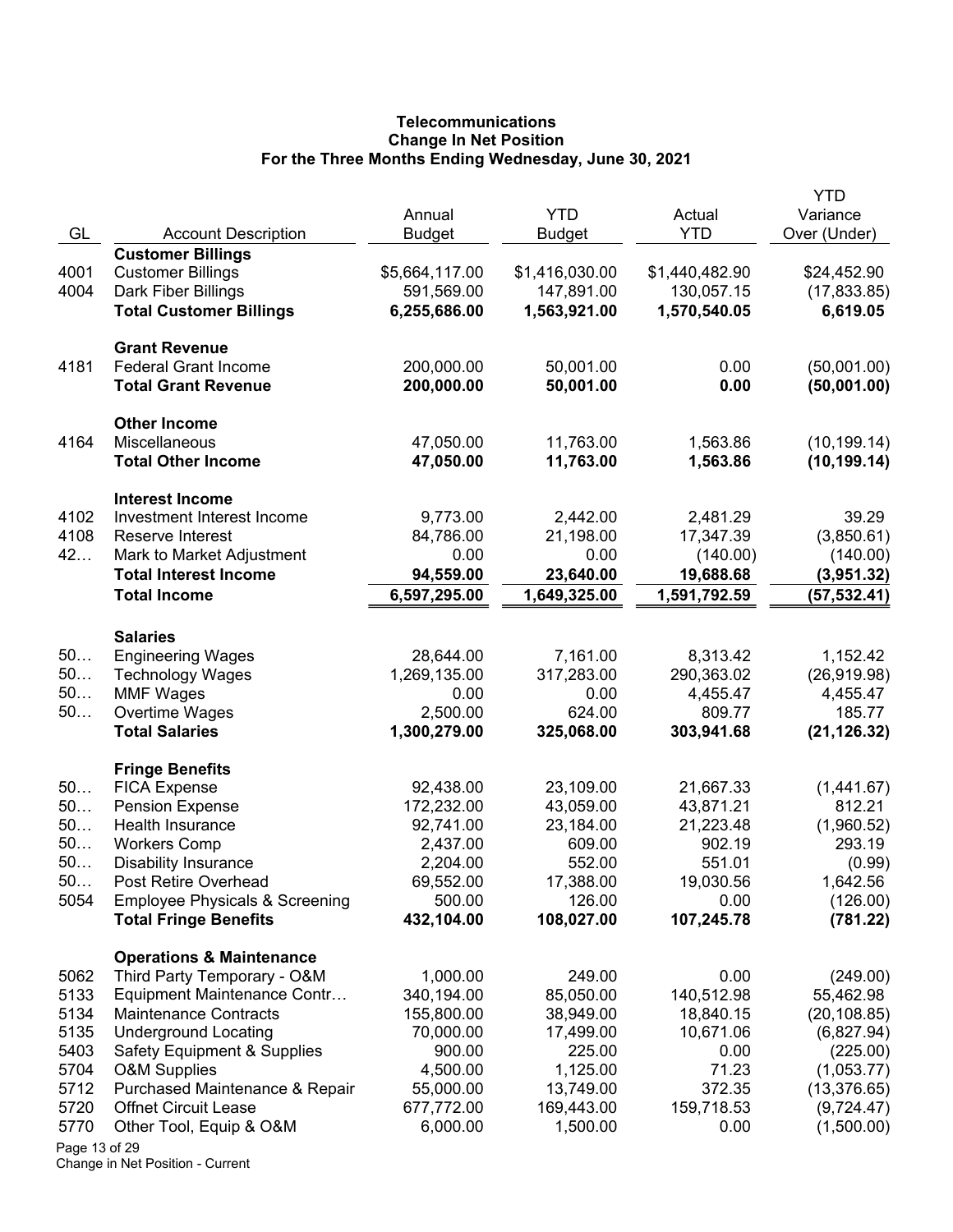# **Telecommunications Change In Net Position For the Three Months Ending Wednesday, June 30, 2021**

| GL            | <b>Account Description</b>                                                | Annual<br><b>Budget</b> | <b>YTD</b><br>Budget | Actual<br><b>YTD</b> | YTD<br>Variance<br>Over (Under) |
|---------------|---------------------------------------------------------------------------|-------------------------|----------------------|----------------------|---------------------------------|
|               | <b>Customer Billings</b>                                                  |                         |                      |                      |                                 |
| 4001          | <b>Customer Billings</b>                                                  | \$5,664,117.00          | \$1,416,030.00       | \$1,440,482.90       | \$24,452.90                     |
| 4004          | Dark Fiber Billings                                                       | 591,569.00              | 147,891.00           | 130,057.15           | (17, 833.85)                    |
|               | <b>Total Customer Billings</b>                                            | 6,255,686.00            | 1,563,921.00         | 1,570,540.05         | 6,619.05                        |
|               | <b>Grant Revenue</b>                                                      |                         |                      |                      |                                 |
| 4181          | <b>Federal Grant Income</b>                                               | 200,000.00              | 50,001.00            | 0.00                 | (50,001.00)                     |
|               | <b>Total Grant Revenue</b>                                                | 200,000.00              | 50,001.00            | 0.00                 | (50,001.00)                     |
|               | <b>Other Income</b>                                                       |                         |                      |                      |                                 |
| 4164          | Miscellaneous                                                             | 47,050.00               | 11,763.00            | 1,563.86             | (10, 199.14)                    |
|               | <b>Total Other Income</b>                                                 | 47,050.00               | 11,763.00            | 1,563.86             | (10, 199.14)                    |
|               | <b>Interest Income</b>                                                    |                         |                      |                      |                                 |
| 4102          | Investment Interest Income                                                | 9,773.00                | 2,442.00             | 2,481.29             | 39.29                           |
| 4108          | Reserve Interest                                                          | 84,786.00               | 21,198.00            | 17,347.39            | (3,850.61)                      |
| 42            | Mark to Market Adjustment                                                 | 0.00                    | 0.00                 | (140.00)             | (140.00)                        |
|               | <b>Total Interest Income</b>                                              | 94,559.00               | 23,640.00            | 19,688.68            | (3,951.32)                      |
|               | <b>Total Income</b>                                                       | 6,597,295.00            | 1,649,325.00         | 1,591,792.59         | (57, 532.41)                    |
|               | <b>Salaries</b>                                                           |                         |                      |                      |                                 |
| 50            | <b>Engineering Wages</b>                                                  | 28,644.00               | 7,161.00             | 8,313.42             | 1,152.42                        |
| 50            | <b>Technology Wages</b>                                                   | 1,269,135.00            | 317,283.00           | 290,363.02           | (26, 919.98)                    |
| 50            | <b>MMF Wages</b>                                                          | 0.00                    | 0.00                 | 4,455.47             | 4,455.47                        |
| $50$          | Overtime Wages                                                            | 2,500.00                | 624.00               | 809.77               | 185.77                          |
|               | <b>Total Salaries</b>                                                     | 1,300,279.00            | 325,068.00           | 303,941.68           | (21, 126.32)                    |
|               | <b>Fringe Benefits</b>                                                    |                         |                      |                      |                                 |
| 50            | <b>FICA Expense</b>                                                       | 92,438.00               | 23,109.00            | 21,667.33            | (1,441.67)                      |
| 50            | <b>Pension Expense</b>                                                    | 172,232.00              | 43,059.00            | 43,871.21            | 812.21                          |
| 50            | Health Insurance                                                          | 92,741.00               | 23,184.00            | 21,223.48            | (1,960.52)                      |
| 50            | <b>Workers Comp</b>                                                       | 2,437.00                | 609.00               | 902.19               | 293.19                          |
| 50            | <b>Disability Insurance</b>                                               | 2,204.00                | 552.00               | 551.01               | (0.99)                          |
| 50            | Post Retire Overhead                                                      | 69,552.00               | 17,388.00            | 19,030.56            | 1,642.56                        |
| 5054          | <b>Employee Physicals &amp; Screening</b><br><b>Total Fringe Benefits</b> | 500.00<br>432,104.00    | 126.00<br>108,027.00 | 0.00<br>107,245.78   | (126.00)<br>(781.22)            |
|               |                                                                           |                         |                      |                      |                                 |
|               | <b>Operations &amp; Maintenance</b>                                       |                         |                      |                      |                                 |
| 5062<br>5133  | Third Party Temporary - O&M                                               | 1,000.00<br>340,194.00  | 249.00<br>85,050.00  | 0.00<br>140,512.98   | (249.00)                        |
| 5134          | Equipment Maintenance Contr<br><b>Maintenance Contracts</b>               | 155,800.00              | 38,949.00            | 18,840.15            | 55,462.98<br>(20, 108.85)       |
| 5135          | <b>Underground Locating</b>                                               | 70,000.00               | 17,499.00            | 10,671.06            |                                 |
| 5403          | <b>Safety Equipment &amp; Supplies</b>                                    | 900.00                  | 225.00               | 0.00                 | (6,827.94)<br>(225.00)          |
| 5704          | <b>O&amp;M Supplies</b>                                                   | 4,500.00                | 1,125.00             | 71.23                | (1,053.77)                      |
| 5712          | Purchased Maintenance & Repair                                            | 55,000.00               | 13,749.00            | 372.35               | (13, 376.65)                    |
| 5720          | <b>Offnet Circuit Lease</b>                                               | 677,772.00              | 169,443.00           | 159,718.53           | (9,724.47)                      |
| 5770          | Other Tool, Equip & O&M                                                   | 6,000.00                | 1,500.00             | 0.00                 | (1,500.00)                      |
| Page 13 of 29 |                                                                           |                         |                      |                      |                                 |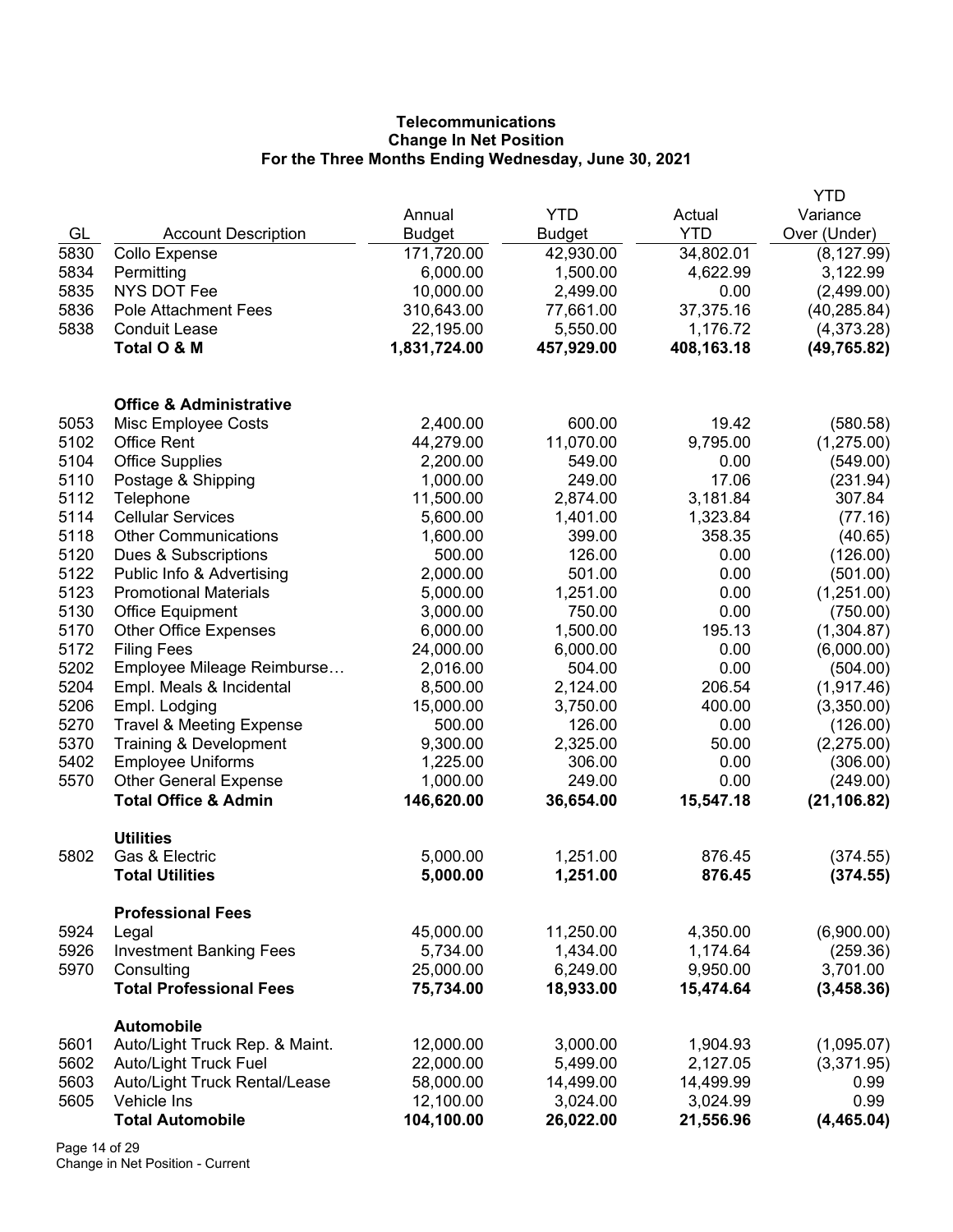# **Telecommunications Change In Net Position For the Three Months Ending Wednesday, June 30, 2021**

|      |                                                     |               |               |            | <b>YTD</b>           |
|------|-----------------------------------------------------|---------------|---------------|------------|----------------------|
|      |                                                     | Annual        | <b>YTD</b>    | Actual     | Variance             |
| GL   | <b>Account Description</b>                          | <b>Budget</b> | <b>Budget</b> | <b>YTD</b> | Over (Under)         |
| 5830 | Collo Expense                                       | 171,720.00    | 42,930.00     | 34,802.01  | (8, 127.99)          |
| 5834 | Permitting                                          | 6,000.00      | 1,500.00      | 4,622.99   | 3,122.99             |
| 5835 | <b>NYS DOT Fee</b>                                  | 10,000.00     | 2,499.00      | 0.00       | (2,499.00)           |
| 5836 | Pole Attachment Fees                                | 310,643.00    | 77,661.00     | 37,375.16  | (40, 285.84)         |
| 5838 | <b>Conduit Lease</b>                                | 22,195.00     | 5,550.00      | 1,176.72   | (4,373.28)           |
|      | Total O & M                                         | 1,831,724.00  | 457,929.00    | 408,163.18 | (49, 765.82)         |
|      | <b>Office &amp; Administrative</b>                  |               |               |            |                      |
| 5053 | Misc Employee Costs                                 | 2,400.00      | 600.00        | 19.42      | (580.58)             |
| 5102 | <b>Office Rent</b>                                  | 44,279.00     | 11,070.00     | 9,795.00   | (1,275.00)           |
| 5104 | <b>Office Supplies</b>                              | 2,200.00      | 549.00        | 0.00       | (549.00)             |
| 5110 | Postage & Shipping                                  | 1,000.00      | 249.00        | 17.06      | (231.94)             |
| 5112 | Telephone                                           | 11,500.00     | 2,874.00      | 3,181.84   | 307.84               |
| 5114 | <b>Cellular Services</b>                            | 5,600.00      | 1,401.00      | 1,323.84   | (77.16)              |
| 5118 | <b>Other Communications</b>                         | 1,600.00      | 399.00        | 358.35     | (40.65)              |
| 5120 | Dues & Subscriptions                                | 500.00        | 126.00        | 0.00       | (126.00)             |
| 5122 | Public Info & Advertising                           | 2,000.00      | 501.00        | 0.00       | (501.00)             |
| 5123 | <b>Promotional Materials</b>                        | 5,000.00      | 1,251.00      | 0.00       | (1,251.00)           |
| 5130 | <b>Office Equipment</b>                             | 3,000.00      | 750.00        | 0.00       | (750.00)             |
| 5170 | <b>Other Office Expenses</b>                        | 6,000.00      | 1,500.00      | 195.13     | (1,304.87)           |
| 5172 | <b>Filing Fees</b>                                  | 24,000.00     | 6,000.00      | 0.00       | (6,000.00)           |
| 5202 | Employee Mileage Reimburse                          | 2,016.00      | 504.00        | 0.00       | (504.00)             |
| 5204 | Empl. Meals & Incidental                            | 8,500.00      | 2,124.00      | 206.54     | (1, 917.46)          |
| 5206 | Empl. Lodging                                       | 15,000.00     | 3,750.00      | 400.00     | (3,350.00)           |
| 5270 | <b>Travel &amp; Meeting Expense</b>                 | 500.00        | 126.00        | 0.00       | (126.00)             |
| 5370 | Training & Development                              | 9,300.00      | 2,325.00      | 50.00      | (2,275.00)           |
| 5402 | <b>Employee Uniforms</b>                            | 1,225.00      | 306.00        | 0.00       | (306.00)             |
| 5570 | <b>Other General Expense</b>                        | 1,000.00      | 249.00        | 0.00       | (249.00)             |
|      | <b>Total Office &amp; Admin</b>                     | 146,620.00    | 36,654.00     | 15,547.18  | (21, 106.82)         |
| 5802 | <b>Utilities</b><br>Gas & Electric                  | 5,000.00      | 1,251.00      | 876.45     |                      |
|      | <b>Total Utilities</b>                              | 5,000.00      | 1,251.00      | 876.45     | (374.55)<br>(374.55) |
|      | <b>Professional Fees</b>                            |               |               |            |                      |
| 5924 | Legal                                               | 45,000.00     | 11,250.00     | 4,350.00   | (6,900.00)           |
| 5926 | <b>Investment Banking Fees</b>                      | 5,734.00      | 1,434.00      | 1,174.64   | (259.36)             |
| 5970 | Consulting                                          | 25,000.00     | 6,249.00      | 9,950.00   | 3,701.00             |
|      | <b>Total Professional Fees</b>                      | 75,734.00     | 18,933.00     | 15,474.64  | (3,458.36)           |
| 5601 | <b>Automobile</b><br>Auto/Light Truck Rep. & Maint. | 12,000.00     | 3,000.00      | 1,904.93   | (1,095.07)           |
| 5602 | <b>Auto/Light Truck Fuel</b>                        | 22,000.00     | 5,499.00      | 2,127.05   | (3,371.95)           |
| 5603 | Auto/Light Truck Rental/Lease                       | 58,000.00     | 14,499.00     | 14,499.99  | 0.99                 |
| 5605 | Vehicle Ins                                         | 12,100.00     | 3,024.00      | 3,024.99   | 0.99                 |
|      | <b>Total Automobile</b>                             | 104,100.00    | 26,022.00     | 21,556.96  | (4,465.04)           |
|      |                                                     |               |               |            |                      |

Page 14 of 29 Change in Net Position - Current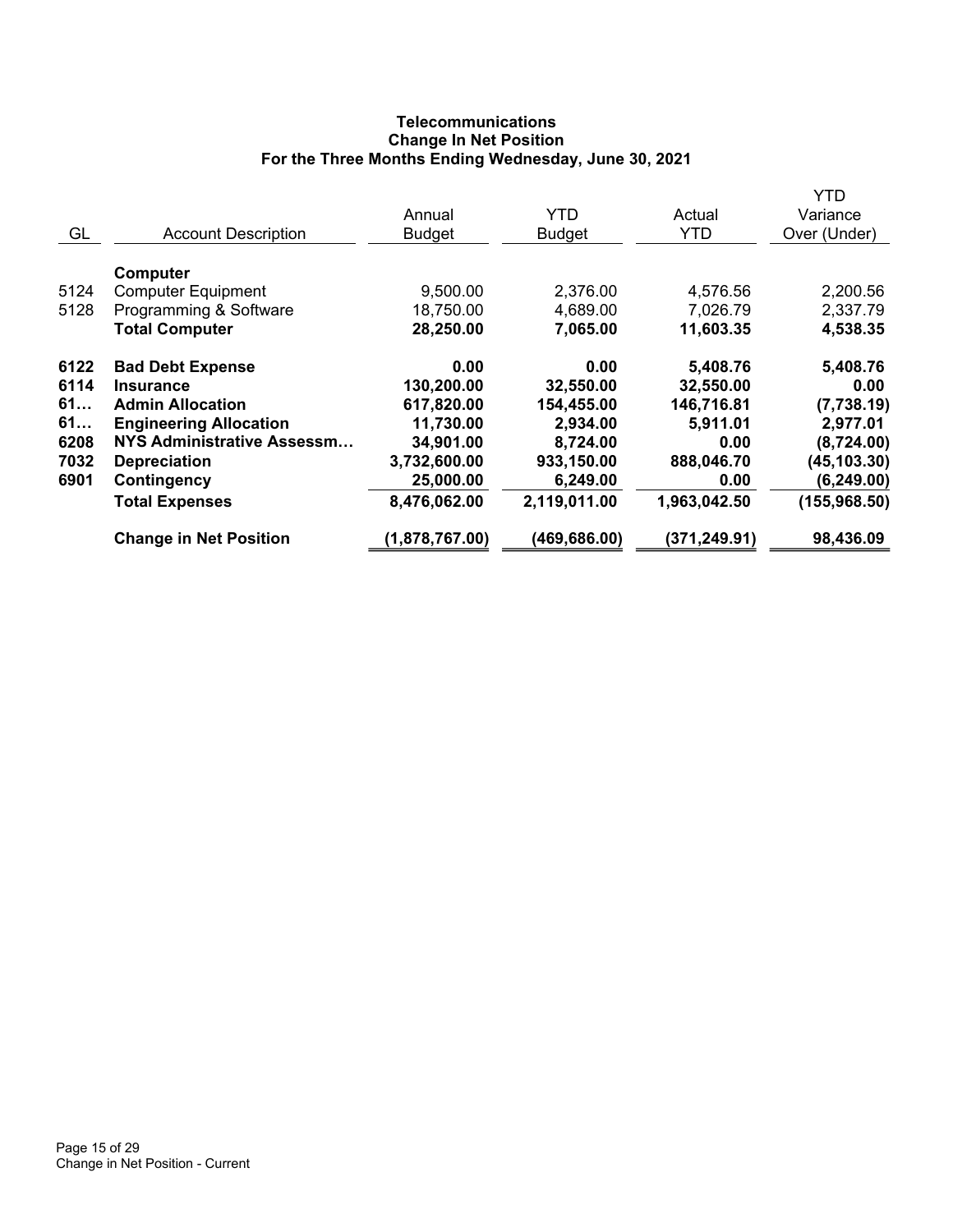# **Telecommunications Change In Net Position For the Three Months Ending Wednesday, June 30, 2021**

|      |                                              |                |               |               | YTD           |
|------|----------------------------------------------|----------------|---------------|---------------|---------------|
|      |                                              | Annual         | YTD           | Actual        | Variance      |
| GL   | <b>Account Description</b>                   | <b>Budget</b>  | <b>Budget</b> | <b>YTD</b>    | Over (Under)  |
| 5124 | <b>Computer</b><br><b>Computer Equipment</b> | 9,500.00       | 2,376.00      | 4,576.56      | 2,200.56      |
| 5128 | Programming & Software                       | 18,750.00      | 4,689.00      | 7,026.79      | 2,337.79      |
|      | <b>Total Computer</b>                        | 28,250.00      | 7,065.00      | 11,603.35     | 4,538.35      |
| 6122 | <b>Bad Debt Expense</b>                      | 0.00           | 0.00          | 5,408.76      | 5,408.76      |
| 6114 | <b>Insurance</b>                             | 130,200.00     | 32,550.00     | 32,550.00     | 0.00          |
| 61   | <b>Admin Allocation</b>                      | 617,820.00     | 154,455.00    | 146,716.81    | (7,738.19)    |
| 61   | <b>Engineering Allocation</b>                | 11,730.00      | 2,934.00      | 5,911.01      | 2,977.01      |
| 6208 | <b>NYS Administrative Assessm</b>            | 34,901.00      | 8,724.00      | 0.00          | (8,724.00)    |
| 7032 | <b>Depreciation</b>                          | 3,732,600.00   | 933,150.00    | 888,046.70    | (45, 103.30)  |
| 6901 | Contingency                                  | 25,000.00      | 6,249.00      | 0.00          | (6, 249.00)   |
|      | <b>Total Expenses</b>                        | 8,476,062.00   | 2,119,011.00  | 1,963,042.50  | (155, 968.50) |
|      | <b>Change in Net Position</b>                | (1,878,767.00) | (469, 686.00) | (371, 249.91) | 98,436.09     |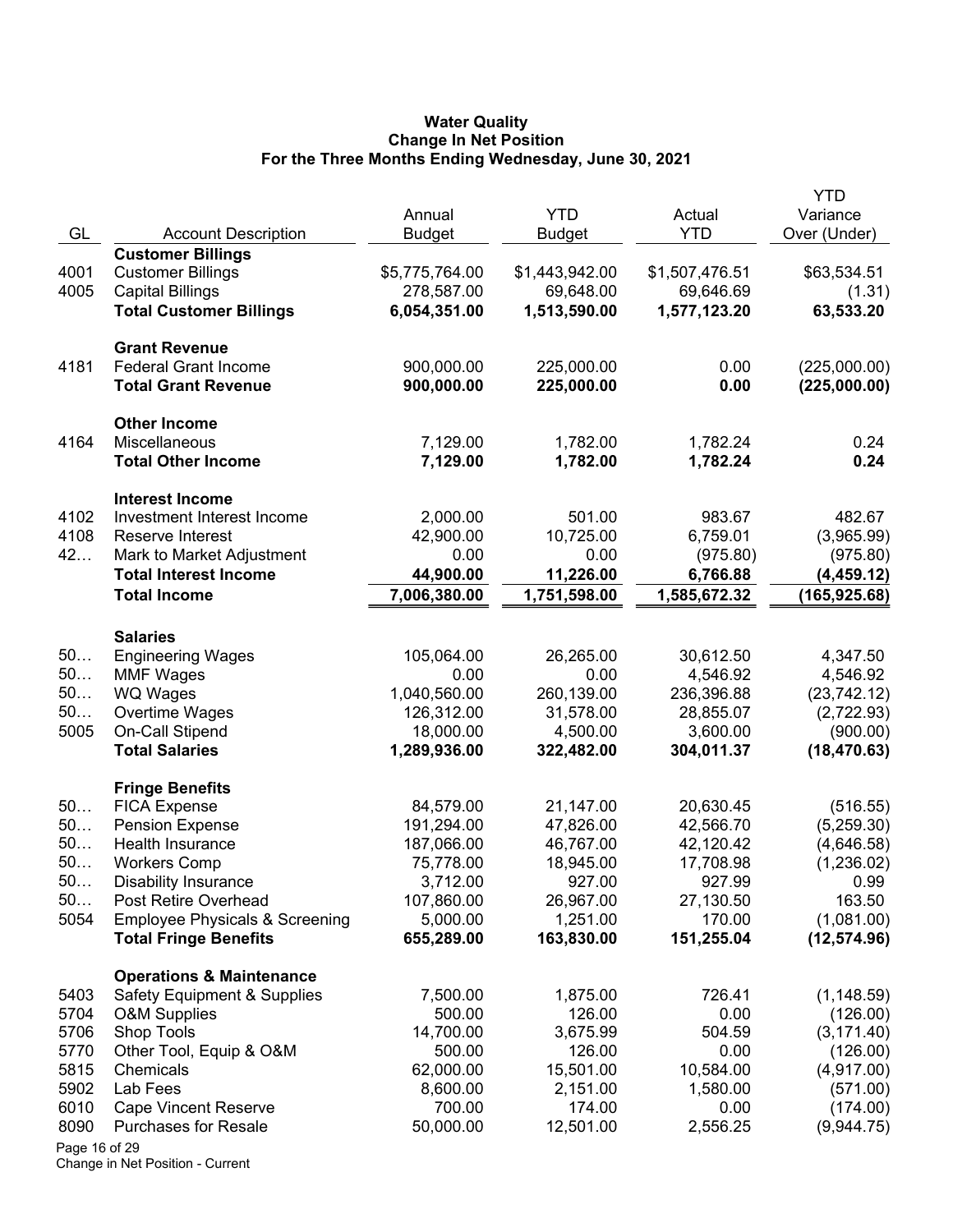#### **Water Quality Change In Net Position For the Three Months Ending Wednesday, June 30, 2021**

|               |                                                                           | Annual                 | <b>YTD</b>             | Actual               | YTD<br>Variance            |
|---------------|---------------------------------------------------------------------------|------------------------|------------------------|----------------------|----------------------------|
| GL            | <b>Account Description</b>                                                | <b>Budget</b>          | Budget                 | <b>YTD</b>           | Over (Under)               |
|               | <b>Customer Billings</b>                                                  |                        |                        |                      |                            |
| 4001          | <b>Customer Billings</b>                                                  | \$5,775,764.00         | \$1,443,942.00         | \$1,507,476.51       | \$63,534.51                |
| 4005          | <b>Capital Billings</b>                                                   | 278,587.00             | 69,648.00              | 69,646.69            | (1.31)                     |
|               | <b>Total Customer Billings</b>                                            | 6,054,351.00           | 1,513,590.00           | 1,577,123.20         | 63,533.20                  |
|               | <b>Grant Revenue</b>                                                      |                        |                        |                      |                            |
| 4181          | <b>Federal Grant Income</b>                                               | 900,000.00             | 225,000.00             | 0.00                 | (225,000.00)               |
|               | <b>Total Grant Revenue</b>                                                | 900,000.00             | 225,000.00             | 0.00                 | (225,000.00)               |
|               | <b>Other Income</b>                                                       |                        |                        |                      |                            |
| 4164          | Miscellaneous                                                             | 7,129.00               | 1,782.00               | 1,782.24             | 0.24                       |
|               | <b>Total Other Income</b>                                                 | 7,129.00               | 1,782.00               | 1,782.24             | 0.24                       |
|               | <b>Interest Income</b>                                                    |                        |                        |                      |                            |
| 4102          | Investment Interest Income                                                | 2,000.00               | 501.00                 | 983.67               | 482.67                     |
| 4108          | Reserve Interest                                                          | 42,900.00              | 10,725.00              | 6,759.01             | (3,965.99)                 |
| 42            | Mark to Market Adjustment                                                 | 0.00                   | 0.00                   | (975.80)             | (975.80)                   |
|               | <b>Total Interest Income</b>                                              | 44,900.00              | 11,226.00              | 6,766.88             | (4, 459.12)                |
|               | <b>Total Income</b>                                                       | 7,006,380.00           | 1,751,598.00           | 1,585,672.32         | (165, 925.68)              |
|               | <b>Salaries</b>                                                           |                        |                        |                      |                            |
| 50            | <b>Engineering Wages</b>                                                  | 105,064.00             | 26,265.00              | 30,612.50            | 4,347.50                   |
| 50            | <b>MMF Wages</b>                                                          | 0.00                   | 0.00                   | 4,546.92             | 4,546.92                   |
| 50            | <b>WQ Wages</b>                                                           | 1,040,560.00           | 260,139.00             | 236,396.88           | (23, 742.12)               |
| 50            | Overtime Wages                                                            | 126,312.00             | 31,578.00              | 28,855.07            | (2,722.93)                 |
| 5005          | On-Call Stipend                                                           | 18,000.00              | 4,500.00               | 3,600.00             | (900.00)                   |
|               | <b>Total Salaries</b>                                                     | 1,289,936.00           | 322,482.00             | 304,011.37           | (18, 470.63)               |
|               | <b>Fringe Benefits</b>                                                    |                        |                        |                      |                            |
| 50            | <b>FICA Expense</b>                                                       | 84,579.00              | 21,147.00              | 20,630.45            | (516.55)                   |
| 50            | <b>Pension Expense</b>                                                    | 191,294.00             | 47,826.00              | 42,566.70            | (5,259.30)                 |
| 50            | Health Insurance                                                          | 187,066.00             | 46,767.00              | 42,120.42            | (4,646.58)                 |
| 50            | <b>Workers Comp</b>                                                       | 75,778.00              | 18,945.00              | 17,708.98            | (1,236.02)                 |
| 50            | Disability Insurance                                                      | 3,712.00               | 927.00                 | 927.99               | 0.99                       |
| 50            | Post Retire Overhead                                                      | 107,860.00             | 26,967.00              | 27,130.50            | 163.50                     |
| 5054          | <b>Employee Physicals &amp; Screening</b><br><b>Total Fringe Benefits</b> | 5,000.00<br>655,289.00 | 1,251.00<br>163,830.00 | 170.00<br>151,255.04 | (1,081.00)<br>(12, 574.96) |
|               |                                                                           |                        |                        |                      |                            |
|               | <b>Operations &amp; Maintenance</b>                                       |                        |                        |                      |                            |
| 5403          | <b>Safety Equipment &amp; Supplies</b>                                    | 7,500.00               | 1,875.00               | 726.41               | (1, 148.59)                |
| 5704          | <b>O&amp;M Supplies</b>                                                   | 500.00                 | 126.00                 | 0.00                 | (126.00)                   |
| 5706          | Shop Tools                                                                | 14,700.00              | 3,675.99               | 504.59               | (3, 171.40)                |
| 5770          | Other Tool, Equip & O&M                                                   | 500.00                 | 126.00                 | 0.00                 | (126.00)                   |
| 5815<br>5902  | Chemicals<br>Lab Fees                                                     | 62,000.00              | 15,501.00              | 10,584.00            | (4,917.00)                 |
| 6010          |                                                                           | 8,600.00<br>700.00     | 2,151.00<br>174.00     | 1,580.00<br>0.00     | (571.00)<br>(174.00)       |
| 8090          | <b>Cape Vincent Reserve</b><br><b>Purchases for Resale</b>                | 50,000.00              | 12,501.00              | 2,556.25             | (9,944.75)                 |
| Page 16 of 29 |                                                                           |                        |                        |                      |                            |
|               |                                                                           |                        |                        |                      |                            |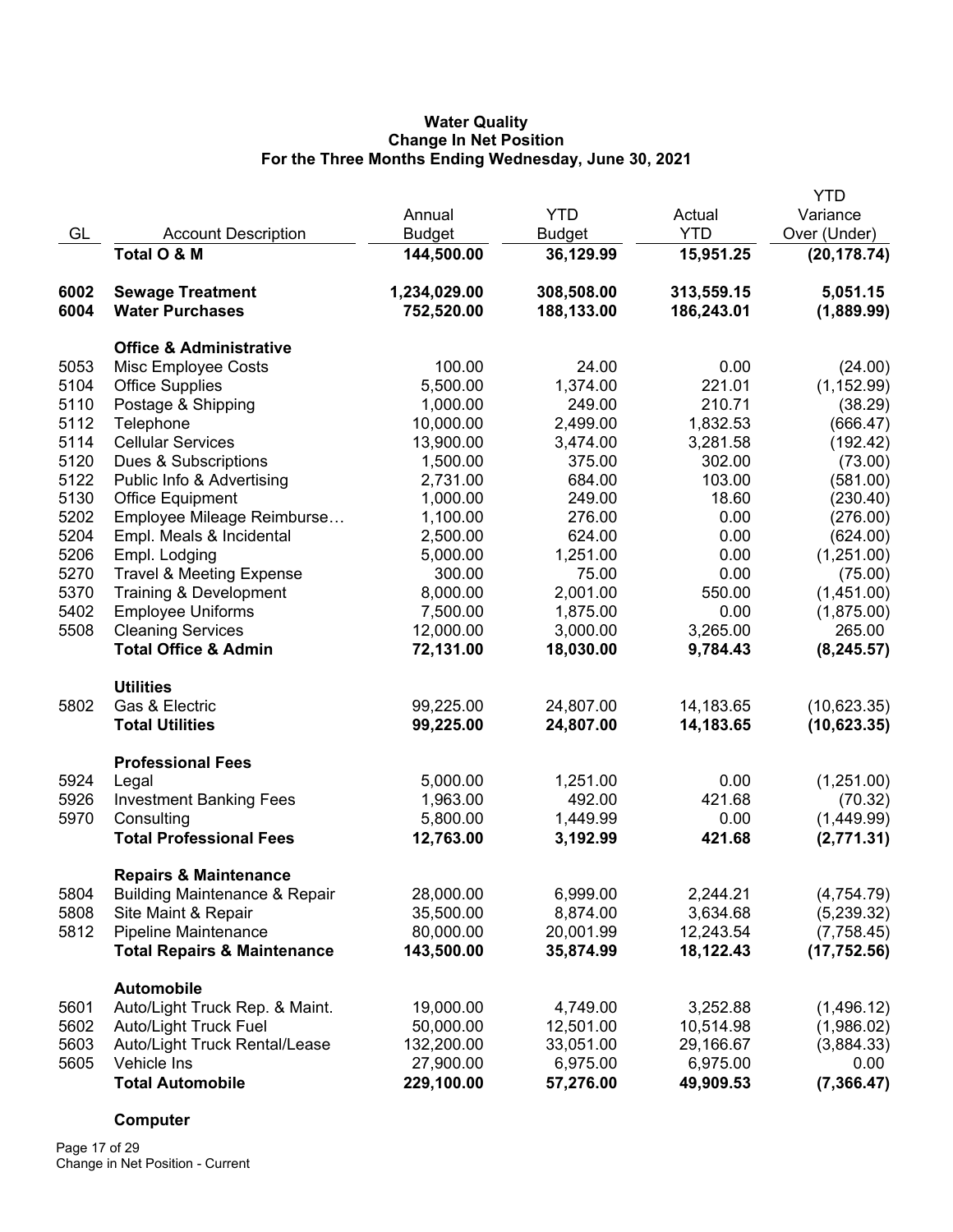## **Water Quality Change In Net Position For the Three Months Ending Wednesday, June 30, 2021**

|      |                                          |               |               |            | <b>YTD</b>   |
|------|------------------------------------------|---------------|---------------|------------|--------------|
|      |                                          | Annual        | <b>YTD</b>    | Actual     | Variance     |
| GL   | <b>Account Description</b>               | <b>Budget</b> | <b>Budget</b> | <b>YTD</b> | Over (Under) |
|      | Total O & M                              | 144,500.00    | 36,129.99     | 15,951.25  | (20, 178.74) |
| 6002 | <b>Sewage Treatment</b>                  | 1,234,029.00  | 308,508.00    | 313,559.15 | 5,051.15     |
| 6004 | <b>Water Purchases</b>                   | 752,520.00    | 188,133.00    | 186,243.01 | (1,889.99)   |
|      | <b>Office &amp; Administrative</b>       |               |               |            |              |
| 5053 | Misc Employee Costs                      | 100.00        | 24.00         | 0.00       | (24.00)      |
| 5104 | <b>Office Supplies</b>                   | 5,500.00      | 1,374.00      | 221.01     | (1, 152.99)  |
| 5110 | Postage & Shipping                       | 1,000.00      | 249.00        | 210.71     | (38.29)      |
| 5112 | Telephone                                | 10,000.00     | 2,499.00      | 1,832.53   | (666.47)     |
| 5114 | <b>Cellular Services</b>                 | 13,900.00     | 3,474.00      | 3,281.58   | (192.42)     |
| 5120 | Dues & Subscriptions                     | 1,500.00      | 375.00        | 302.00     | (73.00)      |
| 5122 | Public Info & Advertising                | 2,731.00      | 684.00        | 103.00     | (581.00)     |
| 5130 | <b>Office Equipment</b>                  | 1,000.00      | 249.00        | 18.60      | (230.40)     |
| 5202 | Employee Mileage Reimburse               | 1,100.00      | 276.00        | 0.00       | (276.00)     |
| 5204 | Empl. Meals & Incidental                 | 2,500.00      | 624.00        | 0.00       | (624.00)     |
| 5206 | Empl. Lodging                            | 5,000.00      | 1,251.00      | 0.00       | (1,251.00)   |
| 5270 | <b>Travel &amp; Meeting Expense</b>      | 300.00        | 75.00         | 0.00       | (75.00)      |
| 5370 | Training & Development                   | 8,000.00      | 2,001.00      | 550.00     | (1,451.00)   |
| 5402 | <b>Employee Uniforms</b>                 | 7,500.00      | 1,875.00      | 0.00       | (1,875.00)   |
| 5508 | <b>Cleaning Services</b>                 | 12,000.00     | 3,000.00      | 3,265.00   | 265.00       |
|      | <b>Total Office &amp; Admin</b>          | 72,131.00     | 18,030.00     | 9,784.43   | (8, 245.57)  |
|      | <b>Utilities</b>                         |               |               |            |              |
| 5802 | Gas & Electric                           | 99,225.00     | 24,807.00     | 14,183.65  | (10,623.35)  |
|      | <b>Total Utilities</b>                   | 99,225.00     | 24,807.00     | 14,183.65  | (10,623.35)  |
|      | <b>Professional Fees</b>                 |               |               |            |              |
| 5924 | Legal                                    | 5,000.00      | 1,251.00      | 0.00       | (1,251.00)   |
| 5926 | <b>Investment Banking Fees</b>           | 1,963.00      | 492.00        | 421.68     | (70.32)      |
| 5970 | Consulting                               | 5,800.00      | 1,449.99      | 0.00       | (1,449.99)   |
|      | <b>Total Professional Fees</b>           | 12,763.00     | 3,192.99      | 421.68     | (2,771.31)   |
|      | <b>Repairs &amp; Maintenance</b>         |               |               |            |              |
| 5804 | <b>Building Maintenance &amp; Repair</b> | 28,000.00     | 6,999.00      | 2,244.21   | (4,754.79)   |
| 5808 | Site Maint & Repair                      | 35,500.00     | 8,874.00      | 3,634.68   | (5,239.32)   |
| 5812 | <b>Pipeline Maintenance</b>              | 80,000.00     | 20,001.99     | 12,243.54  | (7,758.45)   |
|      | <b>Total Repairs &amp; Maintenance</b>   | 143,500.00    | 35,874.99     | 18,122.43  | (17, 752.56) |
|      | <b>Automobile</b>                        |               |               |            |              |
| 5601 | Auto/Light Truck Rep. & Maint.           | 19,000.00     | 4,749.00      | 3,252.88   | (1,496.12)   |
| 5602 | Auto/Light Truck Fuel                    | 50,000.00     | 12,501.00     | 10,514.98  | (1,986.02)   |
| 5603 | Auto/Light Truck Rental/Lease            | 132,200.00    | 33,051.00     | 29,166.67  | (3,884.33)   |
| 5605 | Vehicle Ins                              | 27,900.00     | 6,975.00      | 6,975.00   | 0.00         |
|      | <b>Total Automobile</b>                  | 229,100.00    | 57,276.00     | 49,909.53  | (7, 366.47)  |

# **Computer**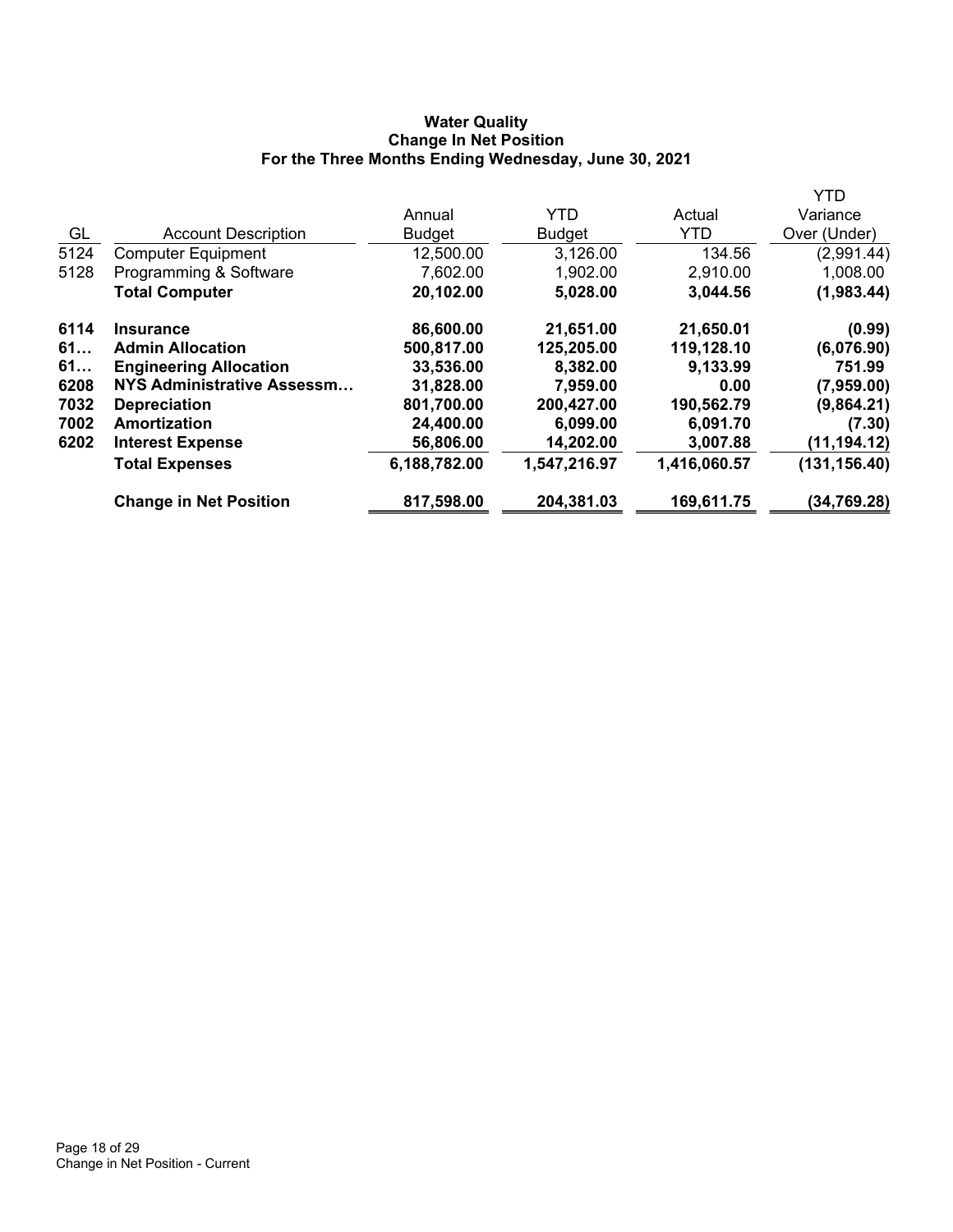# **Water Quality Change In Net Position For the Three Months Ending Wednesday, June 30, 2021**

|      |                               |               |               |              | YTD           |
|------|-------------------------------|---------------|---------------|--------------|---------------|
|      |                               | Annual        | <b>YTD</b>    | Actual       | Variance      |
| GL   | <b>Account Description</b>    | <b>Budget</b> | <b>Budget</b> | <b>YTD</b>   | Over (Under)  |
| 5124 | <b>Computer Equipment</b>     | 12,500.00     | 3,126.00      | 134.56       | (2,991.44)    |
| 5128 | Programming & Software        | 7,602.00      | 1,902.00      | 2,910.00     | 1,008.00      |
|      | <b>Total Computer</b>         | 20,102.00     | 5,028.00      | 3,044.56     | (1,983.44)    |
| 6114 | <b>Insurance</b>              | 86,600.00     | 21,651.00     | 21,650.01    | (0.99)        |
| 61   | <b>Admin Allocation</b>       | 500,817.00    | 125,205.00    | 119,128.10   | (6,076.90)    |
| 61   | <b>Engineering Allocation</b> | 33,536.00     | 8,382.00      | 9,133.99     | 751.99        |
| 6208 | NYS Administrative Assessm    | 31,828.00     | 7,959.00      | 0.00         | (7,959.00)    |
| 7032 | <b>Depreciation</b>           | 801,700.00    | 200,427.00    | 190,562.79   | (9,864.21)    |
| 7002 | Amortization                  | 24,400.00     | 6,099.00      | 6,091.70     | (7.30)        |
| 6202 | <b>Interest Expense</b>       | 56,806.00     | 14,202.00     | 3,007.88     | (11, 194.12)  |
|      | <b>Total Expenses</b>         | 6,188,782.00  | 1,547,216.97  | 1,416,060.57 | (131, 156.40) |
|      | <b>Change in Net Position</b> | 817,598.00    | 204,381.03    | 169,611.75   | (34, 769.28)  |
|      |                               |               |               |              |               |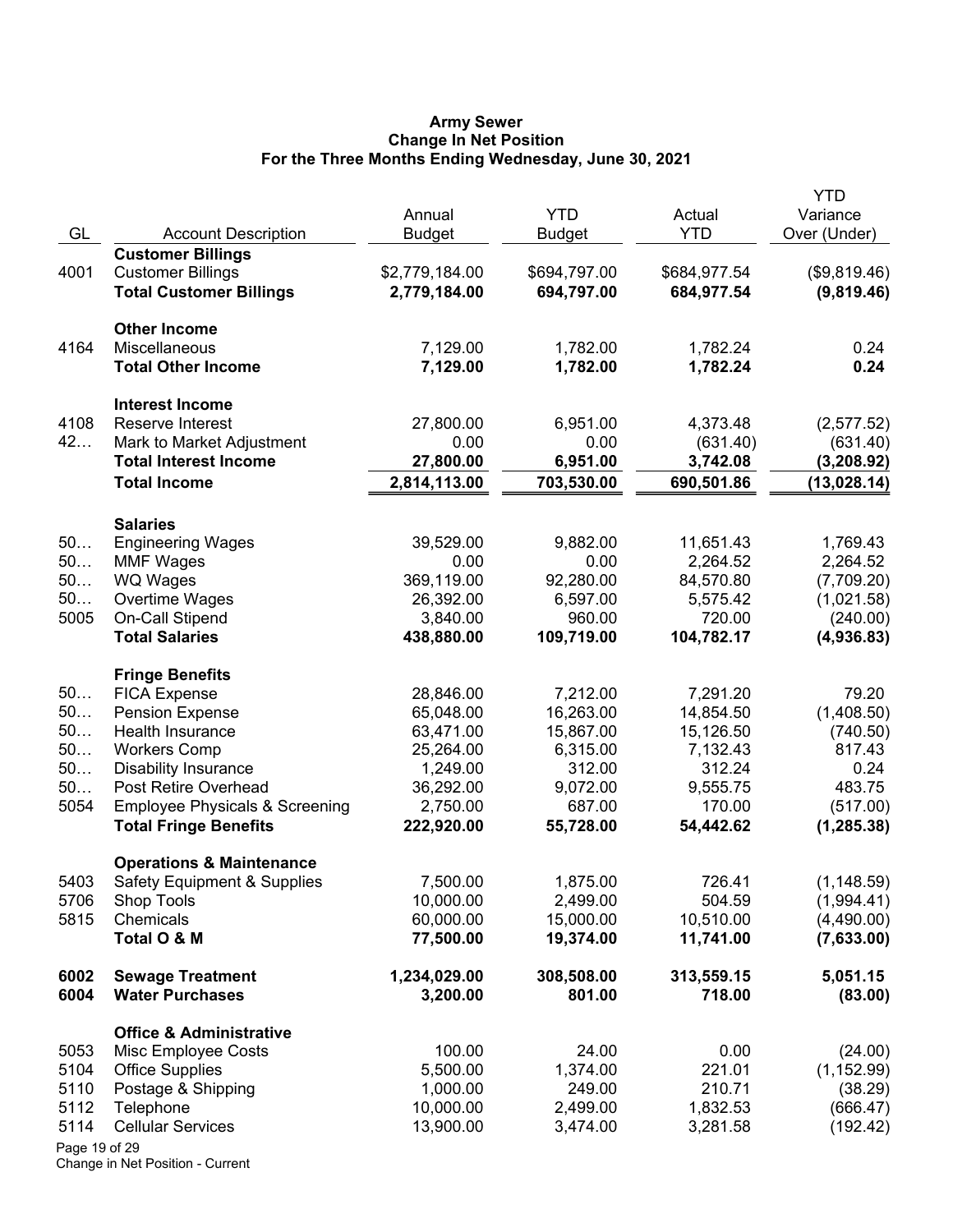#### **Army Sewer Change In Net Position For the Three Months Ending Wednesday, June 30, 2021**

|               |                                           | Annual                 | <b>YTD</b>             | Actual                 | <b>YTD</b><br>Variance   |
|---------------|-------------------------------------------|------------------------|------------------------|------------------------|--------------------------|
| GL            | <b>Account Description</b>                | <b>Budget</b>          | <b>Budget</b>          | <b>YTD</b>             | Over (Under)             |
|               | <b>Customer Billings</b>                  |                        |                        |                        |                          |
| 4001          | <b>Customer Billings</b>                  | \$2,779,184.00         | \$694,797.00           | \$684,977.54           | (\$9,819.46)             |
|               | <b>Total Customer Billings</b>            | 2,779,184.00           | 694,797.00             | 684,977.54             | (9,819.46)               |
|               | <b>Other Income</b>                       |                        |                        |                        |                          |
| 4164          | Miscellaneous                             | 7,129.00               | 1,782.00               | 1,782.24               | 0.24                     |
|               | <b>Total Other Income</b>                 | 7,129.00               | 1,782.00               | 1,782.24               | 0.24                     |
|               | <b>Interest Income</b>                    |                        |                        |                        |                          |
| 4108          | Reserve Interest                          | 27,800.00              | 6,951.00               | 4,373.48               | (2,577.52)               |
| 42            | Mark to Market Adjustment                 | 0.00                   | 0.00                   | (631.40)               | (631.40)                 |
|               | <b>Total Interest Income</b>              | 27,800.00              | 6,951.00               | 3,742.08               | (3,208.92)               |
|               | <b>Total Income</b>                       | 2,814,113.00           | 703,530.00             | 690,501.86             | (13,028.14)              |
|               | <b>Salaries</b>                           |                        |                        |                        |                          |
| 50            | <b>Engineering Wages</b>                  | 39,529.00              | 9,882.00               | 11,651.43              | 1,769.43                 |
| 50            | <b>MMF Wages</b>                          | 0.00                   | 0.00                   | 2,264.52               | 2,264.52                 |
| 50            | WQ Wages                                  | 369,119.00             | 92,280.00              | 84,570.80              | (7,709.20)               |
| 50            | Overtime Wages                            | 26,392.00              | 6,597.00               | 5,575.42               | (1,021.58)               |
| 5005          | On-Call Stipend                           | 3,840.00               | 960.00                 | 720.00                 | (240.00)                 |
|               | <b>Total Salaries</b>                     | 438,880.00             | 109,719.00             | 104,782.17             | (4,936.83)               |
|               | <b>Fringe Benefits</b>                    |                        |                        |                        |                          |
| 50            | <b>FICA Expense</b>                       | 28,846.00              | 7,212.00               | 7,291.20               | 79.20                    |
| 50            | <b>Pension Expense</b>                    | 65,048.00              | 16,263.00              | 14,854.50              | (1,408.50)               |
| 50            | Health Insurance                          | 63,471.00              | 15,867.00              | 15,126.50              | (740.50)                 |
| 50            | <b>Workers Comp</b>                       | 25,264.00              | 6,315.00               | 7,132.43               | 817.43                   |
| 50            | <b>Disability Insurance</b>               | 1,249.00               | 312.00                 | 312.24                 | 0.24                     |
| 50            | Post Retire Overhead                      | 36,292.00              | 9,072.00               | 9,555.75               | 483.75                   |
| 5054          | <b>Employee Physicals &amp; Screening</b> | 2,750.00               | 687.00                 | 170.00                 | (517.00)                 |
|               | <b>Total Fringe Benefits</b>              | 222,920.00             | 55,728.00              | 54,442.62              | (1, 285.38)              |
|               | <b>Operations &amp; Maintenance</b>       |                        |                        |                        |                          |
| 5403          | <b>Safety Equipment &amp; Supplies</b>    | 7,500.00               | 1,875.00               | 726.41                 | (1, 148.59)              |
| 5706          | Shop Tools                                | 10,000.00              | 2,499.00               | 504.59                 | (1,994.41)               |
| 5815          | Chemicals<br>Total O & M                  | 60,000.00<br>77,500.00 | 15,000.00<br>19,374.00 | 10,510.00<br>11,741.00 | (4,490.00)<br>(7,633.00) |
| 6002          | <b>Sewage Treatment</b>                   | 1,234,029.00           | 308,508.00             | 313,559.15             | 5,051.15                 |
| 6004          | <b>Water Purchases</b>                    | 3,200.00               | 801.00                 | 718.00                 | (83.00)                  |
|               | <b>Office &amp; Administrative</b>        |                        |                        |                        |                          |
| 5053          | Misc Employee Costs                       | 100.00                 | 24.00                  | 0.00                   | (24.00)                  |
| 5104          | <b>Office Supplies</b>                    | 5,500.00               | 1,374.00               | 221.01                 | (1, 152.99)              |
| 5110          | Postage & Shipping                        | 1,000.00               | 249.00                 | 210.71                 | (38.29)                  |
| 5112          | Telephone                                 | 10,000.00              | 2,499.00               | 1,832.53               | (666.47)                 |
| 5114          | <b>Cellular Services</b>                  | 13,900.00              | 3,474.00               | 3,281.58               | (192.42)                 |
| Page 19 of 29 |                                           |                        |                        |                        |                          |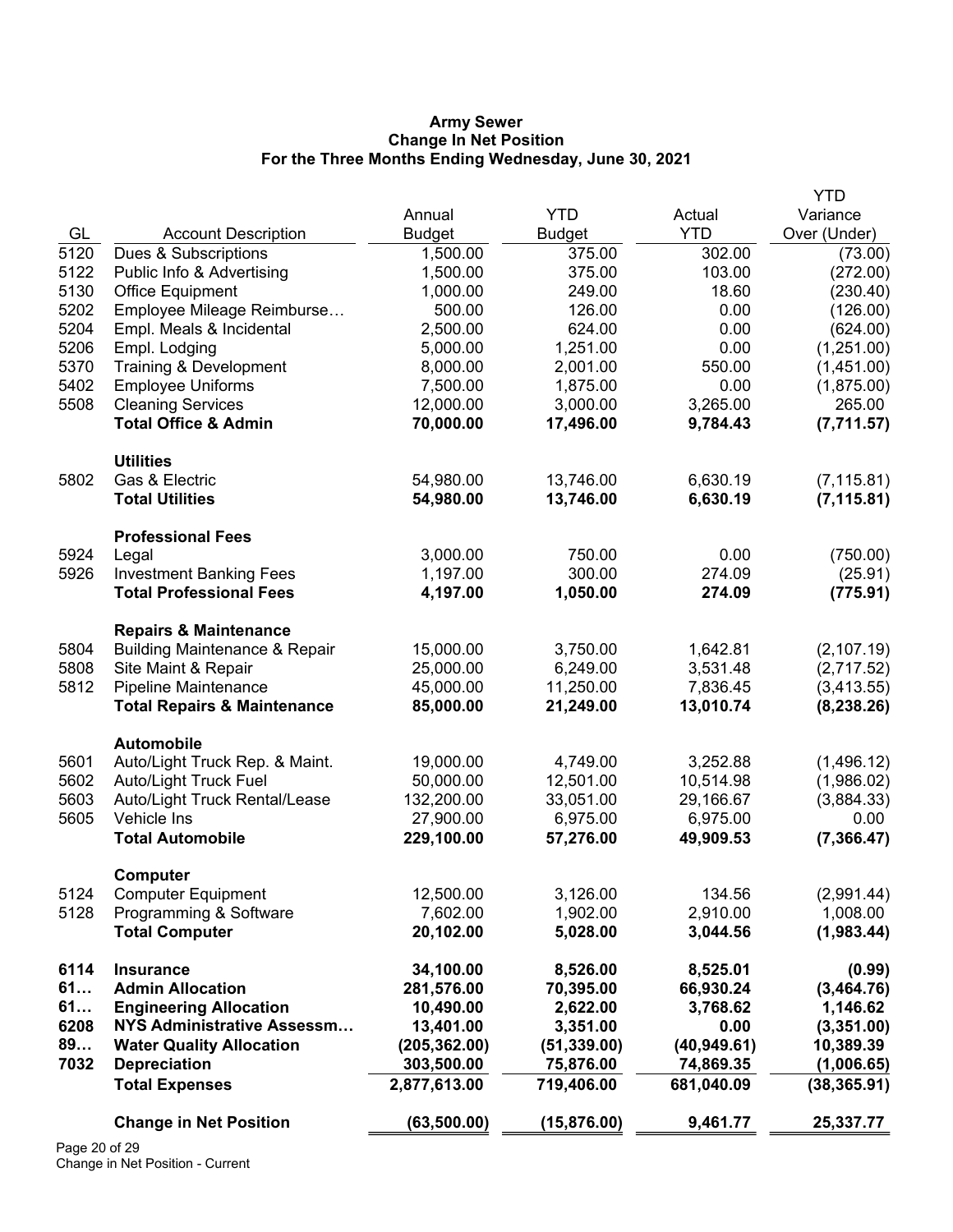#### **Army Sewer Change In Net Position For the Three Months Ending Wednesday, June 30, 2021**

|              |                                                     |                       |               |                    | <b>YTD</b>             |
|--------------|-----------------------------------------------------|-----------------------|---------------|--------------------|------------------------|
|              |                                                     | Annual                | <b>YTD</b>    | Actual             | Variance               |
| GL           | <b>Account Description</b>                          | <b>Budget</b>         | <b>Budget</b> | <b>YTD</b>         | Over (Under)           |
| 5120         | Dues & Subscriptions                                | 1,500.00              | 375.00        | 302.00             | (73.00)                |
| 5122         | Public Info & Advertising                           | 1,500.00              | 375.00        | 103.00             | (272.00)               |
| 5130         | Office Equipment                                    | 1,000.00              | 249.00        | 18.60              | (230.40)               |
| 5202         | Employee Mileage Reimburse                          | 500.00                | 126.00        | 0.00               | (126.00)               |
| 5204         | Empl. Meals & Incidental                            | 2,500.00              | 624.00        | 0.00               | (624.00)               |
| 5206         | Empl. Lodging                                       | 5,000.00              | 1,251.00      | 0.00               | (1,251.00)             |
| 5370         | Training & Development                              | 8,000.00              | 2,001.00      | 550.00             | (1,451.00)             |
| 5402         | <b>Employee Uniforms</b>                            | 7,500.00              | 1,875.00      | 0.00               | (1,875.00)             |
| 5508         | <b>Cleaning Services</b>                            | 12,000.00             | 3,000.00      | 3,265.00           | 265.00                 |
|              | <b>Total Office &amp; Admin</b>                     | 70,000.00             | 17,496.00     | 9,784.43           | (7,711.57)             |
|              | <b>Utilities</b>                                    |                       |               |                    |                        |
| 5802         | Gas & Electric                                      | 54,980.00             | 13,746.00     | 6,630.19           | (7, 115.81)            |
|              | <b>Total Utilities</b>                              | 54,980.00             | 13,746.00     | 6,630.19           | (7, 115.81)            |
|              | <b>Professional Fees</b>                            |                       |               |                    |                        |
| 5924         | Legal                                               | 3,000.00              | 750.00        | 0.00               | (750.00)               |
| 5926         | <b>Investment Banking Fees</b>                      | 1,197.00              | 300.00        | 274.09             | (25.91)                |
|              | <b>Total Professional Fees</b>                      | 4,197.00              | 1,050.00      | 274.09             | (775.91)               |
|              | <b>Repairs &amp; Maintenance</b>                    |                       |               |                    |                        |
| 5804         | <b>Building Maintenance &amp; Repair</b>            | 15,000.00             | 3,750.00      | 1,642.81           | (2, 107.19)            |
| 5808         | Site Maint & Repair                                 | 25,000.00             | 6,249.00      | 3,531.48           | (2,717.52)             |
| 5812         | <b>Pipeline Maintenance</b>                         | 45,000.00             | 11,250.00     | 7,836.45           | (3,413.55)             |
|              | <b>Total Repairs &amp; Maintenance</b>              | 85,000.00             | 21,249.00     | 13,010.74          | (8, 238.26)            |
|              | Automobile                                          |                       |               |                    |                        |
| 5601         | Auto/Light Truck Rep. & Maint.                      | 19,000.00             | 4,749.00      | 3,252.88           | (1,496.12)             |
| 5602         | <b>Auto/Light Truck Fuel</b>                        | 50,000.00             | 12,501.00     | 10,514.98          | (1,986.02)             |
| 5603         | Auto/Light Truck Rental/Lease                       | 132,200.00            | 33,051.00     | 29,166.67          | (3,884.33)             |
| 5605         | Vehicle Ins                                         | 27,900.00             | 6,975.00      | 6,975.00           | 0.00                   |
|              | <b>Total Automobile</b>                             | 229,100.00            | 57,276.00     | 49,909.53          | (7, 366.47)            |
|              | Computer                                            |                       | 3,126.00      |                    |                        |
| 5124<br>5128 | <b>Computer Equipment</b><br>Programming & Software | 12,500.00<br>7,602.00 | 1,902.00      | 134.56<br>2,910.00 | (2,991.44)<br>1,008.00 |
|              | <b>Total Computer</b>                               | 20,102.00             | 5,028.00      | 3,044.56           | (1,983.44)             |
| 6114         | <b>Insurance</b>                                    | 34,100.00             | 8,526.00      | 8,525.01           | (0.99)                 |
| 61           | <b>Admin Allocation</b>                             | 281,576.00            | 70,395.00     | 66,930.24          | (3,464.76)             |
| 61           | <b>Engineering Allocation</b>                       | 10,490.00             | 2,622.00      | 3,768.62           | 1,146.62               |
| 6208         | <b>NYS Administrative Assessm</b>                   | 13,401.00             | 3,351.00      | 0.00               | (3,351.00)             |
| 89           | <b>Water Quality Allocation</b>                     | (205, 362.00)         | (51, 339.00)  | (40, 949.61)       | 10,389.39              |
| 7032         | <b>Depreciation</b>                                 | 303,500.00            | 75,876.00     | 74,869.35          | (1,006.65)             |
|              | <b>Total Expenses</b>                               | 2,877,613.00          | 719,406.00    | 681,040.09         | (38, 365.91)           |
|              | <b>Change in Net Position</b>                       | (63, 500.00)          | (15, 876.00)  | 9,461.77           | 25,337.77              |
|              |                                                     |                       |               |                    |                        |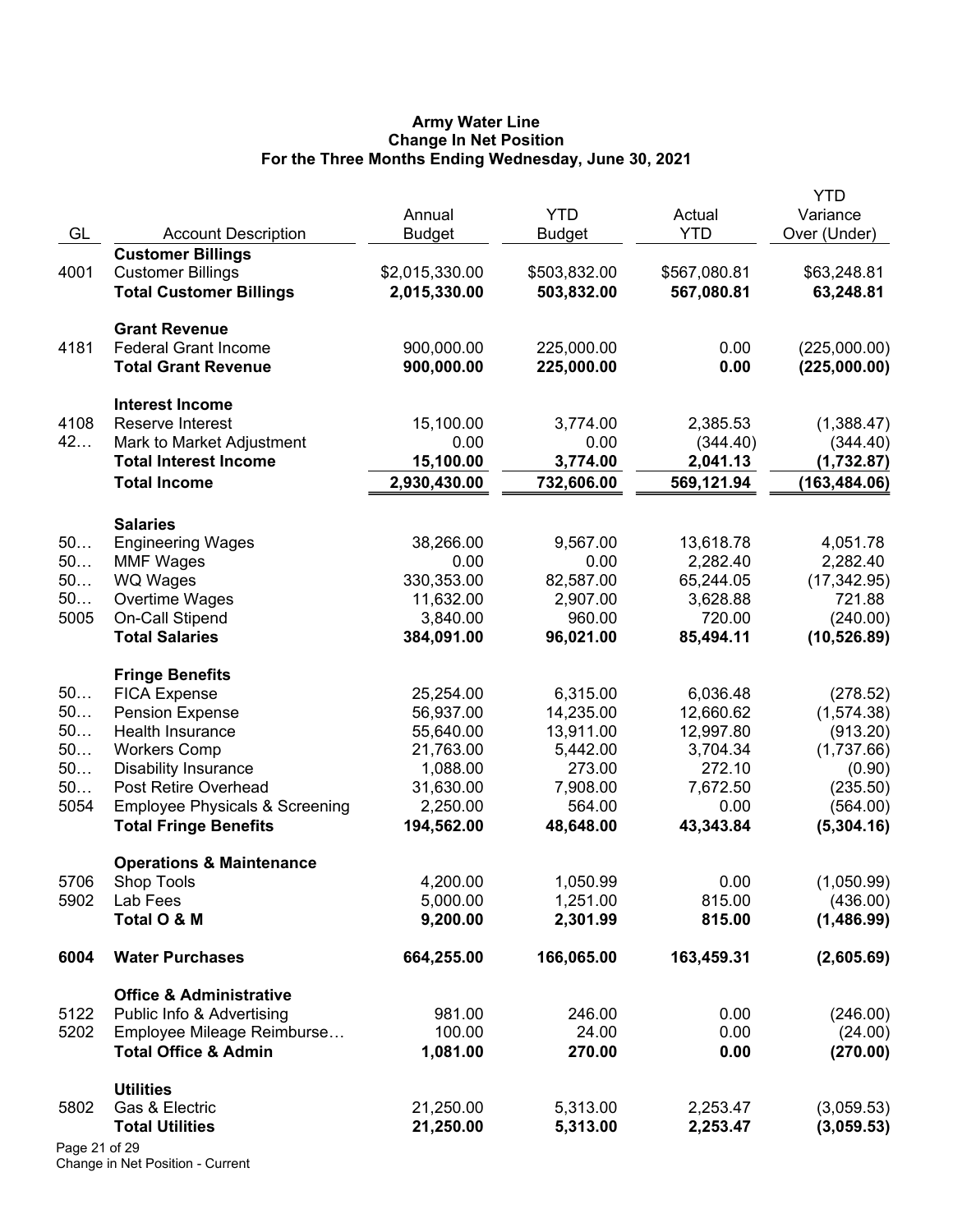#### **Army Water Line Change In Net Position For the Three Months Ending Wednesday, June 30, 2021**

|               |                                                   | Annual         | <b>YTD</b>    | Actual       | <b>YTD</b><br>Variance |
|---------------|---------------------------------------------------|----------------|---------------|--------------|------------------------|
| GL            | <b>Account Description</b>                        | <b>Budget</b>  | <b>Budget</b> | <b>YTD</b>   | Over (Under)           |
|               | <b>Customer Billings</b>                          |                |               |              |                        |
| 4001          | <b>Customer Billings</b>                          | \$2,015,330.00 | \$503,832.00  | \$567,080.81 | \$63,248.81            |
|               | <b>Total Customer Billings</b>                    | 2,015,330.00   | 503,832.00    | 567,080.81   | 63,248.81              |
|               | <b>Grant Revenue</b>                              |                |               |              |                        |
| 4181          | <b>Federal Grant Income</b>                       | 900,000.00     | 225,000.00    | 0.00         | (225,000.00)           |
|               | <b>Total Grant Revenue</b>                        | 900,000.00     | 225,000.00    | 0.00         | (225,000.00)           |
|               | <b>Interest Income</b>                            |                |               |              |                        |
| 4108          | Reserve Interest                                  | 15,100.00      | 3,774.00      | 2,385.53     | (1,388.47)             |
| 42            | Mark to Market Adjustment                         | 0.00           | 0.00          | (344.40)     | (344.40)               |
|               | <b>Total Interest Income</b>                      | 15,100.00      | 3,774.00      | 2,041.13     | (1,732.87)             |
|               | <b>Total Income</b>                               | 2,930,430.00   | 732,606.00    | 569,121.94   | (163, 484.06)          |
|               | <b>Salaries</b>                                   |                |               |              |                        |
| 50            | <b>Engineering Wages</b>                          | 38,266.00      | 9,567.00      | 13,618.78    | 4,051.78               |
| 50            | <b>MMF Wages</b>                                  | 0.00           | 0.00          | 2,282.40     | 2,282.40               |
| 50            | <b>WQ Wages</b>                                   | 330,353.00     | 82,587.00     | 65,244.05    | (17, 342.95)           |
| 50            | Overtime Wages                                    | 11,632.00      | 2,907.00      | 3,628.88     | 721.88                 |
| 5005          | On-Call Stipend                                   | 3,840.00       | 960.00        | 720.00       | (240.00)               |
|               | <b>Total Salaries</b>                             | 384,091.00     | 96,021.00     | 85,494.11    | (10, 526.89)           |
|               | <b>Fringe Benefits</b>                            |                |               |              |                        |
| 50            | <b>FICA Expense</b>                               | 25,254.00      | 6,315.00      | 6,036.48     | (278.52)               |
| 50            | <b>Pension Expense</b>                            | 56,937.00      | 14,235.00     | 12,660.62    | (1,574.38)             |
| 50            | Health Insurance                                  | 55,640.00      | 13,911.00     | 12,997.80    | (913.20)               |
| 50            | <b>Workers Comp</b>                               | 21,763.00      | 5,442.00      | 3,704.34     | (1,737.66)             |
| 50            | <b>Disability Insurance</b>                       | 1,088.00       | 273.00        | 272.10       | (0.90)                 |
| 50            | Post Retire Overhead                              | 31,630.00      | 7,908.00      | 7,672.50     | (235.50)               |
| 5054          | <b>Employee Physicals &amp; Screening</b>         | 2,250.00       | 564.00        | 0.00         | (564.00)               |
|               | <b>Total Fringe Benefits</b>                      | 194,562.00     | 48,648.00     | 43,343.84    | (5,304.16)             |
| 5706          | <b>Operations &amp; Maintenance</b><br>Shop Tools | 4,200.00       | 1,050.99      | 0.00         | (1,050.99)             |
| 5902          | Lab Fees                                          | 5,000.00       | 1,251.00      | 815.00       | (436.00)               |
|               | Total O & M                                       | 9,200.00       | 2,301.99      | 815.00       | (1,486.99)             |
| 6004          | <b>Water Purchases</b>                            | 664,255.00     | 166,065.00    | 163,459.31   | (2,605.69)             |
|               | <b>Office &amp; Administrative</b>                |                |               |              |                        |
| 5122          | Public Info & Advertising                         | 981.00         | 246.00        | 0.00         | (246.00)               |
| 5202          | Employee Mileage Reimburse                        | 100.00         | 24.00         | 0.00         | (24.00)                |
|               | <b>Total Office &amp; Admin</b>                   | 1,081.00       | 270.00        | 0.00         | (270.00)               |
|               | <b>Utilities</b>                                  |                |               |              |                        |
| 5802          | Gas & Electric                                    | 21,250.00      | 5,313.00      | 2,253.47     | (3,059.53)             |
|               | <b>Total Utilities</b>                            | 21,250.00      | 5,313.00      | 2,253.47     | (3,059.53)             |
| Page 21 of 29 |                                                   |                |               |              |                        |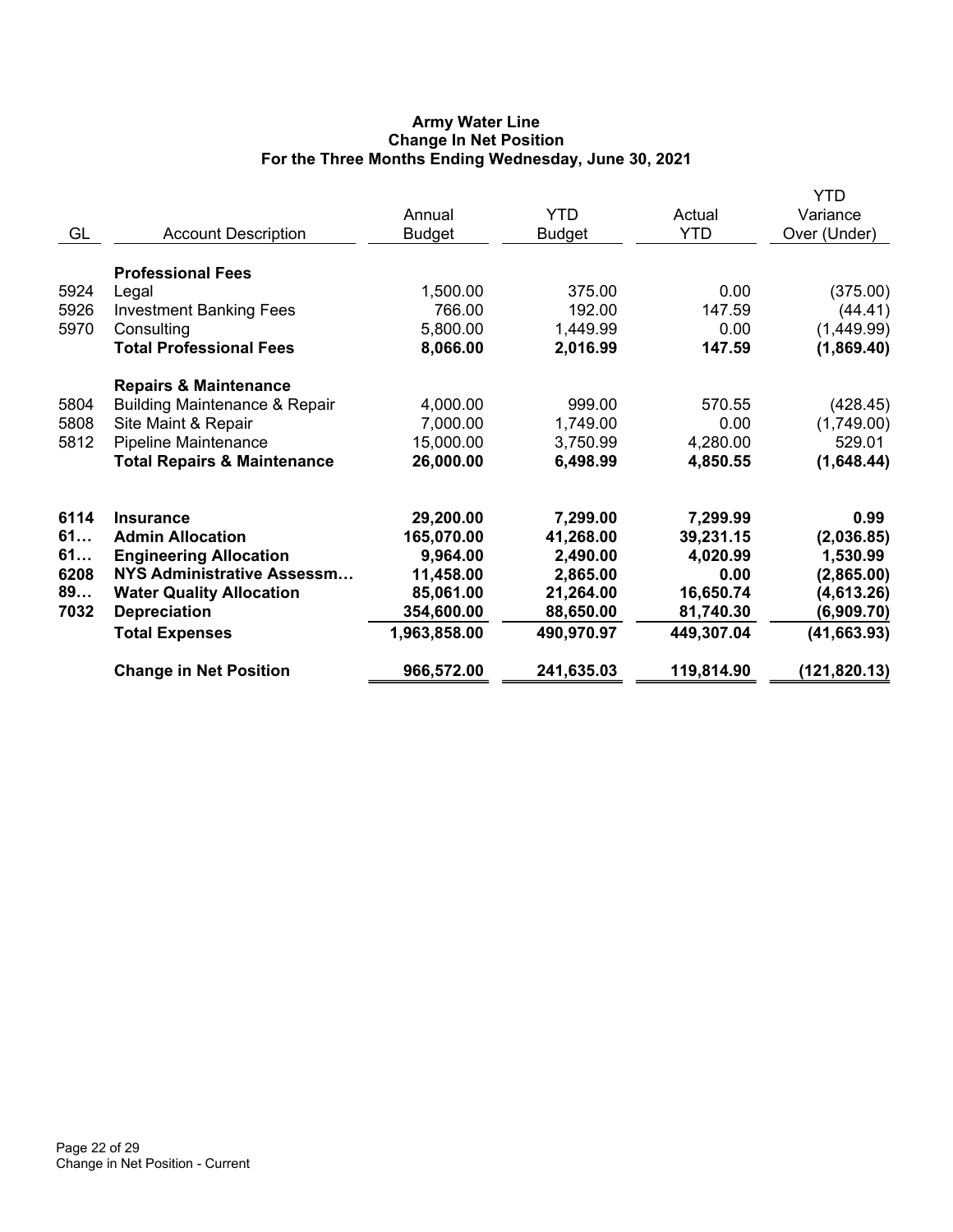# **Army Water Line Change In Net Position For the Three Months Ending Wednesday, June 30, 2021**

| GL                                     | <b>Account Description</b>                                                                                                                                                                              | Annual<br><b>Budget</b>                                                                     | <b>YTD</b><br><b>Budget</b>                                                           | Actual<br><b>YTD</b>                                                              | <b>YTD</b><br>Variance<br>Over (Under)                                                   |
|----------------------------------------|---------------------------------------------------------------------------------------------------------------------------------------------------------------------------------------------------------|---------------------------------------------------------------------------------------------|---------------------------------------------------------------------------------------|-----------------------------------------------------------------------------------|------------------------------------------------------------------------------------------|
| 5924<br>5926<br>5970                   | <b>Professional Fees</b><br>Legal<br><b>Investment Banking Fees</b><br>Consulting                                                                                                                       | 1,500.00<br>766.00<br>5,800.00                                                              | 375.00<br>192.00<br>1,449.99                                                          | 0.00<br>147.59<br>0.00                                                            | (375.00)<br>(44.41)<br>(1,449.99)                                                        |
| 5804<br>5808<br>5812                   | <b>Total Professional Fees</b><br><b>Repairs &amp; Maintenance</b><br><b>Building Maintenance &amp; Repair</b><br>Site Maint & Repair<br>Pipeline Maintenance<br><b>Total Repairs &amp; Maintenance</b> | 8,066.00<br>4,000.00<br>7,000.00<br>15,000.00<br>26,000.00                                  | 2,016.99<br>999.00<br>1,749.00<br>3,750.99<br>6,498.99                                | 147.59<br>570.55<br>0.00<br>4,280.00<br>4,850.55                                  | (1,869.40)<br>(428.45)<br>(1,749.00)<br>529.01<br>(1,648.44)                             |
| 6114<br>61<br>61<br>6208<br>89<br>7032 | <b>Insurance</b><br><b>Admin Allocation</b><br><b>Engineering Allocation</b><br>NYS Administrative Assessm<br><b>Water Quality Allocation</b><br><b>Depreciation</b><br><b>Total Expenses</b>           | 29,200.00<br>165,070.00<br>9,964.00<br>11,458.00<br>85,061.00<br>354,600.00<br>1,963,858.00 | 7,299.00<br>41,268.00<br>2,490.00<br>2,865.00<br>21,264.00<br>88,650.00<br>490,970.97 | 7,299.99<br>39,231.15<br>4,020.99<br>0.00<br>16,650.74<br>81,740.30<br>449,307.04 | 0.99<br>(2,036.85)<br>1,530.99<br>(2,865.00)<br>(4,613.26)<br>(6,909.70)<br>(41, 663.93) |
|                                        | <b>Change in Net Position</b>                                                                                                                                                                           | 966,572.00                                                                                  | 241,635.03                                                                            | 119,814.90                                                                        | (121, 820.13)                                                                            |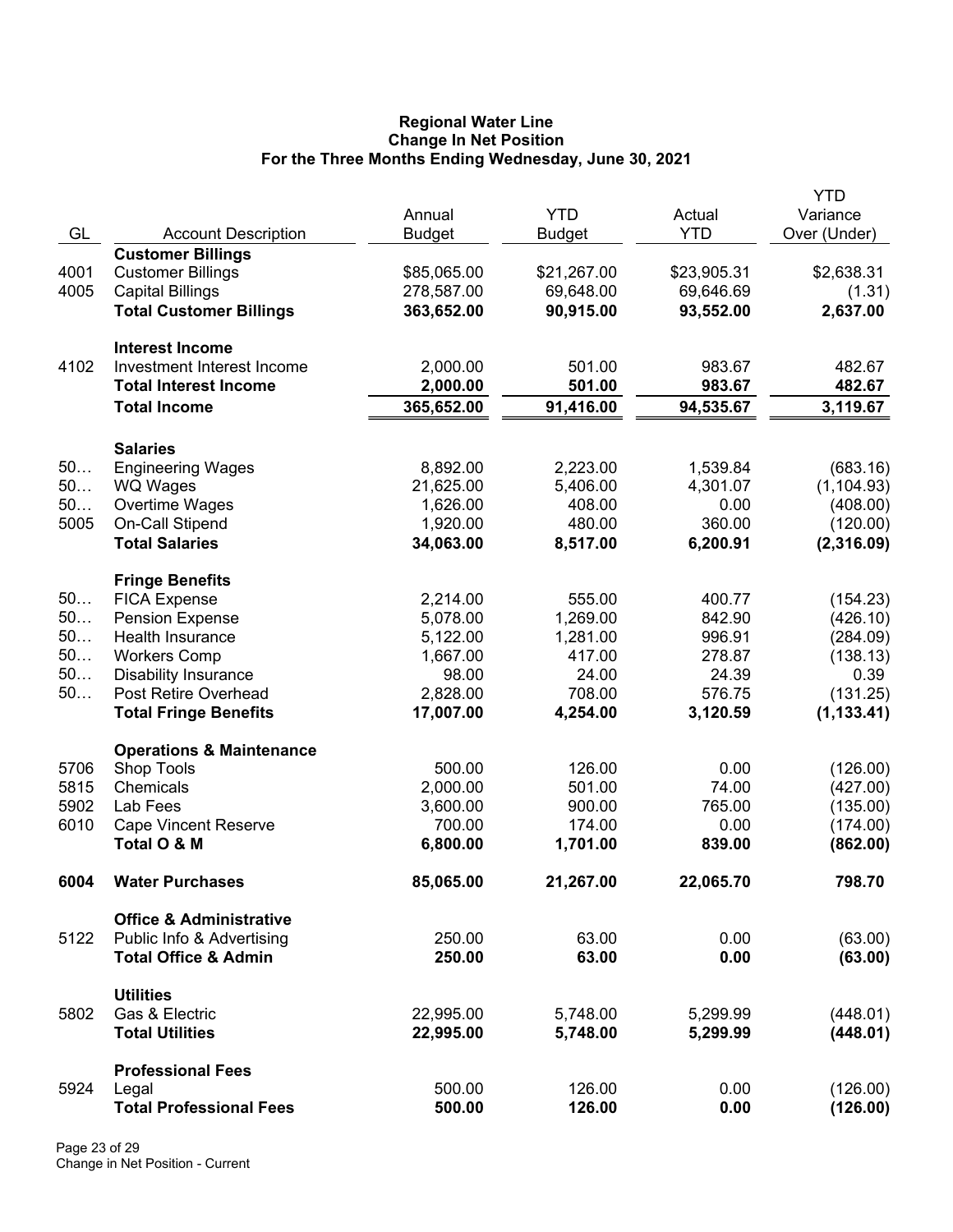#### **Regional Water Line Change In Net Position For the Three Months Ending Wednesday, June 30, 2021**

|      |                                                      |               |               |             | YTD          |
|------|------------------------------------------------------|---------------|---------------|-------------|--------------|
|      |                                                      | Annual        | <b>YTD</b>    | Actual      | Variance     |
| GL   | <b>Account Description</b>                           | <b>Budget</b> | <b>Budget</b> | <b>YTD</b>  | Over (Under) |
| 4001 | <b>Customer Billings</b><br><b>Customer Billings</b> | \$85,065.00   | \$21,267.00   | \$23,905.31 | \$2,638.31   |
| 4005 | <b>Capital Billings</b>                              | 278,587.00    | 69,648.00     | 69,646.69   | (1.31)       |
|      | <b>Total Customer Billings</b>                       | 363,652.00    | 90,915.00     | 93,552.00   | 2,637.00     |
|      |                                                      |               |               |             |              |
|      | <b>Interest Income</b>                               |               |               |             |              |
| 4102 | Investment Interest Income                           | 2,000.00      | 501.00        | 983.67      | 482.67       |
|      | <b>Total Interest Income</b>                         | 2,000.00      | 501.00        | 983.67      | 482.67       |
|      | <b>Total Income</b>                                  | 365,652.00    | 91,416.00     | 94,535.67   | 3,119.67     |
|      |                                                      |               |               |             |              |
|      | <b>Salaries</b>                                      |               |               |             |              |
| 50   | <b>Engineering Wages</b>                             | 8,892.00      | 2,223.00      | 1,539.84    | (683.16)     |
| 50   | WQ Wages                                             | 21,625.00     | 5,406.00      | 4,301.07    | (1, 104.93)  |
| 50   | Overtime Wages                                       | 1,626.00      | 408.00        | 0.00        | (408.00)     |
| 5005 | On-Call Stipend                                      | 1,920.00      | 480.00        | 360.00      | (120.00)     |
|      | <b>Total Salaries</b>                                | 34,063.00     | 8,517.00      | 6,200.91    | (2,316.09)   |
|      |                                                      |               |               |             |              |
| 50   | <b>Fringe Benefits</b><br><b>FICA Expense</b>        | 2,214.00      | 555.00        | 400.77      | (154.23)     |
| 50   | <b>Pension Expense</b>                               | 5,078.00      | 1,269.00      | 842.90      | (426.10)     |
| 50   | Health Insurance                                     | 5,122.00      | 1,281.00      | 996.91      | (284.09)     |
| 50   | <b>Workers Comp</b>                                  | 1,667.00      | 417.00        | 278.87      | (138.13)     |
| 50   | <b>Disability Insurance</b>                          | 98.00         | 24.00         | 24.39       | 0.39         |
| 50   | Post Retire Overhead                                 | 2,828.00      | 708.00        | 576.75      | (131.25)     |
|      | <b>Total Fringe Benefits</b>                         | 17,007.00     | 4,254.00      | 3,120.59    | (1, 133.41)  |
|      |                                                      |               |               |             |              |
|      | <b>Operations &amp; Maintenance</b>                  |               |               |             |              |
| 5706 | <b>Shop Tools</b>                                    | 500.00        | 126.00        | 0.00        | (126.00)     |
| 5815 | Chemicals                                            | 2,000.00      | 501.00        | 74.00       | (427.00)     |
| 5902 | Lab Fees                                             | 3,600.00      | 900.00        | 765.00      | (135.00)     |
| 6010 | <b>Cape Vincent Reserve</b>                          | 700.00        | 174.00        | 0.00        | (174.00)     |
|      | Total O & M                                          | 6,800.00      | 1,701.00      | 839.00      | (862.00)     |
| 6004 | <b>Water Purchases</b>                               | 85,065.00     | 21,267.00     | 22,065.70   | 798.70       |
|      | <b>Office &amp; Administrative</b>                   |               |               |             |              |
| 5122 | Public Info & Advertising                            | 250.00        | 63.00         | 0.00        | (63.00)      |
|      | <b>Total Office &amp; Admin</b>                      | 250.00        | 63.00         | 0.00        | (63.00)      |
|      |                                                      |               |               |             |              |
|      | <b>Utilities</b>                                     |               |               |             |              |
| 5802 | Gas & Electric                                       | 22,995.00     | 5,748.00      | 5,299.99    | (448.01)     |
|      | <b>Total Utilities</b>                               | 22,995.00     | 5,748.00      | 5,299.99    | (448.01)     |
|      | <b>Professional Fees</b>                             |               |               |             |              |
| 5924 | Legal                                                | 500.00        | 126.00        | 0.00        | (126.00)     |
|      | <b>Total Professional Fees</b>                       | 500.00        | 126.00        | 0.00        | (126.00)     |
|      |                                                      |               |               |             |              |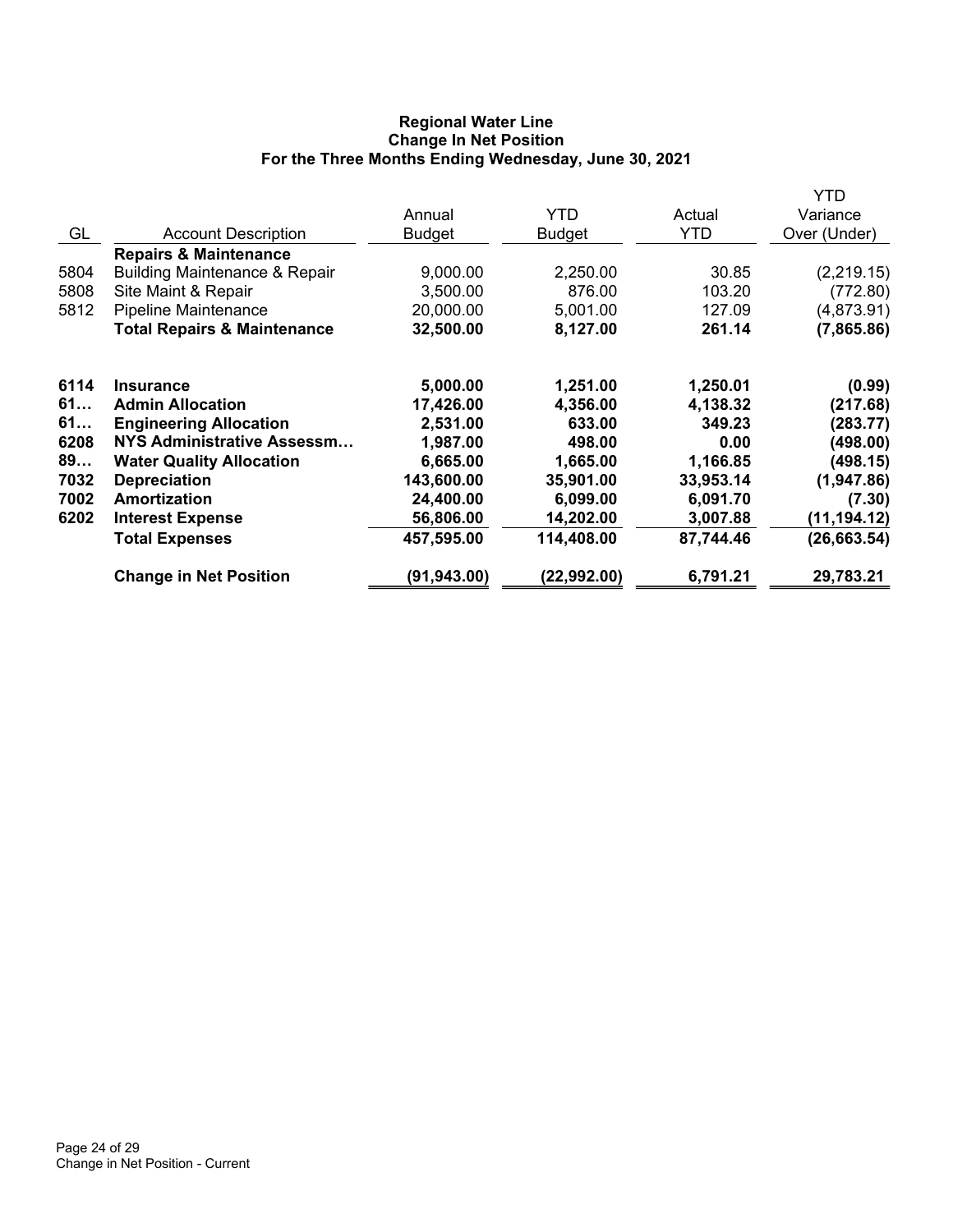# **Regional Water Line Change In Net Position For the Three Months Ending Wednesday, June 30, 2021**

|      |                                          |               |               |           | YTD          |
|------|------------------------------------------|---------------|---------------|-----------|--------------|
|      |                                          | Annual        | <b>YTD</b>    | Actual    | Variance     |
| GL   | <b>Account Description</b>               | <b>Budget</b> | <b>Budget</b> | YTD       | Over (Under) |
|      | <b>Repairs &amp; Maintenance</b>         |               |               |           |              |
| 5804 | <b>Building Maintenance &amp; Repair</b> | 9,000.00      | 2,250.00      | 30.85     | (2,219.15)   |
| 5808 | Site Maint & Repair                      | 3,500.00      | 876.00        | 103.20    | (772.80)     |
| 5812 | <b>Pipeline Maintenance</b>              | 20,000.00     | 5,001.00      | 127.09    | (4,873.91)   |
|      | <b>Total Repairs &amp; Maintenance</b>   | 32,500.00     | 8,127.00      | 261.14    | (7,865.86)   |
| 6114 | <b>Insurance</b>                         | 5,000.00      | 1,251.00      | 1,250.01  | (0.99)       |
| 61   | <b>Admin Allocation</b>                  | 17,426.00     | 4,356.00      | 4,138.32  | (217.68)     |
| 61   | <b>Engineering Allocation</b>            | 2,531.00      | 633.00        | 349.23    | (283.77)     |
| 6208 | NYS Administrative Assessm               | 1,987.00      | 498.00        | 0.00      | (498.00)     |
| 89   | <b>Water Quality Allocation</b>          | 6,665.00      | 1,665.00      | 1,166.85  | (498.15)     |
| 7032 | <b>Depreciation</b>                      | 143,600.00    | 35,901.00     | 33,953.14 | (1,947.86)   |
| 7002 | Amortization                             | 24,400.00     | 6,099.00      | 6,091.70  | (7.30)       |
| 6202 | <b>Interest Expense</b>                  | 56,806.00     | 14,202.00     | 3,007.88  | (11, 194.12) |
|      | <b>Total Expenses</b>                    | 457,595.00    | 114,408.00    | 87,744.46 | (26, 663.54) |
|      | <b>Change in Net Position</b>            | (91, 943.00)  | (22,992.00)   | 6,791.21  | 29,783.21    |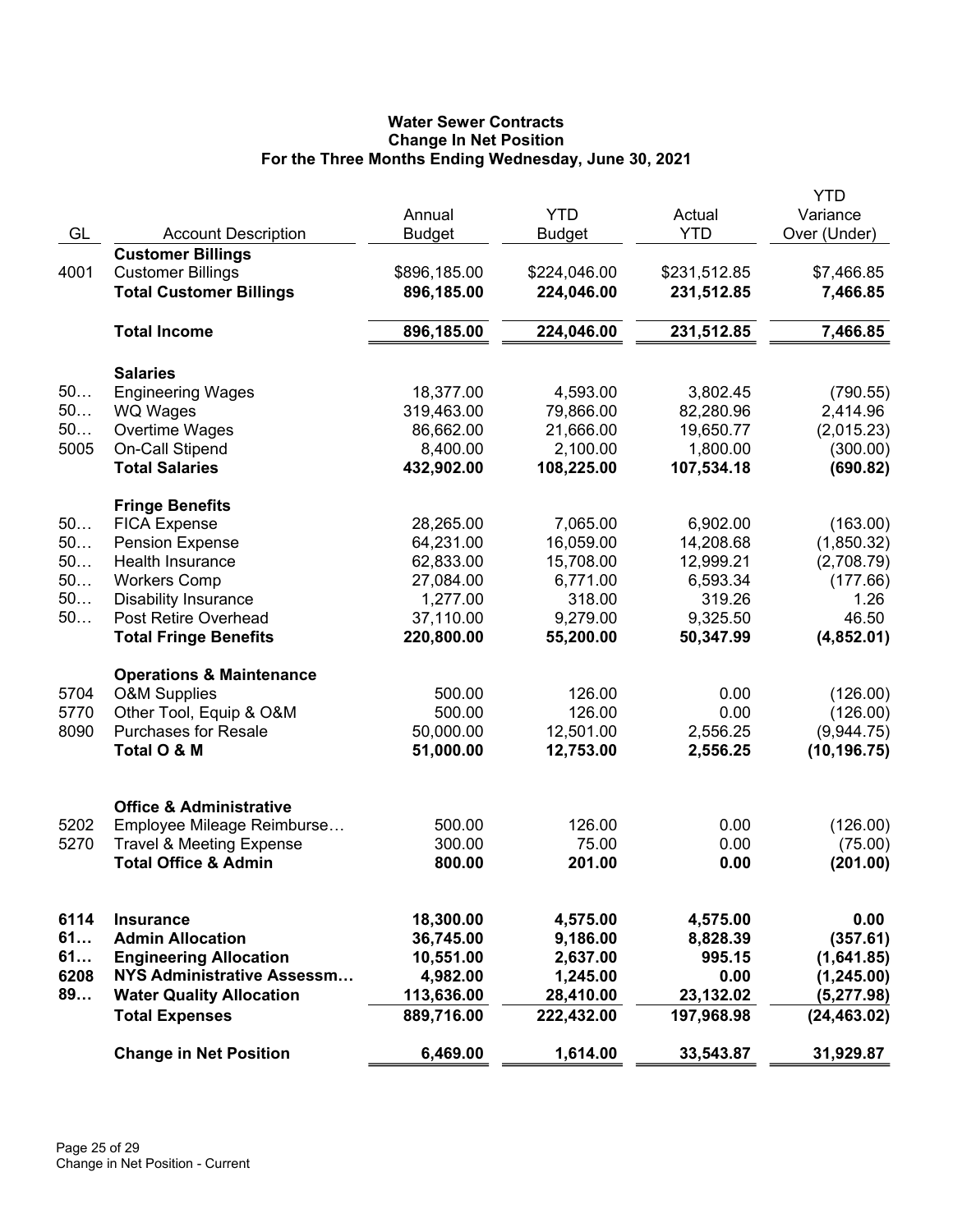# **Water Sewer Contracts Change In Net Position For the Three Months Ending Wednesday, June 30, 2021**

|      |                                     |                         |                             |                      | YTD                      |
|------|-------------------------------------|-------------------------|-----------------------------|----------------------|--------------------------|
| GL   | <b>Account Description</b>          | Annual<br><b>Budget</b> | <b>YTD</b><br><b>Budget</b> | Actual<br><b>YTD</b> | Variance<br>Over (Under) |
|      | <b>Customer Billings</b>            |                         |                             |                      |                          |
| 4001 | <b>Customer Billings</b>            | \$896,185.00            | \$224,046.00                | \$231,512.85         | \$7,466.85               |
|      | <b>Total Customer Billings</b>      | 896,185.00              | 224,046.00                  | 231,512.85           | 7,466.85                 |
|      |                                     |                         |                             |                      |                          |
|      | <b>Total Income</b>                 | 896,185.00              | 224,046.00                  | 231,512.85           | 7,466.85                 |
|      | <b>Salaries</b>                     |                         |                             |                      |                          |
| 50   | <b>Engineering Wages</b>            | 18,377.00               | 4,593.00                    | 3,802.45             | (790.55)                 |
| 50   | <b>WQ Wages</b>                     | 319,463.00              | 79,866.00                   | 82,280.96            | 2,414.96                 |
| 50   | Overtime Wages                      | 86,662.00               | 21,666.00                   | 19,650.77            | (2,015.23)               |
| 5005 | On-Call Stipend                     | 8,400.00                | 2,100.00                    | 1,800.00             | (300.00)                 |
|      | <b>Total Salaries</b>               | 432,902.00              | 108,225.00                  | 107,534.18           | (690.82)                 |
|      | <b>Fringe Benefits</b>              |                         |                             |                      |                          |
| 50   | <b>FICA Expense</b>                 | 28,265.00               | 7,065.00                    | 6,902.00             | (163.00)                 |
| 50   | <b>Pension Expense</b>              | 64,231.00               | 16,059.00                   | 14,208.68            | (1,850.32)               |
| 50   | <b>Health Insurance</b>             | 62,833.00               | 15,708.00                   | 12,999.21            | (2,708.79)               |
| 50   | <b>Workers Comp</b>                 | 27,084.00               | 6,771.00                    | 6,593.34             | (177.66)                 |
| 50   | <b>Disability Insurance</b>         | 1,277.00                | 318.00                      | 319.26               | 1.26                     |
| 50   | Post Retire Overhead                | 37,110.00               | 9,279.00                    | 9,325.50             | 46.50                    |
|      | <b>Total Fringe Benefits</b>        | 220,800.00              | 55,200.00                   | 50,347.99            | (4,852.01)               |
|      | <b>Operations &amp; Maintenance</b> |                         |                             |                      |                          |
| 5704 | <b>O&amp;M Supplies</b>             | 500.00                  | 126.00                      | 0.00                 | (126.00)                 |
| 5770 | Other Tool, Equip & O&M             | 500.00                  | 126.00                      | 0.00                 | (126.00)                 |
| 8090 | <b>Purchases for Resale</b>         | 50,000.00               | 12,501.00                   | 2,556.25             | (9,944.75)               |
|      | Total O & M                         | 51,000.00               | 12,753.00                   | 2,556.25             | (10, 196.75)             |
|      | <b>Office &amp; Administrative</b>  |                         |                             |                      |                          |
| 5202 | Employee Mileage Reimburse          | 500.00                  | 126.00                      | 0.00                 | (126.00)                 |
| 5270 | <b>Travel &amp; Meeting Expense</b> | 300.00                  | 75.00                       | 0.00                 | (75.00)                  |
|      | <b>Total Office &amp; Admin</b>     | 800.00                  | 201.00                      | 0.00                 | (201.00)                 |
|      |                                     |                         |                             |                      |                          |
| 6114 | <b>Insurance</b>                    | 18,300.00               | 4,575.00                    | 4,575.00             | 0.00                     |
| 61   | <b>Admin Allocation</b>             | 36,745.00               | 9,186.00                    | 8,828.39             | (357.61)                 |
| 61   | <b>Engineering Allocation</b>       | 10,551.00               | 2,637.00                    | 995.15               | (1,641.85)               |
| 6208 | NYS Administrative Assessm          | 4,982.00                | 1,245.00                    | 0.00                 | (1, 245.00)              |
| 89   | <b>Water Quality Allocation</b>     | 113,636.00              | 28,410.00                   | 23,132.02            | (5,277.98)               |
|      | <b>Total Expenses</b>               | 889,716.00              | 222,432.00                  | 197,968.98           | (24, 463.02)             |
|      | <b>Change in Net Position</b>       | 6,469.00                | 1,614.00                    | 33,543.87            | 31,929.87                |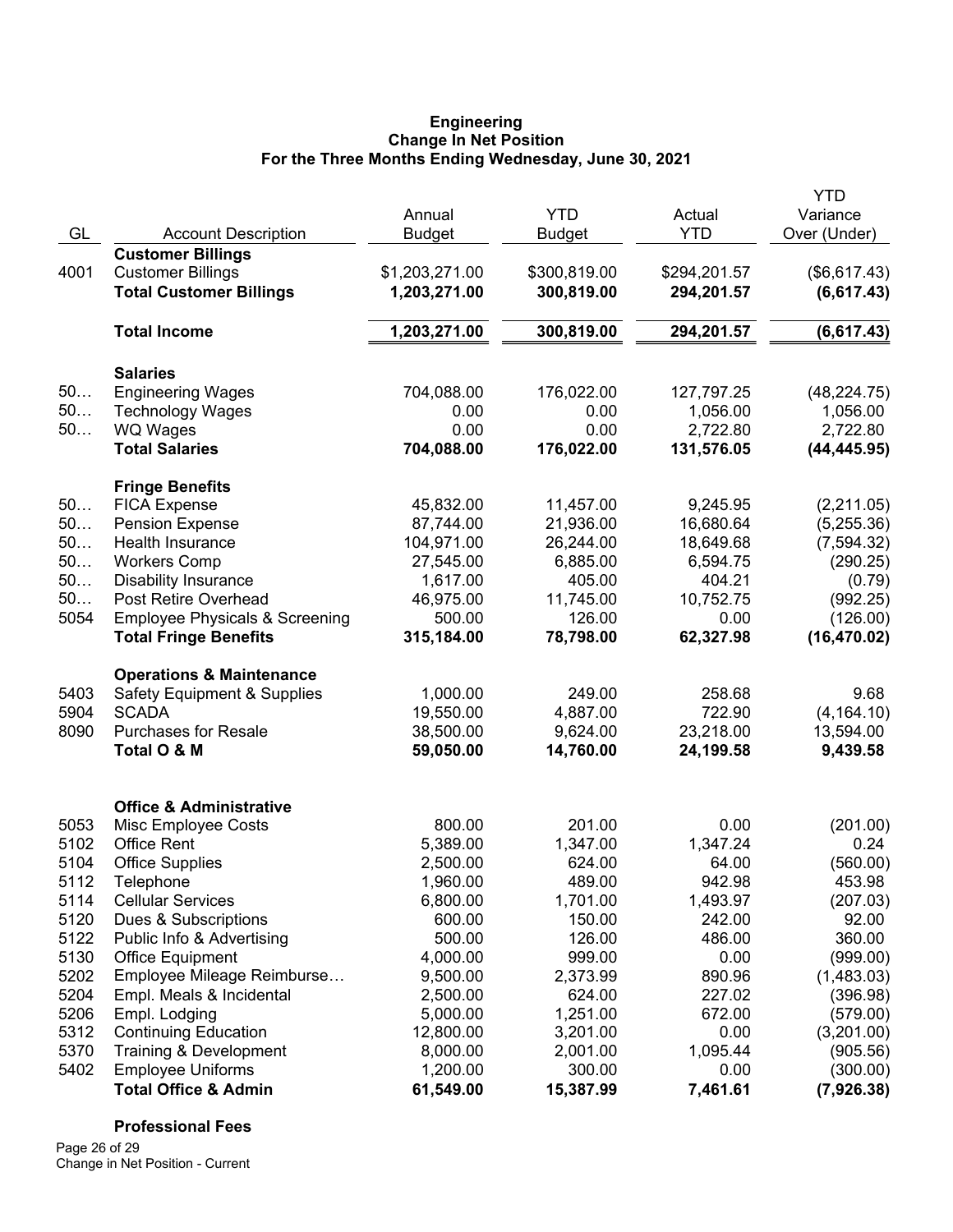#### **Engineering Change In Net Position For the Three Months Ending Wednesday, June 30, 2021**

|      |                                           |                |              |              | <b>YTD</b>   |
|------|-------------------------------------------|----------------|--------------|--------------|--------------|
|      |                                           | Annual         | <b>YTD</b>   | Actual       | Variance     |
| GL   | <b>Account Description</b>                | <b>Budget</b>  | Budget       | <b>YTD</b>   | Over (Under) |
|      | <b>Customer Billings</b>                  |                |              |              |              |
| 4001 | <b>Customer Billings</b>                  | \$1,203,271.00 | \$300,819.00 | \$294,201.57 | (\$6,617.43) |
|      | <b>Total Customer Billings</b>            | 1,203,271.00   | 300,819.00   | 294,201.57   | (6,617.43)   |
|      | <b>Total Income</b>                       | 1,203,271.00   | 300,819.00   | 294,201.57   | (6, 617.43)  |
|      | <b>Salaries</b>                           |                |              |              |              |
| 50   | <b>Engineering Wages</b>                  | 704,088.00     | 176,022.00   | 127,797.25   | (48, 224.75) |
| 50   | <b>Technology Wages</b>                   | 0.00           | 0.00         | 1,056.00     | 1,056.00     |
| 50   | <b>WQ Wages</b>                           | 0.00           | 0.00         | 2,722.80     | 2,722.80     |
|      | <b>Total Salaries</b>                     | 704,088.00     | 176,022.00   | 131,576.05   | (44, 445.95) |
|      | <b>Fringe Benefits</b>                    |                |              |              |              |
| 50   | <b>FICA Expense</b>                       | 45,832.00      | 11,457.00    | 9,245.95     | (2,211.05)   |
| 50   | <b>Pension Expense</b>                    | 87,744.00      | 21,936.00    | 16,680.64    | (5,255.36)   |
| 50   | Health Insurance                          | 104,971.00     | 26,244.00    | 18,649.68    | (7, 594.32)  |
| 50   | <b>Workers Comp</b>                       | 27,545.00      | 6,885.00     | 6,594.75     | (290.25)     |
| 50   | <b>Disability Insurance</b>               | 1,617.00       | 405.00       | 404.21       | (0.79)       |
| 50   | Post Retire Overhead                      | 46,975.00      | 11,745.00    | 10,752.75    | (992.25)     |
| 5054 | <b>Employee Physicals &amp; Screening</b> | 500.00         | 126.00       | 0.00         | (126.00)     |
|      | <b>Total Fringe Benefits</b>              | 315,184.00     | 78,798.00    | 62,327.98    | (16, 470.02) |
|      | <b>Operations &amp; Maintenance</b>       |                |              |              |              |
| 5403 | <b>Safety Equipment &amp; Supplies</b>    | 1,000.00       | 249.00       | 258.68       | 9.68         |
| 5904 | <b>SCADA</b>                              | 19,550.00      | 4,887.00     | 722.90       | (4, 164.10)  |
| 8090 | <b>Purchases for Resale</b>               | 38,500.00      | 9,624.00     | 23,218.00    | 13,594.00    |
|      | Total O & M                               | 59,050.00      | 14,760.00    | 24,199.58    | 9,439.58     |
|      | <b>Office &amp; Administrative</b>        |                |              |              |              |
| 5053 | Misc Employee Costs                       | 800.00         | 201.00       | 0.00         | (201.00)     |
| 5102 | <b>Office Rent</b>                        | 5,389.00       | 1,347.00     | 1,347.24     | 0.24         |
| 5104 | <b>Office Supplies</b>                    | 2,500.00       | 624.00       | 64.00        | (560.00)     |
| 5112 | Telephone                                 | 1,960.00       | 489.00       | 942.98       | 453.98       |
| 5114 | <b>Cellular Services</b>                  | 6,800.00       | 1,701.00     | 1,493.97     | (207.03)     |
| 5120 | Dues & Subscriptions                      | 600.00         | 150.00       | 242.00       | 92.00        |
| 5122 | Public Info & Advertising                 | 500.00         | 126.00       | 486.00       | 360.00       |
| 5130 | <b>Office Equipment</b>                   | 4,000.00       | 999.00       | 0.00         | (999.00)     |
| 5202 | Employee Mileage Reimburse                | 9,500.00       | 2,373.99     | 890.96       | (1,483.03)   |
| 5204 | Empl. Meals & Incidental                  | 2,500.00       | 624.00       | 227.02       | (396.98)     |
| 5206 | Empl. Lodging                             | 5,000.00       | 1,251.00     | 672.00       | (579.00)     |
| 5312 | <b>Continuing Education</b>               | 12,800.00      | 3,201.00     | 0.00         | (3,201.00)   |
| 5370 | Training & Development                    | 8,000.00       | 2,001.00     | 1,095.44     | (905.56)     |
| 5402 | <b>Employee Uniforms</b>                  | 1,200.00       | 300.00       | 0.00         | (300.00)     |
|      | <b>Total Office &amp; Admin</b>           | 61,549.00      | 15,387.99    | 7,461.61     | (7,926.38)   |

# **Professional Fees**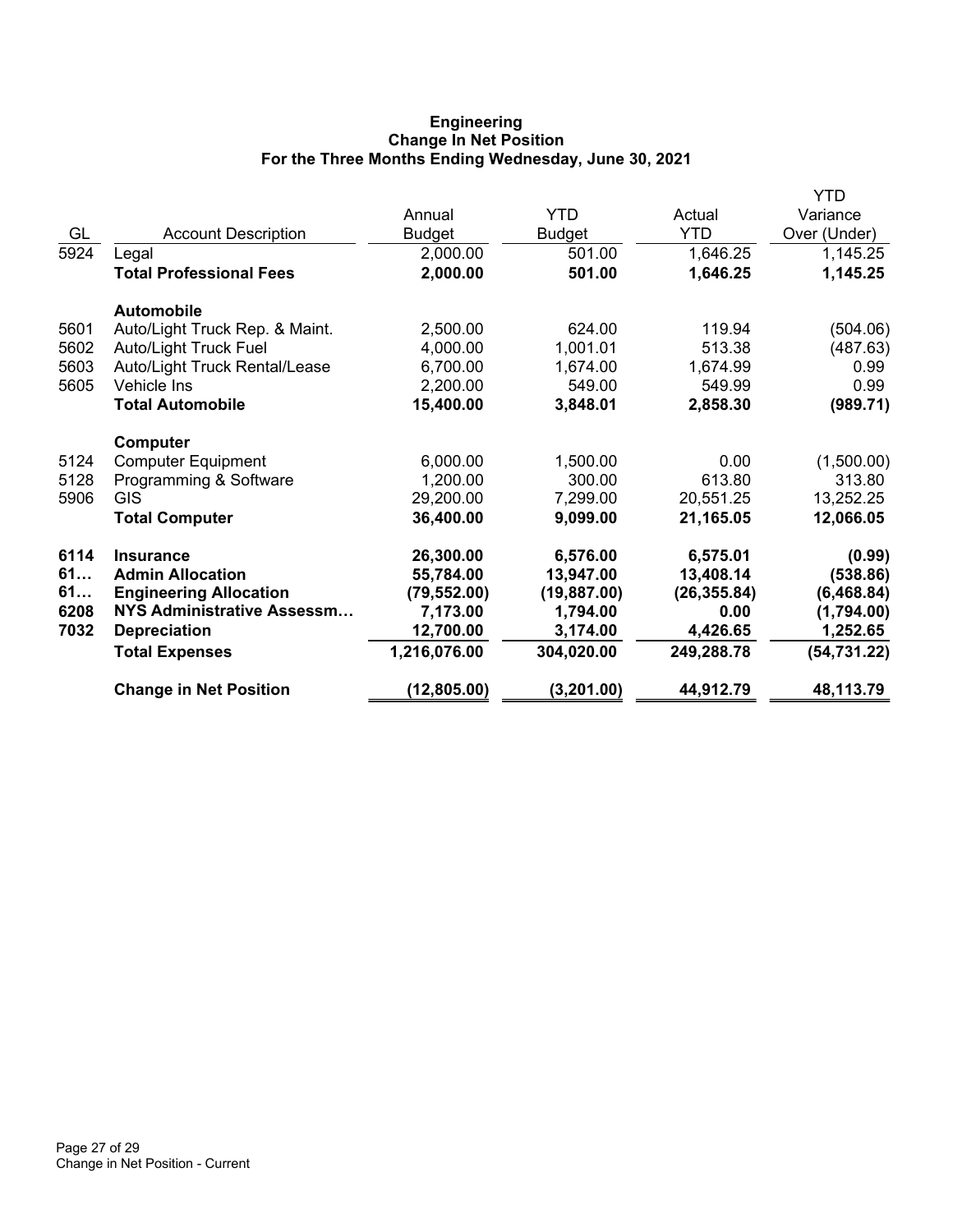# **Engineering Change In Net Position For the Three Months Ending Wednesday, June 30, 2021**

|      |                                   |              |               |              | <b>YTD</b>   |
|------|-----------------------------------|--------------|---------------|--------------|--------------|
|      |                                   | Annual       | <b>YTD</b>    | Actual       | Variance     |
| GL   | <b>Account Description</b>        | Budget       | <b>Budget</b> | <b>YTD</b>   | Over (Under) |
| 5924 | Legal                             | 2,000.00     | 501.00        | 1,646.25     | 1,145.25     |
|      | <b>Total Professional Fees</b>    | 2,000.00     | 501.00        | 1,646.25     | 1,145.25     |
|      | <b>Automobile</b>                 |              |               |              |              |
| 5601 | Auto/Light Truck Rep. & Maint.    | 2,500.00     | 624.00        | 119.94       | (504.06)     |
| 5602 | <b>Auto/Light Truck Fuel</b>      | 4,000.00     | 1,001.01      | 513.38       | (487.63)     |
| 5603 | Auto/Light Truck Rental/Lease     | 6,700.00     | 1,674.00      | 1,674.99     | 0.99         |
| 5605 | Vehicle Ins                       | 2,200.00     | 549.00        | 549.99       | 0.99         |
|      | <b>Total Automobile</b>           | 15,400.00    | 3,848.01      | 2,858.30     | (989.71)     |
|      | Computer                          |              |               |              |              |
| 5124 | <b>Computer Equipment</b>         | 6,000.00     | 1,500.00      | 0.00         | (1,500.00)   |
| 5128 | Programming & Software            | 1,200.00     | 300.00        | 613.80       | 313.80       |
| 5906 | <b>GIS</b>                        | 29,200.00    | 7,299.00      | 20,551.25    | 13,252.25    |
|      | <b>Total Computer</b>             | 36,400.00    | 9,099.00      | 21,165.05    | 12,066.05    |
| 6114 | <b>Insurance</b>                  | 26,300.00    | 6,576.00      | 6,575.01     | (0.99)       |
| 61   | <b>Admin Allocation</b>           | 55,784.00    | 13,947.00     | 13,408.14    | (538.86)     |
| 61   | <b>Engineering Allocation</b>     | (79, 552.00) | (19, 887.00)  | (26, 355.84) | (6,468.84)   |
| 6208 | <b>NYS Administrative Assessm</b> | 7,173.00     | 1,794.00      | 0.00         | (1,794.00)   |
| 7032 | <b>Depreciation</b>               | 12,700.00    | 3,174.00      | 4,426.65     | 1,252.65     |
|      | <b>Total Expenses</b>             | 1,216,076.00 | 304,020.00    | 249,288.78   | (54, 731.22) |
|      | <b>Change in Net Position</b>     | (12, 805.00) | (3, 201.00)   | 44,912.79    | 48,113.79    |
|      |                                   |              |               |              |              |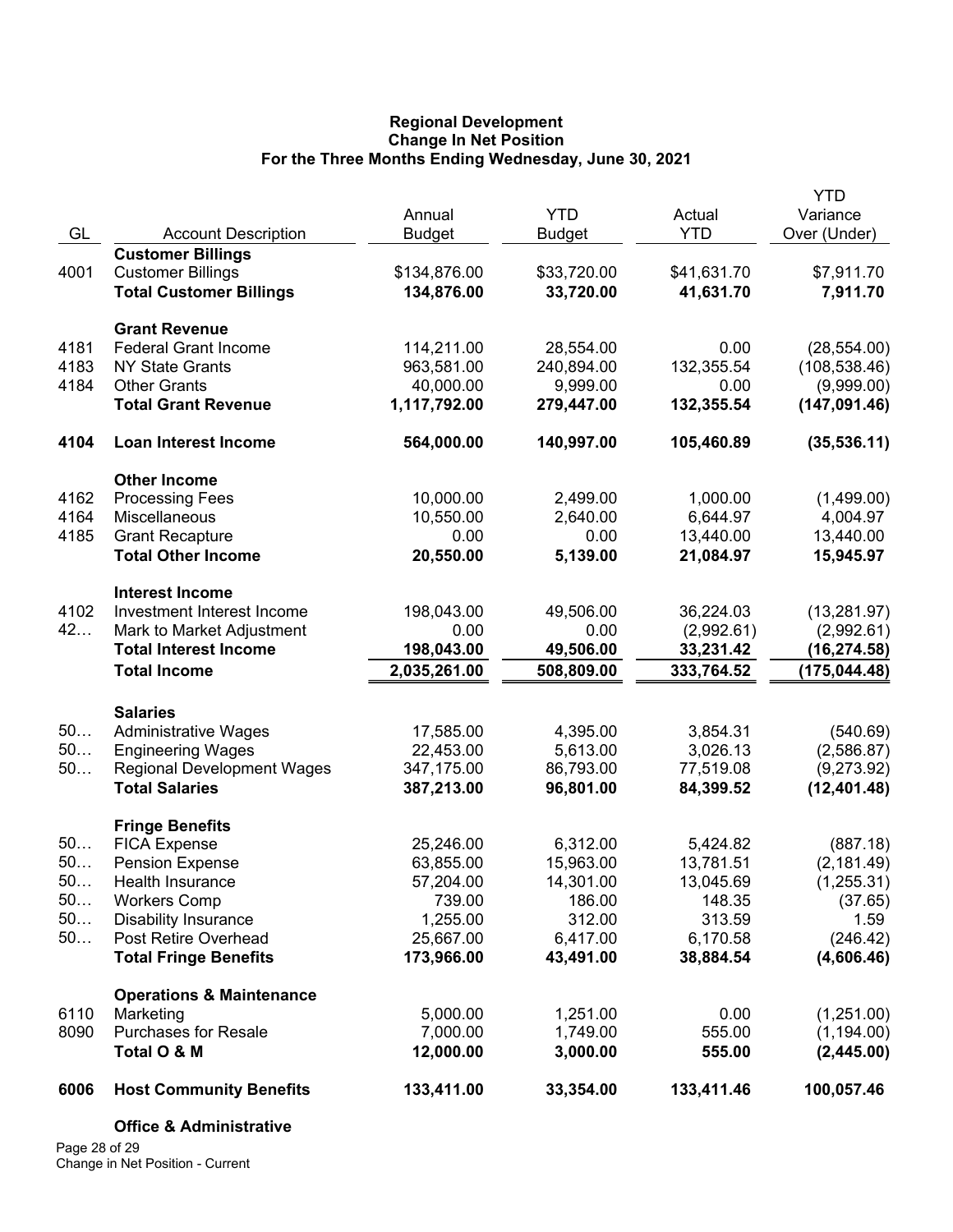### **Regional Development Change In Net Position For the Three Months Ending Wednesday, June 30, 2021**

| GL       | <b>Account Description</b>                    | Annual<br><b>Budget</b> | <b>YTD</b><br><b>Budget</b> | Actual<br><b>YTD</b>  | YTD<br>Variance<br>Over (Under) |
|----------|-----------------------------------------------|-------------------------|-----------------------------|-----------------------|---------------------------------|
|          | <b>Customer Billings</b>                      |                         |                             |                       |                                 |
| 4001     | <b>Customer Billings</b>                      | \$134,876.00            | \$33,720.00                 | \$41,631.70           | \$7,911.70                      |
|          | <b>Total Customer Billings</b>                | 134,876.00              | 33,720.00                   | 41,631.70             | 7,911.70                        |
|          | <b>Grant Revenue</b>                          |                         |                             |                       |                                 |
| 4181     | <b>Federal Grant Income</b>                   | 114,211.00              | 28,554.00                   | 0.00                  | (28, 554.00)                    |
| 4183     | <b>NY State Grants</b>                        | 963,581.00              | 240,894.00                  | 132,355.54            | (108, 538.46)                   |
| 4184     | <b>Other Grants</b>                           | 40,000.00               | 9,999.00                    | 0.00                  | (9,999.00)                      |
|          | <b>Total Grant Revenue</b>                    | 1,117,792.00            | 279,447.00                  | 132,355.54            | (147, 091.46)                   |
| 4104     | <b>Loan Interest Income</b>                   | 564,000.00              | 140,997.00                  | 105,460.89            | (35, 536.11)                    |
|          | <b>Other Income</b>                           |                         |                             |                       |                                 |
| 4162     | <b>Processing Fees</b>                        | 10,000.00               | 2,499.00                    | 1,000.00              | (1,499.00)                      |
| 4164     | Miscellaneous                                 | 10,550.00               | 2,640.00                    | 6,644.97              | 4,004.97                        |
| 4185     | <b>Grant Recapture</b>                        | 0.00                    | 0.00                        | 13,440.00             | 13,440.00                       |
|          | <b>Total Other Income</b>                     | 20,550.00               | 5,139.00                    | 21,084.97             | 15,945.97                       |
|          | <b>Interest Income</b>                        |                         |                             |                       |                                 |
| 4102     | Investment Interest Income                    | 198,043.00              | 49,506.00                   | 36,224.03             | (13, 281.97)                    |
| 42       | Mark to Market Adjustment                     | 0.00                    | 0.00                        | (2,992.61)            | (2,992.61)                      |
|          | <b>Total Interest Income</b>                  | 198,043.00              | 49,506.00                   | 33,231.42             | (16, 274.58)                    |
|          | <b>Total Income</b>                           | 2,035,261.00            | 508,809.00                  | 333,764.52            | (175, 044.48)                   |
|          | <b>Salaries</b>                               |                         |                             |                       |                                 |
| 50       | <b>Administrative Wages</b>                   | 17,585.00               | 4,395.00                    | 3,854.31              | (540.69)                        |
| 50       | <b>Engineering Wages</b>                      | 22,453.00               | 5,613.00                    | 3,026.13              | (2,586.87)                      |
| 50       | <b>Regional Development Wages</b>             | 347,175.00              | 86,793.00                   | 77,519.08             | (9,273.92)                      |
|          | <b>Total Salaries</b>                         | 387,213.00              | 96,801.00                   | 84,399.52             | (12, 401.48)                    |
|          | <b>Fringe Benefits</b>                        |                         |                             |                       |                                 |
| 50<br>50 | <b>FICA Expense</b><br><b>Pension Expense</b> | 25,246.00<br>63,855.00  | 6,312.00<br>15,963.00       | 5,424.82<br>13,781.51 | (887.18)                        |
| 50.      | Health Insurance                              | 57,204.00               | 14,301.00                   | 13,045.69             | (2, 181.49)                     |
| 50       | <b>Workers Comp</b>                           | 739.00                  | 186.00                      | 148.35                | (1, 255.31)<br>(37.65)          |
| 50       | <b>Disability Insurance</b>                   | 1,255.00                | 312.00                      | 313.59                | 1.59                            |
| 50       | Post Retire Overhead                          | 25,667.00               | 6,417.00                    | 6,170.58              | (246.42)                        |
|          | <b>Total Fringe Benefits</b>                  | 173,966.00              | 43,491.00                   | 38,884.54             | (4,606.46)                      |
|          | <b>Operations &amp; Maintenance</b>           |                         |                             |                       |                                 |
| 6110     | Marketing                                     | 5,000.00                | 1,251.00                    | 0.00                  | (1,251.00)                      |
| 8090     | <b>Purchases for Resale</b>                   | 7,000.00                | 1,749.00                    | 555.00                | (1, 194.00)                     |
|          | Total O & M                                   | 12,000.00               | 3,000.00                    | 555.00                | (2,445.00)                      |
| 6006     | <b>Host Community Benefits</b>                | 133,411.00              | 33,354.00                   | 133,411.46            | 100,057.46                      |
|          | <b>Office &amp; Administrative</b>            |                         |                             |                       |                                 |

Page 28 of 29 Change in Net Position - Current